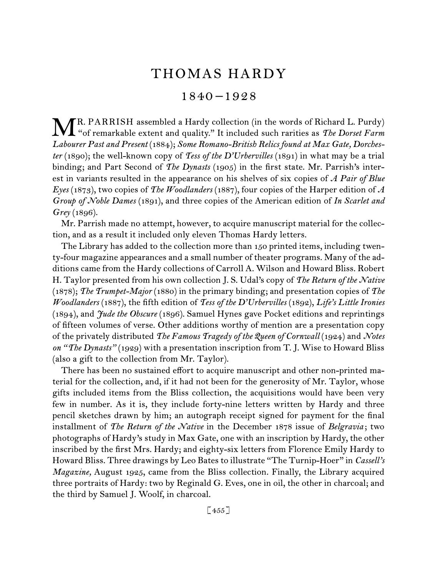# THOMAS HARDY

1840 –1928

TR. PARRISH assembled a Hardy collection (in the words of Richard L. Purdy) **ME.** PARRISH assembled a Hardy collection (in the words of Richard L. Purdy) "of remarkable extent and quality." It included such rarities as *The Dorset Farm Labourer Past and Present* (1884); *Some Romano-British Relics found at Max Gate, Dorchester* (1890); the well-known copy of *Tess of the D'Urbervilles* (1891) in what may be a trial binding; and Part Second of *The Dynasts* (1905) in the first state. Mr. Parrish's interest in variants resulted in the appearance on his shelves of six copies of *A Pair of Blue Eyes* (1873), two copies of *The Woodlanders* (1887), four copies of the Harper edition of *A Group of Noble Dames* (1891), and three copies of the American edition of *In Scarlet and Grey* (1896).

Mr. Parrish made no attempt, however, to acquire manuscript material for the collection, and as a result it included only eleven Thomas Hardy letters.

The Library has added to the collection more than 150 printed items, including twenty-four magazine appearances and a small number of theater programs. Many of the additions came from the Hardy collections of Carroll A. Wilson and Howard Bliss. Robert H. Taylor presented from his own collection J. S. Udal's copy of *The Return of the Native*  (1878); *The Trumpet-Major* (1880) in the primary binding; and presentation copies of *The Woodlanders* (1887), the fifth edition of *Tess of the D'Urbervilles* (1892), *Life's Little Ironies*  (1894), and *Jude the Obscure* (1896). Samuel Hynes gave Pocket editions and reprintings of fifteen volumes of verse. Other additions worthy of mention are a presentation copy of the privately distributed *The Famous Tragedy of the Queen of Cornwall* (1924) and *Notes on "The Dynasts"* (1929) with a presentation inscription from T. J. Wise to Howard Bliss (also a gift to the collection from Mr. Taylor).

There has been no sustained effort to acquire manuscript and other non-printed material for the collection, and, if it had not been for the generosity of Mr. Taylor, whose gifts included items from the Bliss collection, the acquisitions would have been very few in number. As it is, they include forty-nine letters written by Hardy and three pencil sketches drawn by him; an autograph receipt signed for payment for the final installment of *The Return of the Native* in the December 1878 issue of *Belgravia* ; two photographs of Hardy's study in Max Gate, one with an inscription by Hardy, the other inscribed by the first Mrs. Hardy; and eighty-six letters from Florence Emily Hardy to Howard Bliss. Three drawings by Leo Bates to illustrate "The Turnip-Hoer" in *Cassell's Magazine,* August 1925, came from the Bliss collection. Finally, the Library acquired three portraits of Hardy: two by Reginald G. Eves, one in oil, the other in charcoal; and the third by Samuel J. Woolf, in charcoal.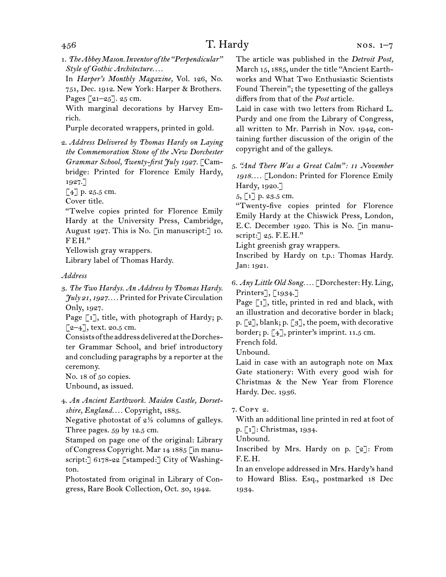1. *The Abbey Mason. Inventor of the "Perpendicular" Style of Gothic Architecture. . . .*

In *Harper's Monthly Magazine,* Vol. 126, No. 751, Dec. 1912. New York: Harper & Brothers. Pages [21–25]. 25 cm.

With marginal decorations by Harvey Emrich.

Purple decorated wrappers, printed in gold.

2. *Address Delivered by Thomas Hardy on Laying the Commemoration Stone of the New Dorchester Grammar School, Twenty-first July 1927.* [Cambridge: Printed for Florence Emily Hardy, 1927.]

[4] p. 25.5 cm.

Cover title.

"Twelve copies printed for Florence Emily Hardy at the University Press, Cambridge, August 1927. This is No. [in manuscript:] 10. FEH."

Yellowish gray wrappers. Library label of Thomas Hardy.

### *Address*

3. *The Two Hardys. An Address by Thomas Hardy. July 21, 1927. . . .* Printed for Private Circulation Only, 1927.

Page [1], title, with photograph of Hardy; p.  $[2-4]$ , text. 20.5 cm.

Consists of the address delivered at the Dorchester Grammar School, and brief introductory and concluding paragraphs by a reporter at the ceremony.

No. 18 of 50 copies.

Unbound, as issued.

4. *An Ancient Earthwork. Maiden Castle, Dorsetshire, England. . . .* Copyright, 1885.

Negative photostat of 2⅓ columns of galleys. Three pages. 59 by 12.5 cm.

Stamped on page one of the original: Library of Congress Copyright. Mar 14 1885 [in manuscript:] 6178-22 [stamped:] City of Washington.

Photostated from original in Library of Congress, Rare Book Collection, Oct. 30, 1942.

The article was published in the *Detroit Post,*  March 15, 1885, under the title "Ancient Earthworks and What Two Enthusiastic Scientists Found Therein"; the typesetting of the galleys differs from that of the *Post* article.

Laid in case with two letters from Richard L. Purdy and one from the Library of Congress, all written to Mr. Parrish in Nov. 1942, containing further discussion of the origin of the copyright and of the galleys.

5. *"And There Was a Great Calm": 11 November 1918. . . .* [London: Printed for Florence Emily Hardy, 1920.]

5, [1] p. 23.5 cm.

"Twenty-five copies printed for Florence Emily Hardy at the Chiswick Press, London, E.C. December 1920. This is No. [in manuscript:] 25. F.E.H."

Light greenish gray wrappers.

Inscribed by Hardy on t.p.: Thomas Hardy. Jan: 1921.

6. *Any Little Old Song. . . .* [Dorchester: Hy. Ling, Printers], [1934.]

Page  $\lceil 1 \rceil$ , title, printed in red and black, with an illustration and decorative border in black; p.  $\lceil 2 \rceil$ , blank; p.  $\lceil 3 \rceil$ , the poem, with decorative border; p. [4], printer's imprint. 11.5 cm.

French fold.

Unbound.

Laid in case with an autograph note on Max Gate stationery: With every good wish for Christmas & the New Year from Florence Hardy. Dec. 1936.

7. Copy 2.

With an additional line printed in red at foot of p. [1]: Christmas, 1934.

Unbound.

Inscribed by Mrs. Hardy on p.  $\lceil 2 \rceil$ : From F.E.H.

In an envelope addressed in Mrs. Hardy's hand to Howard Bliss. Esq., postmarked 18 Dec 1934.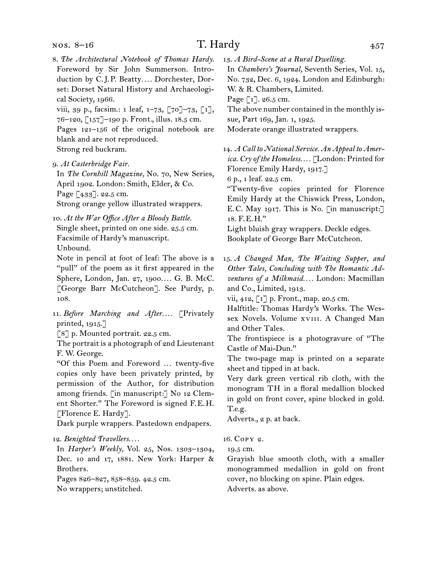### nos. 8–16

# T. Hardy 457

8. *The Architectural Notebook of Thomas Hardy.* Foreword by Sir John Summerson. Introduction by C.J.P. Beatty*. . . .* Dorchester, Dorset: Dorset Natural History and Archaeological Society, 1966.

viii, 39 p., facsim.: 1 leaf,  $1-73$ ,  $\lceil 70 \rceil -73$ ,  $\lceil 1 \rceil$ , 76–120, [157]–190 p. Front., illus. 18.5 cm. Pages 121–156 of the original notebook are blank and are not reproduced. Strong red buckram.

9. *At Casterbridge Fair.*

In *The Cornhill Magazine,* No. 70, New Series, April 1902. London: Smith, Elder, & Co. Page [433]. 22.5 cm. Strong orange yellow illustrated wrappers.

10. *At the War Office After a Bloody Battle.* Single sheet, printed on one side. 25.5 cm. Facsimile of Hardy's manuscript. Unbound.

Note in pencil at foot of leaf: The above is a "pull" of the poem as it first appeared in the Sphere, London, Jan. 27, 1900*. . . .* G. B. McC. [George Barr McCutcheon]. See Purdy, p. 108.

11. *Before Marching and After.... Privately* printed, 1915.]

[8] p. Mounted portrait. 22.5 cm.

The portrait is a photograph of 2nd Lieutenant F. W. George.

"Of this Poem and Foreword … twenty-five copies only have been privately printed, by permission of the Author, for distribution among friends. [in manuscript:] No 12 Clement Shorter." The Foreword is signed F.E.H. [Florence E. Hardy].

Dark purple wrappers. Pastedown endpapers.

#### 12. *Benighted Travellers. . . .*

In *Harper's Weekly,* Vol. 25, Nos. 1303–1304, Dec. 10 and 17, 1881. New York: Harper & Brothers.

Pages 826–827, 858–859. 42.5 cm. No wrappers; unstitched.

13. *A Bird-Scene at a Rural Dwelling.*

In *Chambers's Journal,* Seventh Series, Vol. 15, No. 732, Dec. 6, 1924. London and Edinburgh: W. & R. Chambers, Limited.

Page [1]. 26.5 cm.

The above number contained in the monthly issue, Part 169, Jan. 1, 1925.

Moderate orange illustrated wrappers.

14. *A Call to National Service. An Appeal to America. Cry of the Homeless. . . .* [London: Printed for Florence Emily Hardy, 1917.]

6 p., 1 leaf. 22.5 cm.

"Twenty-five copies printed for Florence Emily Hardy at the Chiswick Press, London, E.C. May 1917. This is No. [in manuscript:] 18. F.E.H."

Light bluish gray wrappers. Deckle edges. Bookplate of George Barr McCutcheon.

15. *A Changed Man, The Waiting Supper, and Other Tales, Concluding with The Romantic Adventures of a Milkmaid. . . .* London: Macmillan and Co., Limited, 1913.

vii, 412, [1] p. Front., map. 20.5 cm.

Halftitle: Thomas Hardy's Works. The Wessex Novels. Volume xviii. A Changed Man and Other Tales.

The frontispiece is a photogravure of "The Castle of Mai-Dun."

The two-page map is printed on a separate sheet and tipped in at back.

Very dark green vertical rib cloth, with the monogram TH in a floral medallion blocked in gold on front cover, spine blocked in gold. T.e.g.

Adverts., 2 p. at back.

16. Copy 2.

19.5 cm.

Grayish blue smooth cloth, with a smaller monogrammed medallion in gold on front cover, no blocking on spine. Plain edges. Adverts. as above.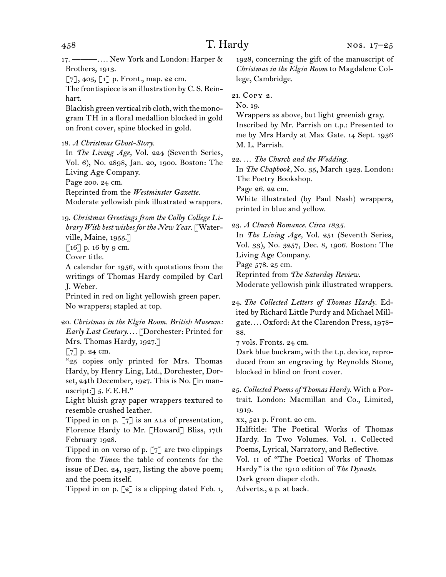17. ———*. . . .* New York and London: Harper & Brothers, 1913.

 $[7], 405, [1]$  p. Front., map. 22 cm.

The frontispiece is an illustration by C. S. Reinhart.

Blackish green vertical rib cloth, with the monogram TH in a floral medallion blocked in gold on front cover, spine blocked in gold.

18. *A Christmas Ghost-Story.*

In *The Living Age,* Vol. 224 (Seventh Series, Vol. 6), No. 2898, Jan. 20, 1900. Boston: The Living Age Company.

Page 200. 24 cm.

Reprinted from the *Westminster Gazette.*

Moderate yellowish pink illustrated wrappers.

19. *Christmas Greetings from the Colby College Library With best wishes for the New Year.* [Waterville, Maine, 1955.]

 $\lceil 16 \rceil$  p. 16 by 9 cm.

Cover title.

A calendar for 1956, with quotations from the writings of Thomas Hardy compiled by Carl J. Weber.

Printed in red on light yellowish green paper. No wrappers; stapled at top.

20. *Christmas in the Elgin Room. British Museum: Early Last Century. . . .* [Dorchester: Printed for Mrs. Thomas Hardy, 1927.]

 $\lceil 7 \rceil$  p. 24 cm.

"25 copies only printed for Mrs. Thomas Hardy, by Henry Ling, Ltd., Dorchester, Dorset, 24th December, 1927. This is No. [in manuscript:  $\exists$  5. F.E.H."

Light bluish gray paper wrappers textured to resemble crushed leather.

Tipped in on p.  $[7]$  is an ALS of presentation, Florence Hardy to Mr. [Howard] Bliss, 17th February 1928.

Tipped in on verso of p. [7] are two clippings from the *Times*: the table of contents for the issue of Dec. 24, 1927, listing the above poem; and the poem itself.

Tipped in on p.  $\lceil 2 \rceil$  is a clipping dated Feb. 1,

1928, concerning the gift of the manuscript of *Christmas in the Elgin Room* to Magdalene College, Cambridge.

# 21. Copy 2.

No. 19.

Wrappers as above, but light greenish gray. Inscribed by Mr. Parrish on t.p.: Presented to me by Mrs Hardy at Max Gate. 14 Sept. 1936 M. L. Parrish.

22. … *The Church and the Wedding.*

In *The Chapbook,* No. 35, March 1923. London: The Poetry Bookshop.

Page 26. 22 cm.

White illustrated (by Paul Nash) wrappers, printed in blue and yellow.

23. *A Church Romance. Circa 1835.*

In *The Living Age,* Vol. 251 (Seventh Series, Vol. 33), No. 3257, Dec. 8, 1906. Boston: The Living Age Company.

Page 578. 25 cm.

Reprinted from *The Saturday Review.*

Moderate yellowish pink illustrated wrappers.

24. *The Collected Letters of Thomas Hardy.* Edited by Richard Little Purdy and Michael Millgate*. . . .* Oxford: At the Clarendon Press, 1978– 88.

7 vols. Fronts. 24 cm.

Dark blue buckram, with the t.p. device, reproduced from an engraving by Reynolds Stone, blocked in blind on front cover.

25. *Collected Poems of Thomas Hardy.* With a Portrait. London: Macmillan and Co., Limited, 1919.

xx, 521 p. Front. 20 cm.

Halftitle: The Poetical Works of Thomas Hardy. In Two Volumes. Vol. i. Collected Poems, Lyrical, Narratory, and Reflective.

Vol. ii of "The Poetical Works of Thomas Hardy" is the 1910 edition of *The Dynasts.*

Dark green diaper cloth.

Adverts., 2 p. at back.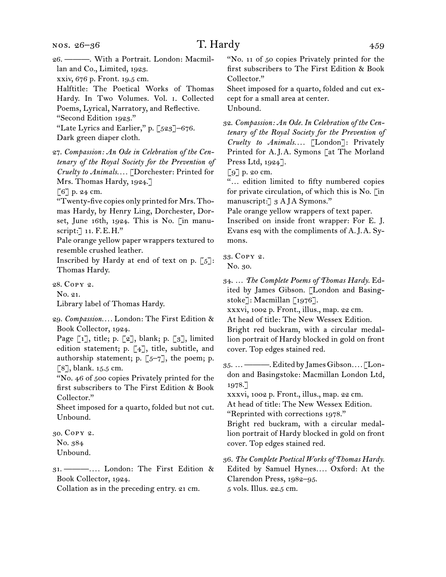- 26. ———. With a Portrait. London: Macmillan and Co., Limited, 1923. xxiv, 676 p. Front. 19.5 cm. Halftitle: The Poetical Works of Thomas Hardy. In Two Volumes. Vol. i. Collected Poems, Lyrical, Narratory, and Reflective. "Second Edition 1923." "Late Lyrics and Earlier," p. [523]–676. Dark green diaper cloth.
- 27. *Compassion: An Ode in Celebration of the Centenary of the Royal Society for the Prevention of Cruelty to Animals. . . .* [Dorchester: Printed for Mrs. Thomas Hardy, 1924.]

[6] p. 24 cm.

"Twenty-five copies only printed for Mrs. Thomas Hardy, by Henry Ling, Dorchester, Dorset, June 16th, 1924. This is No. [in manuscript:] 11. F.E.H."

Pale orange yellow paper wrappers textured to resemble crushed leather.

Inscribed by Hardy at end of text on p.  $[5]$ : Thomas Hardy.

28. Copy 2.

No. 21.

Library label of Thomas Hardy.

- 29. *Compassion. . . .* London: The First Edition & Book Collector, 1924.
- Page [1], title; p. [2], blank; p. [3], limited edition statement; p. [4], title, subtitle, and authorship statement; p.  $[5-7]$ , the poem; p. [8], blank. 15.5 cm.

"No. 46 of 500 copies Privately printed for the first subscribers to The First Edition & Book Collector."

Sheet imposed for a quarto, folded but not cut. Unbound.

30. Copy 2.

No. 384 Unbound.

31. ———*. . . .* London: The First Edition & Book Collector, 1924.

Collation as in the preceding entry. 21 cm.

"No. 11 of 50 copies Privately printed for the first subscribers to The First Edition & Book Collector."

Sheet imposed for a quarto, folded and cut except for a small area at center. Unbound.

32. *Compassion: An Ode. In Celebration of the Centenary of the Royal Society for the Prevention of Cruelty to Animals. . . .* [London]: Privately Printed for A.J.A. Symons [at The Morland Press Ltd, 1924].

[9] p. 20 cm.

"… edition limited to fifty numbered copies for private circulation, of which this is No. [in manuscript: 3 AJA Symons."

Pale orange yellow wrappers of text paper.

Inscribed on inside front wrapper: For E. J. Evans esq with the compliments of A.J.A. Symons.

33. Copy 2.

No. 30.

34. … *The Complete Poems of Thomas Hardy.* Edited by James Gibson. [London and Basingstoke]: Macmillan [1976].

xxxvi, 1002 p. Front., illus., map. 22 cm.

At head of title: The New Wessex Edition. Bright red buckram, with a circular medal-

lion portrait of Hardy blocked in gold on front cover. Top edges stained red.

35. … ———. Edited by James Gibson*. . . .* [London and Basingstoke: Macmillan London Ltd, 1978.]

xxxvi, 1002 p. Front., illus., map. 22 cm.

At head of title: The New Wessex Edition.

"Reprinted with corrections 1978."

Bright red buckram, with a circular medallion portrait of Hardy blocked in gold on front cover. Top edges stained red.

36. *The Complete Poetical Works of Thomas Hardy.* Edited by Samuel Hynes*. . . .* Oxford: At the Clarendon Press, 1982–95. 5 vols. Illus. 22.5 cm.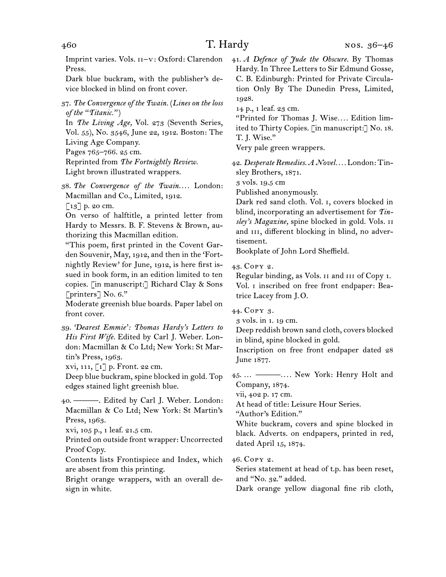Imprint varies. Vols. ii–v: Oxford: Clarendon Press.

Dark blue buckram, with the publisher's device blocked in blind on front cover.

37. *The Convergence of the Twain.* (*Lines on the loss of the "Titanic."* )

In *The Living Age,* Vol. 273 (Seventh Series, Vol. 55), No. 3546, June 22, 1912. Boston: The Living Age Company.

Pages 765–766. 25 cm.

Reprinted from *The Fortnightly Review.*

Light brown illustrated wrappers.

38. *The Convergence of the Twain. . . .* London: Macmillan and Co., Limited, 1912.

[13] p. 20 cm.

On verso of halftitle, a printed letter from Hardy to Messrs. B. F. Stevens & Brown, authorizing this Macmillan edition.

"This poem, first printed in the Covent Garden Souvenir, May, 1912, and then in the 'Fortnightly Review' for June, 1912, is here first issued in book form, in an edition limited to ten copies. [in manuscript:] Richard Clay & Sons [printers] No. 6."

Moderate greenish blue boards. Paper label on front cover.

xvi, 111, [1] p. Front. 22 cm.

Deep blue buckram, spine blocked in gold. Top edges stained light greenish blue.

40. ———. Edited by Carl J. Weber. London: Macmillan & Co Ltd; New York: St Martin's Press, 1963.

xvi, 105 p., 1 leaf. 21.5 cm.

Printed on outside front wrapper: Uncorrected Proof Copy.

Contents lists Frontispiece and Index, which are absent from this printing.

Bright orange wrappers, with an overall design in white.

41. *A Defence of Jude the Obscure.* By Thomas Hardy. In Three Letters to Sir Edmund Gosse, C. B. Edinburgh: Printed for Private Circulation Only By The Dunedin Press, Limited, 1928.

14 p., 1 leaf. 23 cm.

"Printed for Thomas J. Wise*. . . .* Edition limited to Thirty Copies. [in manuscript:] No. 18. T. J. Wise."

Very pale green wrappers.

42. *Desperate Remedies. A Novel. . . .* London: Tinsley Brothers, 1871.

3 vols. 19.5 cm

Published anonymously.

Dark red sand cloth. Vol. i, covers blocked in blind, incorporating an advertisement for *Tinsley's Magazine,* spine blocked in gold. Vols. ii and III, different blocking in blind, no advertisement.

Bookplate of John Lord Sheffield.

43. Copy 2.

Regular binding, as Vols. ii and iii of Copy 1. Vol. i inscribed on free front endpaper: Beatrice Lacey from J.O.

44. Copy 3.

3 vols. in 1. 19 cm.

Deep reddish brown sand cloth, covers blocked in blind, spine blocked in gold.

Inscription on free front endpaper dated 28 June 1877.

45. … ———*. . . .* New York: Henry Holt and Company, 1874.

vii, 402 p. 17 cm.

At head of title: Leisure Hour Series.

"Author's Edition."

White buckram, covers and spine blocked in black. Adverts. on endpapers, printed in red, dated April 15, 1874.

46. Copy 2.

Series statement at head of t.p. has been reset, and "No. 32." added.

Dark orange yellow diagonal fine rib cloth,

<sup>39.</sup> *'Dearest Emmie': Thomas Hardy's Letters to His First Wife.* Edited by Carl J. Weber. London: Macmillan & Co Ltd; New York: St Martin's Press, 1963.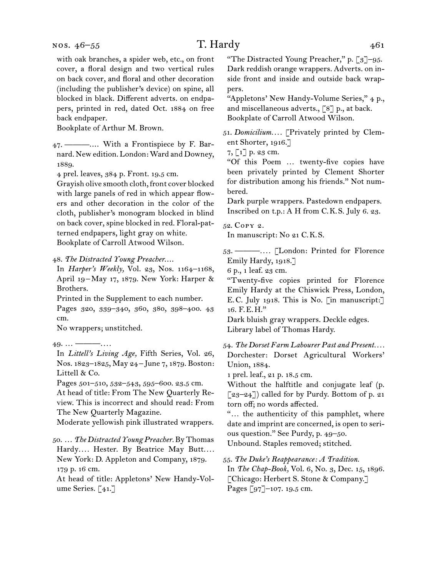with oak branches, a spider web, etc., on front cover, a floral design and two vertical rules on back cover, and floral and other decoration (including the publisher's device) on spine, all blocked in black. Different adverts. on endpapers, printed in red, dated Oct. 1884 on free back endpaper.

Bookplate of Arthur M. Brown.

47. ———.... With a Frontispiece by F. Barnard. New edition. London: Ward and Downey, 1889.

4 prel. leaves, 384 p. Front. 19.5 cm.

Grayish olive smooth cloth, front cover blocked with large panels of red in which appear flowers and other decoration in the color of the cloth, publisher's monogram blocked in blind on back cover, spine blocked in red. Floral-patterned endpapers, light gray on white. Bookplate of Carroll Atwood Wilson.

48. *The Distracted Young Preacher*....

In *Harper's Weekly,* Vol. 23, Nos. 1164–1168, April 19–May 17, 1879. New York: Harper & Brothers.

Printed in the Supplement to each number. Pages 320, 339–340, 360, 380, 398–400. 43 cm.

No wrappers; unstitched.

49. … ———*. . . .*

In *Littell's Living Age,* Fifth Series, Vol. 26, Nos. 1823–1825, May 24–June 7, 1879. Boston: Littell & Co.

Pages 501–510, 532–543, 595–600. 23.5 cm. At head of title: From The New Quarterly Review. This is incorrect and should read: From The New Quarterly Magazine.

Moderate yellowish pink illustrated wrappers.

50. … *The Distracted Young Preacher.* By Thomas Hardy*. . . .* Hester. By Beatrice May Butt*. . . .* New York: D. Appleton and Company, 1879. 179 p. 16 cm.

At head of title: Appletons' New Handy-Volume Series. [41.]

"The Distracted Young Preacher," p. [3]-95. Dark reddish orange wrappers. Adverts. on inside front and inside and outside back wrappers.

"Appletons' New Handy-Volume Series," 4 p., and miscellaneous adverts., [8] p., at back. Bookplate of Carroll Atwood Wilson.

51. *Domicilium. . . .* [Privately printed by Clement Shorter, 1916.]

 $7, 1$ ] p. 23 cm.

"Of this Poem … twenty-five copies have been privately printed by Clement Shorter for distribution among his friends." Not numbered.

Dark purple wrappers. Pastedown endpapers. Inscribed on t.p.: A H from C.K.S. July 6. 23.

52. Copy 2.

In manuscript: No 21 C.K.S.

53. ———*. . . .* [London: Printed for Florence Emily Hardy, 1918.]

6 p., 1 leaf. 23 cm.

"Twenty-five copies printed for Florence Emily Hardy at the Chiswick Press, London, E.C. July 1918. This is No. [in manuscript:] 16. F.E.H."

Dark bluish gray wrappers. Deckle edges. Library label of Thomas Hardy.

54. *The Dorset Farm Labourer Past and Present. . . .* Dorchester: Dorset Agricultural Workers' Union, 1884.

1 prel. leaf., 21 p. 18.5 cm.

Without the halftitle and conjugate leaf (p.  $[23-24]$ ) called for by Purdy. Bottom of p. 21 torn off; no words affected.

"… the authenticity of this pamphlet, where date and imprint are concerned, is open to serious question." See Purdy, p. 49–50.

Unbound. Staples removed; stitched.

55. *The Duke's Reappearance: A Tradition.*

In *The Chap-Book,* Vol. 6, No. 3, Dec. 15, 1896. [Chicago: Herbert S. Stone & Company.] Pages [97]–107. 19.5 cm.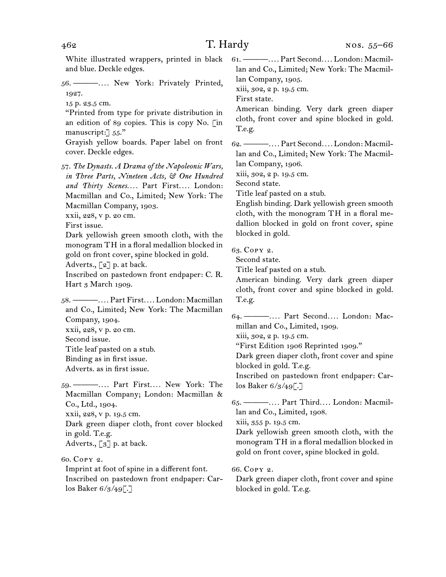White illustrated wrappers, printed in black and blue. Deckle edges.

- 56. ———*. . . .* New York: Privately Printed, 1927.
	- 15 p. 23.5 cm.

"Printed from type for private distribution in an edition of 89 copies. This is copy No. [in manuscript: 55."

Grayish yellow boards. Paper label on front cover. Deckle edges.

57. *The Dynasts. A Drama of the Napoleonic Wars, in Three Parts, Nineteen Acts, & One Hundred and Thirty Scenes. . . .* Part First*. . . .* London: Macmillan and Co., Limited; New York: The Macmillan Company, 1903.

xxii, 228, v p. 20 cm.

First issue.

Dark yellowish green smooth cloth, with the monogram TH in a floral medallion blocked in gold on front cover, spine blocked in gold.

Adverts., [2] p. at back.

Inscribed on pastedown front endpaper: C. R. Hart 3 March 1909.

58. ———*. . . .* Part First*. . . .* London: Macmillan and Co., Limited; New York: The Macmillan Company, 1904. xxii, 228, v p. 20 cm.

Second issue. Title leaf pasted on a stub. Binding as in first issue.

Adverts. as in first issue.

59. ———*. . . .* Part First*. . . .* New York: The Macmillan Company; London: Macmillan & Co., Ltd., 1904. xxii, 228, v p. 19.5 cm. Dark green diaper cloth, front cover blocked in gold. T.e.g. Adverts., [3] p. at back.

60. Copy 2.

Imprint at foot of spine in a different font. Inscribed on pastedown front endpaper: Carlos Baker 6/3/49[.]

61. ———*. . . .* Part Second*. . . .* London: Macmillan and Co., Limited; New York: The Macmillan Company, 1905.

xiii, 302, 2 p. 19.5 cm.

First state.

American binding. Very dark green diaper cloth, front cover and spine blocked in gold. T.e.g.

62. ———*. . . .* Part Second*. . . .* London: Macmillan and Co., Limited; New York: The Macmillan Company, 1906.

xiii, 302, 2 p. 19.5 cm.

Second state.

Title leaf pasted on a stub.

English binding. Dark yellowish green smooth cloth, with the monogram TH in a floral medallion blocked in gold on front cover, spine blocked in gold.

63. Copy 2.

Second state.

Title leaf pasted on a stub.

American binding. Very dark green diaper cloth, front cover and spine blocked in gold. T.e.g.

64. ———*. . . .* Part Second*. . . .* London: Macmillan and Co., Limited, 1909.

xiii, 302, 2 p. 19.5 cm.

"First Edition 1906 Reprinted 1909."

Dark green diaper cloth, front cover and spine blocked in gold. T.e.g.

Inscribed on pastedown front endpaper: Carlos Baker  $6/3/49$ .

65. ———*. . . .* Part Third*. . . .* London: Macmillan and Co., Limited, 1908.

xiii, 355 p. 19.5 cm.

Dark yellowish green smooth cloth, with the monogram TH in a floral medallion blocked in gold on front cover, spine blocked in gold.

66. Copy 2.

Dark green diaper cloth, front cover and spine blocked in gold. T.e.g.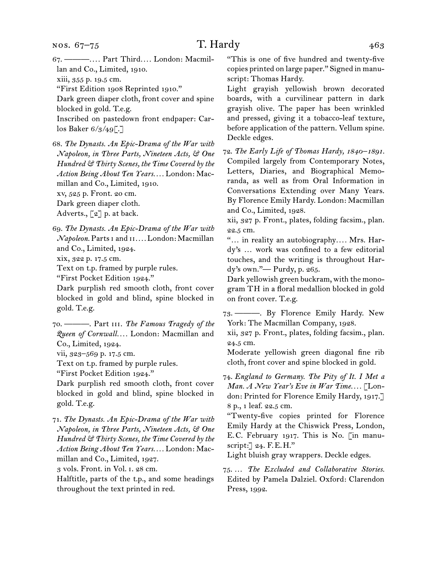67. ———*. . . .* Part Third*. . . .* London: Macmillan and Co., Limited, 1910.

xiii, 355 p. 19.5 cm.

"First Edition 1908 Reprinted 1910."

Dark green diaper cloth, front cover and spine blocked in gold. T.e.g.

Inscribed on pastedown front endpaper: Carlos Baker 6/3/49[.]

68. *The Dynasts. An Epic-Drama of the War with Napoleon, in Three Parts, Nineteen Acts, & One Hundred & Thirty Scenes, the Time Covered by the Action Being About Ten Years. . . .* London: Macmillan and Co., Limited, 1910.

xv, 525 p. Front. 20 cm.

Dark green diaper cloth.

Adverts., [2] p. at back.

69. *The Dynasts. An Epic-Drama of the War with Napoleon.* Parts i and ii*. . . .* London: Macmillan and Co., Limited, 1924.

xix, 322 p. 17.5 cm.

Text on t.p. framed by purple rules.

"First Pocket Edition 1924."

Dark purplish red smooth cloth, front cover blocked in gold and blind, spine blocked in gold. T.e.g.

- 70. ———. Part iii. *The Famous Tragedy of the Queen of Cornwall. . . .* London: Macmillan and Co., Limited, 1924.
- vii, 323–569 p. 17.5 cm.

Text on t.p. framed by purple rules.

"First Pocket Edition 1924."

Dark purplish red smooth cloth, front cover blocked in gold and blind, spine blocked in gold. T.e.g.

71. *The Dynasts. An Epic-Drama of the War with Napoleon, in Three Parts, Nineteen Acts, & One Hundred & Thirty Scenes, the Time Covered by the Action Being About Ten Years. . . .* London: Macmillan and Co., Limited, 1927.

3 vols. Front. in Vol. i. 28 cm.

Halftitle, parts of the t.p., and some headings throughout the text printed in red.

"This is one of five hundred and twenty-five copies printed on large paper." Signed in manuscript: Thomas Hardy.

Light grayish yellowish brown decorated boards, with a curvilinear pattern in dark grayish olive. The paper has been wrinkled and pressed, giving it a tobacco-leaf texture, before application of the pattern. Vellum spine. Deckle edges.

72. *The Early Life of Thomas Hardy, 1840–1891.* Compiled largely from Contemporary Notes, Letters, Diaries, and Biographical Memoranda, as well as from Oral Information in Conversations Extending over Many Years. By Florence Emily Hardy. London: Macmillan and Co., Limited, 1928.

xii, 327 p. Front., plates, folding facsim., plan. 22.5 cm.

"… in reality an autobiography*. . . .* Mrs. Hardy's … work was confined to a few editorial touches, and the writing is throughout Hardy's own."— Purdy, p. 265.

Dark yellowish green buckram, with the monogram TH in a floral medallion blocked in gold on front cover. T.e.g.

73. ———. By Florence Emily Hardy. New York: The Macmillan Company, 1928.

xii, 327 p. Front., plates, folding facsim., plan. 24.5 cm.

Moderate yellowish green diagonal fine rib cloth, front cover and spine blocked in gold.

74. *England to Germany. The Pity of It. I Met a Man. A New Year's Eve in War Time. . . .* [London: Printed for Florence Emily Hardy, 1917.] 8 p., 1 leaf. 22.5 cm.

"Twenty-five copies printed for Florence Emily Hardy at the Chiswick Press, London, E.C. February 1917. This is No. [in manuscript:] 24. F.E.H."

Light bluish gray wrappers. Deckle edges.

75. … *The Excluded and Collaborative Stories.*  Edited by Pamela Dalziel. Oxford: Clarendon Press, 1992.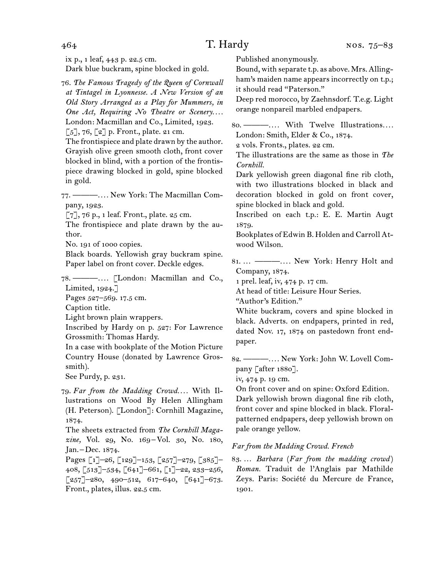ix p., 1 leaf, 443 p. 22.5 cm. Dark blue buckram, spine blocked in gold.

76. *The Famous Tragedy of the Queen of Cornwall at Tintagel in Lyonnesse. A New Version of an Old Story Arranged as a Play for Mummers, in One Act, Requiring No Theatre or Scenery. . . .* London: Macmillan and Co., Limited, 1923.  $\lbrack 5 \rbrack, 76, \lbrack 2 \rbrack$  p. Front., plate. 21 cm.

The frontispiece and plate drawn by the author. Grayish olive green smooth cloth, front cover blocked in blind, with a portion of the frontispiece drawing blocked in gold, spine blocked in gold.

77. ———*. . . .* New York: The Macmillan Company, 1923.

 $\lbrack 7 \rbrack, 76$  p., 1 leaf. Front., plate. 25 cm.

The frontispiece and plate drawn by the author.

No. 191 of 1000 copies.

Black boards. Yellowish gray buckram spine. Paper label on front cover. Deckle edges.

78. ———*. . . .* [London: Macmillan and Co., Limited, 1924.]

Pages 527–569. 17.5 cm.

Caption title.

Light brown plain wrappers.

Inscribed by Hardy on p. 527: For Lawrence Grossmith: Thomas Hardy.

In a case with bookplate of the Motion Picture Country House (donated by Lawrence Grossmith).

See Purdy, p. 231.

79. *Far from the Madding Crowd. . . .* With Illustrations on Wood By Helen Allingham (H. Peterson). [London]: Cornhill Magazine, 1874.

The sheets extracted from *The Cornhill Maga*zine, Vol. 29, No. 169-Vol. 30, No. 180, Jan. –Dec. 1874.

Pages [1]–26, [129]–153, [257]–279, [385]– 408, [513]–534, [641]–661, [1]–22, 233–256,  $\left[257\right]$ –280, 490–512, 617–640,  $\left[641\right]$ –673. Front., plates, illus. 22.5 cm.

Published anonymously.

Bound, with separate t.p. as above. Mrs. Allingham's maiden name appears incorrectly on t.p.; it should read "Paterson."

Deep red morocco, by Zaehnsdorf. T.e.g. Light orange nonpareil marbled endpapers.

80. ———*. . . .* With Twelve Illustrations*. . . .* London: Smith, Elder & Co., 1874.

2 vols. Fronts., plates. 22 cm.

The illustrations are the same as those in *The Cornhill.*

Dark yellowish green diagonal fine rib cloth, with two illustrations blocked in black and decoration blocked in gold on front cover, spine blocked in black and gold.

Inscribed on each t.p.: E. E. Martin Augt 1879.

Bookplates of Edwin B. Holden and Carroll Atwood Wilson.

81. … ———*. . . .* New York: Henry Holt and Company, 1874.

1 prel. leaf, iv, 474 p. 17 cm.

At head of title: Leisure Hour Series.

"Author's Edition."

White buckram, covers and spine blocked in black. Adverts. on endpapers, printed in red, dated Nov. 17, 1874 on pastedown front endpaper.

82. ———*. . . .* New York: John W. Lovell Company [after 1880].

iv, 474 p. 19 cm.

On front cover and on spine: Oxford Edition. Dark yellowish brown diagonal fine rib cloth, front cover and spine blocked in black. Floralpatterned endpapers, deep yellowish brown on pale orange yellow.

## *Far from the Madding Crowd. French*

83. … *Barbara* (*Far from the madding crowd* ) *Roman.* Traduit de l'Anglais par Mathilde Zeys. Paris: Société du Mercure de France, 1901.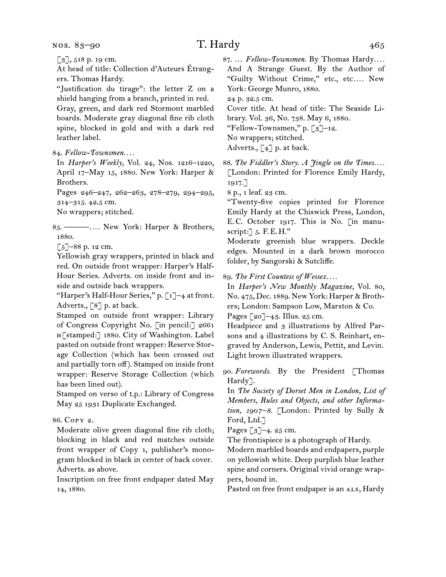[3], 518 p. 19 cm.

At head of title: Collection d'Auteurs Étrangers. Thomas Hardy.

"Justification du tirage": the letter Z on a shield hanging from a branch, printed in red.

Gray, green, and dark red Stormont marbled boards. Moderate gray diagonal fine rib cloth spine, blocked in gold and with a dark red leather label.

84. *Fellow-Townsmen. . . .*

In *Harper's Weekly,* Vol. 24, Nos. 1216–1220, April 17–May 15, 1880. New York: Harper & Brothers.

Pages 246–247, 262–263, 278–279, 294–295, 314–315. 42.5 cm.

No wrappers; stitched.

85. ———*. . . .* New York: Harper & Brothers, 1880.

 $\lbrack 5 \rbrack$ –88 p. 12 cm.

Yellowish gray wrappers, printed in black and red. On outside front wrapper: Harper's Half-Hour Series. Adverts. on inside front and inside and outside back wrappers.

"Harper's Half-Hour Series," p. [1]–4 at front. Adverts., [8] p. at back.

Stamped on outside front wrapper: Library of Congress Copyright No. [in pencil:] 2661 h[stamped:] 1880. City of Washington. Label pasted on outside front wrapper: Reserve Storage Collection (which has been crossed out and partially torn off). Stamped on inside front wrapper: Reserve Storage Collection (which has been lined out).

Stamped on verso of t.p.: Library of Congress May 25 1931 Duplicate Exchanged.

86. Copy 2.

Moderate olive green diagonal fine rib cloth; blocking in black and red matches outside front wrapper of Copy 1, publisher's monogram blocked in black in center of back cover. Adverts. as above.

Inscription on free front endpaper dated May 14, 1880.

87. … *Fellow-Townsmen.* By Thomas Hardy*. . . .* And A Strange Guest. By the Author of "Guilty Without Crime," etc., etc*. . . .* New York: George Munro, 1880.

24 p. 32.5 cm.

Cover title. At head of title: The Seaside Li-

brary. Vol. 36, No. 738. May 6, 1880.

"Fellow-Townsmen," p. [3]–12.

No wrappers; stitched.

Adverts., [4] p. at back.

88. *The Fiddler's Story. A Jingle on the Times. . . .* [London: Printed for Florence Emily Hardy, 1917.]

8 p., 1 leaf. 23 cm.

"Twenty-five copies printed for Florence Emily Hardy at the Chiswick Press, London, E.C. October 1917. This is No. [in manuscript:  $\mathcal{L}[5, \mathcal{F}, \mathcal{F}, \mathcal{F}, \mathcal{H}]$ ."

Moderate greenish blue wrappers. Deckle edges. Mounted in a dark brown morocco folder, by Sangorski & Sutcliffe.

89. *The First Countess of Wessex. . . .*

In *Harper's New Monthly Magazine,* Vol. 80, No. 475, Dec. 1889. New York: Harper & Brothers; London: Sampson Low, Marston & Co.

Pages [20]–43. Illus. 25 cm.

Headpiece and 3 illustrations by Alfred Parsons and 4 illustrations by C. S. Reinhart, engraved by Anderson, Lewis, Pettit, and Levin. Light brown illustrated wrappers.

90. *Forewords.* By the President [Thomas Hardy].

In *The Society of Dorset Men in London, List of Members, Rules and Objects, and other Information, 1907–8.* [London: Printed by Sully & Ford, Ltd.]

Pages [3]–4. 25 cm.

The frontispiece is a photograph of Hardy.

Modern marbled boards and endpapers, purple on yellowish white. Deep purplish blue leather spine and corners. Original vivid orange wrappers, bound in.

Pasted on free front endpaper is an ALS, Hardy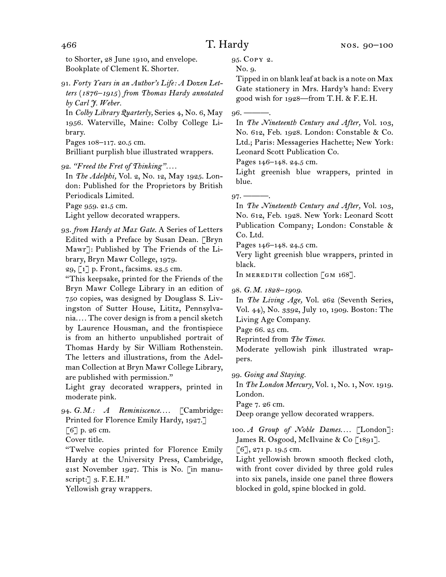to Shorter, 28 June 1910, and envelope. Bookplate of Clement K. Shorter.

91. *Forty Years in an Author's Life: A Dozen Letters* (*1876–1915* ) *from Thomas Hardy annotated by Carl J. Weber.*

In *Colby Library Quarterly,* Series 4, No. 6, May 1956. Waterville, Maine: Colby College Library.

Pages 108–117. 20.5 cm.

Brilliant purplish blue illustrated wrappers.

92. *"Freed the Fret of Thinking". . . .*

In *The Adelphi,* Vol. 2, No. 12, May 1925. London: Published for the Proprietors by British Periodicals Limited.

Page 959. 21.5 cm.

Light yellow decorated wrappers.

93. *from Hardy at Max Gate.* A Series of Letters Edited with a Preface by Susan Dean. [Bryn Mawr]: Published by The Friends of the Library, Bryn Mawr College, 1979.

29, [1] p. Front., facsims. 23.5 cm.

"This keepsake, printed for the Friends of the Bryn Mawr College Library in an edition of 750 copies, was designed by Douglass S. Livingston of Sutter House, Lititz, Pennsylvania*. . . .* The cover design is from a pencil sketch by Laurence Housman, and the frontispiece is from an hitherto unpublished portrait of Thomas Hardy by Sir William Rothenstein. The letters and illustrations, from the Adelman Collection at Bryn Mawr College Library, are published with permission."

Light gray decorated wrappers, printed in moderate pink.

94. *G.M.: A Reminiscence. . . .* [Cambridge: Printed for Florence Emily Hardy, 1927.]

[6] p. 26 cm.

Cover title.

"Twelve copies printed for Florence Emily Hardy at the University Press, Cambridge, 21st November 1927. This is No. [in manuscript:  $\Box$  3. F.E.H."

Yellowish gray wrappers.

95. Copy 2.

No. 9.

Tipped in on blank leaf at back is a note on Max Gate stationery in Mrs. Hardy's hand: Every good wish for 1928—from T.H. & F.E.H.

 $96. -$ 

In *The Nineteenth Century and After,* Vol. 103, No. 612, Feb. 1928. London: Constable & Co. Ltd.; Paris: Messageries Hachette; New York: Leonard Scott Publication Co.

Pages 146–148. 24.5 cm.

Light greenish blue wrappers, printed in blue.

 $97.$  ——

In *The Nineteenth Century and After,* Vol. 103, No. 612, Feb. 1928. New York: Leonard Scott Publication Company; London: Constable & Co. Ltd.

Pages 146–148. 24.5 cm.

Very light greenish blue wrappers, printed in black.

In MEREDITH collection  $\lceil$  GM 168].

98. *G.M. 1828–1909.*

In *The Living Age,* Vol. 262 (Seventh Series, Vol. 44), No. 3392, July 10, 1909. Boston: The Living Age Company.

Page 66. 25 cm.

Reprinted from *The Times.*

Moderate yellowish pink illustrated wrappers.

99. *Going and Staying.*

In *The London Mercury,* Vol. 1, No. 1, Nov. 1919. London.

Page 7. 26 cm.

Deep orange yellow decorated wrappers.

100. *A* Group of Noble Dames.... [London]: James R. Osgood, McIlvaine & Co [1891].

[6], 271 p. 19.5 cm.

Light yellowish brown smooth flecked cloth, with front cover divided by three gold rules into six panels, inside one panel three flowers blocked in gold, spine blocked in gold.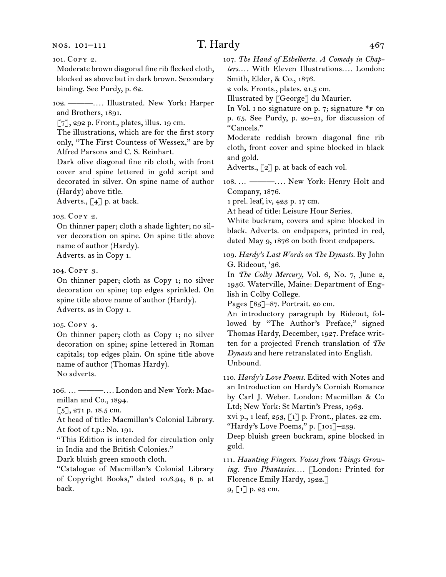#### nos. 101–111

# T. Hardy  $467$

Moderate brown diagonal fine rib flecked cloth, blocked as above but in dark brown. Secondary binding. See Purdy, p. 62.

102. ———*. . . .* Illustrated. New York: Harper and Brothers, 1891.

[7], 292 p. Front., plates, illus. 19 cm.

The illustrations, which are for the first story only, "The First Countess of Wessex," are by Alfred Parsons and C. S. Reinhart.

Dark olive diagonal fine rib cloth, with front cover and spine lettered in gold script and decorated in silver. On spine name of author (Hardy) above title.

Adverts., [4] p. at back.

## 103. Copy 2.

On thinner paper; cloth a shade lighter; no silver decoration on spine. On spine title above name of author (Hardy).

Adverts. as in Copy 1.

### 104. Copy 3.

On thinner paper; cloth as Copy 1; no silver decoration on spine; top edges sprinkled. On spine title above name of author (Hardy). Adverts. as in Copy 1.

105. Copy 4.

On thinner paper; cloth as Copy 1; no silver decoration on spine; spine lettered in Roman capitals; top edges plain. On spine title above name of author (Thomas Hardy). No adverts.

106. … ———*. . . .* London and New York: Macmillan and Co., 1894.

 $\lceil 5 \rceil$ , 271 p. 18.5 cm.

At head of title: Macmillan's Colonial Library. At foot of t.p.: No. 191.

"This Edition is intended for circulation only in India and the British Colonies."

Dark bluish green smooth cloth.

"Catalogue of Macmillan's Colonial Library of Copyright Books," dated 10.6.94, 8 p. at back.

107. *The Hand of Ethelberta. A Comedy in Chapters. . . .* With Eleven Illustrations*. . . .* London: Smith, Elder, & Co., 1876.

2 vols. Fronts., plates. 21.5 cm.

Illustrated by [George] du Maurier.

In Vol.  $\mu$  no signature on p. 7; signature \*F on p. 65. See Purdy, p. 20–21, for discussion of "Cancels."

Moderate reddish brown diagonal fine rib cloth, front cover and spine blocked in black and gold.

Adverts., [2] p. at back of each vol.

108. … ———*. . . .* New York: Henry Holt and Company, 1876.

1 prel. leaf, iv, 423 p. 17 cm.

At head of title: Leisure Hour Series.

White buckram, covers and spine blocked in black. Adverts. on endpapers, printed in red, dated May 9, 1876 on both front endpapers.

109. *Hardy's Last Words on The Dynasts.* By John G. Rideout, '36.

In *The Colby Mercury,* Vol. 6, No. 7, June 2, 1936. Waterville, Maine: Department of English in Colby College.

Pages [85]-87. Portrait. 20 cm.

An introductory paragraph by Rideout, followed by "The Author's Preface," signed Thomas Hardy, December, 1927. Preface written for a projected French translation of *The Dynasts* and here retranslated into English. Unbound.

110. *Hardy's Love Poems.* Edited with Notes and an Introduction on Hardy's Cornish Romance by Carl J. Weber. London: Macmillan & Co Ltd; New York: St Martin's Press, 1963.

xvi p., 1 leaf, 253, [1] p. Front., plates. 22 cm. "Hardy's Love Poems," p. [101]–239.

Deep bluish green buckram, spine blocked in gold.

111. *Haunting Fingers. Voices from Things Growing. Two Phantasies. . . .* [London: Printed for Florence Emily Hardy, 1922.] 9, [1] p. 23 cm.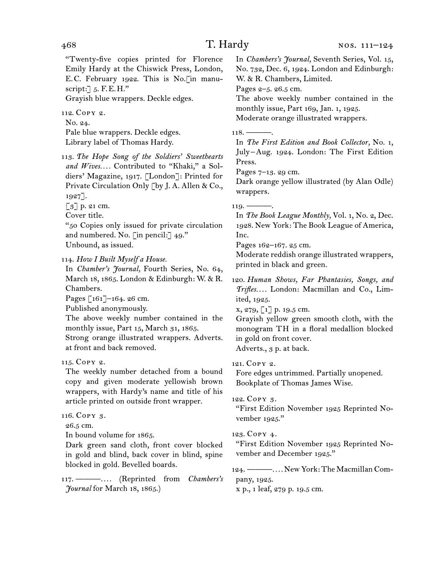"Twenty-five copies printed for Florence Emily Hardy at the Chiswick Press, London, E.C. February 1922. This is No.[in manuscript: $\exists$  5. F.E.H."

Grayish blue wrappers. Deckle edges.

112. Copy 2.

No. 24.

Pale blue wrappers. Deckle edges. Library label of Thomas Hardy.

113. *The Hope Song of the Soldiers' Sweethearts and Wives. . . .* Contributed to "Khaki," a Soldiers' Magazine, 1917. [London]: Printed for Private Circulation Only [by J. A. Allen & Co., 1927].

[3] p. 21 cm.

Cover title.

"50 Copies only issued for private circulation and numbered. No. [in pencil:] 49." Unbound, as issued.

114. *How I Built Myself a House.*

In *Chamber's Journal,* Fourth Series, No. 64, March 18, 1865. London & Edinburgh: W. & R. Chambers.

Pages [161]–164. 26 cm.

Published anonymously.

The above weekly number contained in the monthly issue, Part 15, March 31, 1865.

Strong orange illustrated wrappers. Adverts. at front and back removed.

# 115. Copy 2.

The weekly number detached from a bound copy and given moderate yellowish brown wrappers, with Hardy's name and title of his article printed on outside front wrapper.

## 116. Copy 3.

26.5 cm.

In bound volume for 1865.

Dark green sand cloth, front cover blocked in gold and blind, back cover in blind, spine blocked in gold. Bevelled boards.

117. ———*. . . .* (Reprinted from *Chambers's Journal* for March 18, 1865.)

In *Chambers's Journal,* Seventh Series, Vol. 15, No. 732, Dec. 6, 1924. London and Edinburgh: W. & R. Chambers, Limited.

Pages 2–5. 26.5 cm.

The above weekly number contained in the monthly issue, Part 169, Jan. 1, 1925.

Moderate orange illustrated wrappers.

 $118. -$ 

In *The First Edition and Book Collector,* No. 1, July –Aug. 1924. London: The First Edition Press.

Pages 7–13. 29 cm.

Dark orange yellow illustrated (by Alan Odle) wrappers.

 $119.$  ———.

In *The Book League Monthly,* Vol. 1, No. 2, Dec. 1928. New York: The Book League of America, Inc.

Pages 162–167. 25 cm.

Moderate reddish orange illustrated wrappers, printed in black and green.

120. *Human Shows, Far Phantasies, Songs, and Trifles. . . .* London: Macmillan and Co., Limited, 1925.

x, 279, [1] p. 19.5 cm.

Grayish yellow green smooth cloth, with the monogram TH in a floral medallion blocked in gold on front cover.

Adverts., 3 p. at back.

## 121. Copy 2.

Fore edges untrimmed. Partially unopened. Bookplate of Thomas James Wise.

## 122. Copy 3.

"First Edition November 1925 Reprinted November 1925."

## 123. Copy 4.

"First Edition November 1925 Reprinted November and December 1925."

124. ———*. . . .* New York: The Macmillan Company, 1925.

x p., 1 leaf, 279 p. 19.5 cm.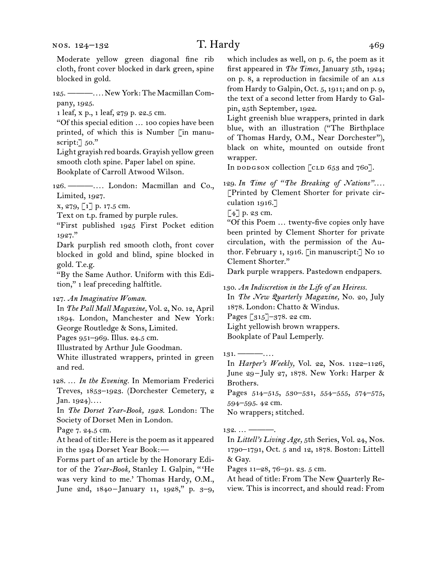Moderate yellow green diagonal fine rib cloth, front cover blocked in dark green, spine blocked in gold.

125. ———*. . . .* New York: The Macmillan Company, 1925.

1 leaf, x p., 1 leaf, 279 p. 22.5 cm.

"Of this special edition … 100 copies have been printed, of which this is Number [in manuscript: 50."

Light grayish red boards. Grayish yellow green smooth cloth spine. Paper label on spine. Bookplate of Carroll Atwood Wilson.

126. ———*. . . .* London: Macmillan and Co., Limited, 1927.

x, 279, [1] p. 17.5 cm.

Text on t.p. framed by purple rules.

"First published 1925 First Pocket edition 1927."

Dark purplish red smooth cloth, front cover blocked in gold and blind, spine blocked in gold. T.e.g.

"By the Same Author. Uniform with this Edition," 1 leaf preceding halftitle.

127. *An Imaginative Woman.*

In *The Pall Mall Magazine,* Vol. 2, No. 12, April 1894. London, Manchester and New York: George Routledge & Sons, Limited.

Pages 951–969. Illus. 24.5 cm.

Illustrated by Arthur Jule Goodman.

White illustrated wrappers, printed in green and red.

128. … *In the Evening.* In Memoriam Frederici Treves, 1853–1923. (Dorchester Cemetery, 2 Jan. 1924)*. . . .*

In *The Dorset Year-Book, 1928*. London: The Society of Dorset Men in London.

Page 7. 24.5 cm.

At head of title: Here is the poem as it appeared in the 1924 Dorset Year Book:—

Forms part of an article by the Honorary Editor of the *Year-Book,* Stanley I. Galpin, " 'He was very kind to me.' Thomas Hardy, O.M., June 2nd, 1840-January 11, 1928," p. 3-9,

which includes as well, on p. 6, the poem as it first appeared in *The Times,* January 5th, 1924; on p. 8, a reproduction in facsimile of an ALS from Hardy to Galpin, Oct. 5, 1911; and on p. 9, the text of a second letter from Hardy to Galpin, 25th September, 1922.

Light greenish blue wrappers, printed in dark blue, with an illustration ("The Birthplace of Thomas Hardy, O.M., Near Dorchester"), black on white, mounted on outside front wrapper.

In dodgson collection [CLD  $653$  and  $760$ ].

129. In Time of "The Breaking of Nations".... [Printed by Clement Shorter for private circulation 1916.]

[4] p. 23 cm.

"Of this Poem … twenty-five copies only have been printed by Clement Shorter for private circulation, with the permission of the Author. February 1, 1916. [in manuscript:] No 10 Clement Shorter."

Dark purple wrappers. Pastedown endpapers.

130. *An Indiscretion in the Life of an Heiress.* In *The New Quarterly Magazine,* No. 20, July 1878. London: Chatto & Windus. Pages [315]-378. 22 cm. Light yellowish brown wrappers. Bookplate of Paul Lemperly.

131. ———*. . . .* In *Harper's Weekly,* Vol. 22, Nos. 1122–1126, June 29-July 27, 1878. New York: Harper & Brothers.

Pages 514–515, 530–531, 554–555, 574–575, 594–595. 42 cm.

No wrappers; stitched.

 $132... -$ 

In *Littell's Living Age,* 5th Series, Vol. 24, Nos. 1790–1791, Oct. 5 and 12, 1878. Boston: Littell & Gay.

Pages 11–28, 76–91. 23. 5 cm.

At head of title: From The New Quarterly Review. This is incorrect, and should read: From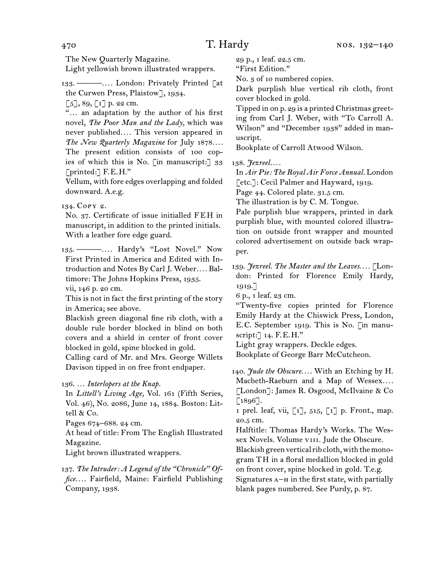The New Quarterly Magazine. Light yellowish brown illustrated wrappers.

133. ———*. . . .* London: Privately Printed [at the Curwen Press, Plaistow], 1934.

 $\lceil 5 \rceil$ , 89,  $\lceil 1 \rceil$  p. 22 cm.

"… an adaptation by the author of his first novel, *The Poor Man and the Lady,* which was never published*. . . .* This version appeared in *The New Quarterly Magazine* for July 1878*. . . .*  The present edition consists of 100 copies of which this is No. [in manuscript:] 33 [printed:] F.E.H."

Vellum, with fore edges overlapping and folded downward. A.e.g.

134. Copy 2.

No. 37. Certificate of issue initialled FEH in manuscript, in addition to the printed initials. With a leather fore edge guard.

135. ———*. . . .* Hardy's "Lost Novel." Now First Printed in America and Edited with Introduction and Notes By Carl J. Weber*. . . .* Baltimore: The Johns Hopkins Press, 1935.

vii, 146 p. 20 cm.

This is not in fact the first printing of the story in America; see above.

Blackish green diagonal fine rib cloth, with a double rule border blocked in blind on both covers and a shield in center of front cover blocked in gold, spine blocked in gold.

Calling card of Mr. and Mrs. George Willets Davison tipped in on free front endpaper.

136. … *Interlopers at the Knap.*

In *Littell's Living Age,* Vol. 161 (Fifth Series, Vol. 46), No. 2086, June 14, 1884. Boston: Littell & Co.

Pages 674–688. 24 cm.

At head of title: From The English Illustrated Magazine.

Light brown illustrated wrappers.

137. *The Intruder: A Legend of the "Chronicle" Office. . . .* Fairfield, Maine: Fairfield Publishing Company, 1938.

29 p., 1 leaf. 22.5 cm.

"First Edition."

No. 3 of 10 numbered copies.

Dark purplish blue vertical rib cloth, front cover blocked in gold.

Tipped in on p. 29 is a printed Christmas greeting from Carl J. Weber, with "To Carroll A. Wilson" and "December 1938" added in manuscript.

Bookplate of Carroll Atwood Wilson.

138. *Jezreel. . . .*

In *Air Pie: The Royal Air Force Annual.* London [etc.]: Cecil Palmer and Hayward, 1919.

Page 44. Colored plate. 31.5 cm.

The illustration is by C. M. Tongue.

Pale purplish blue wrappers, printed in dark purplish blue, with mounted colored illustration on outside front wrapper and mounted colored advertisement on outside back wrapper.

139. *Jezreel. The Master and the Leaves. . . .* [London: Printed for Florence Emily Hardy, 1919.]

6 p., 1 leaf. 23 cm.

"Twenty-five copies printed for Florence Emily Hardy at the Chiswick Press, London, E.C. September 1919. This is No. [in manuscript:] 14. F.E.H."

Light gray wrappers. Deckle edges.

Bookplate of George Barr McCutcheon.

140. *Jude the Obscure. . . .* With an Etching by H. Macbeth-Raeburn and a Map of Wessex.... [London]: James R. Osgood, McIlvaine & Co  $[1896]$ .

1 prel. leaf, vii,  $\begin{bmatrix} 1 \end{bmatrix}$ , 515,  $\begin{bmatrix} 1 \end{bmatrix}$  p. Front., map. 20.5 cm.

Halftitle: Thomas Hardy's Works. The Wessex Novels. Volume VIII. Jude the Obscure.

Blackish green vertical rib cloth, with the monogram TH in a floral medallion blocked in gold on front cover, spine blocked in gold. T.e.g. Signatures  $A$ – $H$  in the first state, with partially blank pages numbered. See Purdy, p. 87.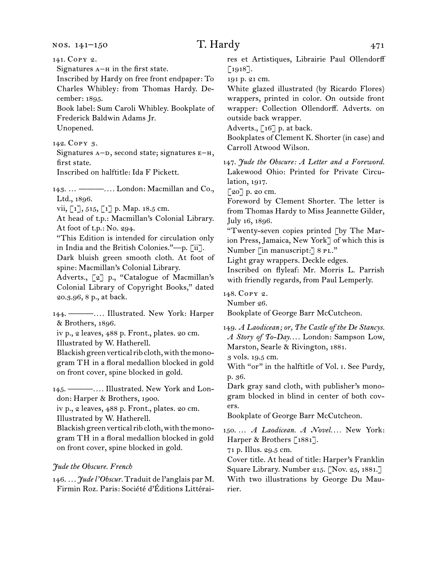nos. 141–150

# $T.$  Hardy  $471$

141. Copy 2. Signatures  $A$ – $H$  in the first state. Inscribed by Hardy on free front endpaper: To Charles Whibley: from Thomas Hardy. December: 1895. Book label: Sum Caroli Whibley. Bookplate of Frederick Baldwin Adams Jr. Unopened. 142. Copy 3. Signatures  $A-D$ , second state; signatures  $E-H$ , first state. Inscribed on halftitle: Ida F Pickett. 143. … ———*. . . .* London: Macmillan and Co., Ltd., 1896. vii,  $\lceil 1 \rceil$ , 515,  $\lceil 1 \rceil$  p. Map. 18.5 cm. At head of t.p.: Macmillan's Colonial Library. At foot of t.p.: No. 294. "This Edition is intended for circulation only in India and the British Colonies."—p. [ii]. Dark bluish green smooth cloth. At foot of spine: Macmillan's Colonial Library. Adverts., [2] p., "Catalogue of Macmillan's Colonial Library of Copyright Books," dated 20.3.96, 8 p., at back. 144. ———*. . . .* Illustrated. New York: Harper & Brothers, 1896. iv p., 2 leaves, 488 p. Front., plates. 20 cm. Illustrated by W. Hatherell.

Blackish green vertical rib cloth, with the monogram TH in a floral medallion blocked in gold on front cover, spine blocked in gold.

145. ———*. . . .* Illustrated. New York and London: Harper & Brothers, 1900.

iv p., 2 leaves, 488 p. Front., plates. 20 cm. Illustrated by W. Hatherell.

Blackish green vertical rib cloth, with the monogram TH in a floral medallion blocked in gold on front cover, spine blocked in gold.

## *Jude the Obscure. French*

146. *. . . Jude l'Obscur.* Traduit de l'anglais par M. Firmin Roz. Paris: Société d'Éditions Littéraires et Artistiques, Librairie Paul Ollendorff [1918].

191 p. 21 cm.

White glazed illustrated (by Ricardo Flores) wrappers, printed in color. On outside front wrapper: Collection Ollendorff. Adverts. on outside back wrapper.

Adverts., [16] p. at back.

Bookplates of Clement K. Shorter (in case) and Carroll Atwood Wilson.

147. *Jude the Obscure: A Letter and a Foreword.* Lakewood Ohio: Printed for Private Circulation, 1917.

[20] p. 20 cm.

Foreword by Clement Shorter. The letter is from Thomas Hardy to Miss Jeannette Gilder, July 16, 1896.

"Twenty-seven copies printed [by The Marion Press, Jamaica, New York] of which this is Number [in manuscript:] 8 PL."

Light gray wrappers. Deckle edges.

Inscribed on flyleaf: Mr. Morris L. Parrish with friendly regards, from Paul Lemperly.

148. Copy 2.

Number 26.

Bookplate of George Barr McCutcheon.

149. *A Laodicean; or, The Castle of the De Stancys. A Story of To-Day. . . .* London: Sampson Low, Marston, Searle & Rivington, 1881.

3 vols. 19.5 cm.

With "or" in the halftitle of Vol. I. See Purdy, p. 36.

Dark gray sand cloth, with publisher's monogram blocked in blind in center of both covers.

Bookplate of George Barr McCutcheon.

150. … *A Laodicean. A Novel. . . .* New York: Harper & Brothers [1881].

71 p. Illus. 29.5 cm.

Cover title. At head of title: Harper's Franklin Square Library. Number 215. [Nov. 25, 1881.] With two illustrations by George Du Maurier.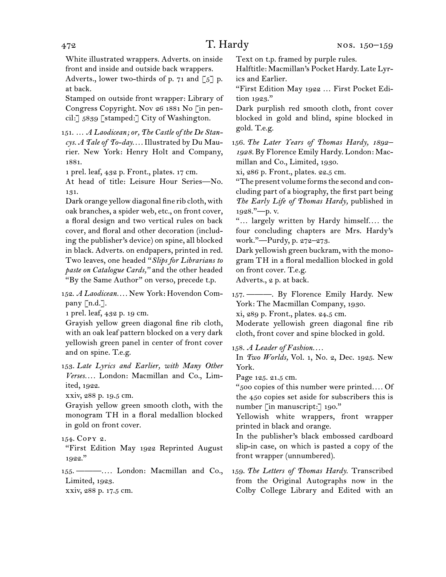White illustrated wrappers. Adverts. on inside front and inside and outside back wrappers. Adverts., lower two-thirds of p. 71 and  $\lbrack 5 \rbrack$  p. at back.

Stamped on outside front wrapper: Library of Congress Copyright. Nov 26 1881 No [in pencil:] 5839 [stamped:] City of Washington.

151. … *A Laodicean; or, The Castle of the De Stancys. A Tale of To-day. . . .* Illustrated by Du Maurier. New York: Henry Holt and Company, 1881.

1 prel. leaf, 432 p. Front., plates. 17 cm.

At head of title: Leisure Hour Series—No. 131.

Dark orange yellow diagonal fine rib cloth, with oak branches, a spider web, etc., on front cover, a floral design and two vertical rules on back cover, and floral and other decoration (including the publisher's device) on spine, all blocked in black. Adverts. on endpapers, printed in red. Two leaves, one headed "*Slips for Librarians to paste on Catalogue Cards,"* and the other headed "By the Same Author" on verso, precede t.p.

152. *A Laodicean. . . .* New York: Hovendon Company [n.d.].

1 prel. leaf, 432 p. 19 cm.

Grayish yellow green diagonal fine rib cloth, with an oak leaf pattern blocked on a very dark yellowish green panel in center of front cover and on spine. T.e.g.

153. *Late Lyrics and Earlier, with Many Other Verses. . . .* London: Macmillan and Co., Limited, 1922.

xxiv, 288 p. 19.5 cm.

Grayish yellow green smooth cloth, with the monogram TH in a floral medallion blocked in gold on front cover.

## 154. Copy 2.

"First Edition May 1922 Reprinted August 1922."

155. ———*. . . .* London: Macmillan and Co., Limited, 1923.

xxiv, 288 p. 17.5 cm.

Text on t.p. framed by purple rules.

Halftitle: Macmillan's Pocket Hardy. Late Lyrics and Earlier.

"First Edition May 1922 … First Pocket Edition 1923."

Dark purplish red smooth cloth, front cover blocked in gold and blind, spine blocked in gold. T.e.g.

156. *The Later Years of Thomas Hardy, 1892– 1928.* By Florence Emily Hardy. London: Macmillan and Co., Limited, 1930.

xi, 286 p. Front., plates. 22.5 cm.

"The present volume forms the second and concluding part of a biography, the first part being *The Early Life of Thomas Hardy,* published in 1928."—p. v.

"… largely written by Hardy himself*. . . .* the four concluding chapters are Mrs. Hardy's work."—Purdy, p. 272–273.

Dark yellowish green buckram, with the monogram TH in a floral medallion blocked in gold on front cover. T.e.g.

Adverts., 2 p. at back.

157. ———. By Florence Emily Hardy. New York: The Macmillan Company, 1930. xi, 289 p. Front., plates. 24.5 cm.

Moderate yellowish green diagonal fine rib cloth, front cover and spine blocked in gold.

158. *A Leader of Fashion. . . .*

In *Two Worlds,* Vol. 1, No. 2, Dec. 1925. New York.

Page 125. 21.5 cm.

"500 copies of this number were printed*. . . .* Of the 450 copies set aside for subscribers this is number [in manuscript:] 190."

Yellowish white wrappers, front wrapper printed in black and orange.

In the publisher's black embossed cardboard slip-in case, on which is pasted a copy of the front wrapper (unnumbered).

<sup>159.</sup> *The Letters of Thomas Hardy.* Transcribed from the Original Autographs now in the Colby College Library and Edited with an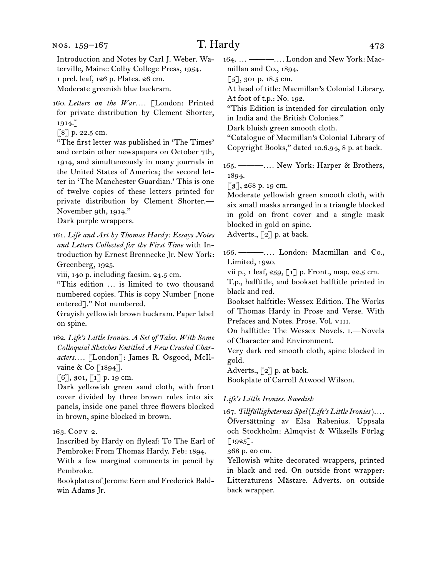### nos. 159–167

Introduction and Notes by Carl J. Weber. Waterville, Maine: Colby College Press, 1954. 1 prel. leaf, 126 p. Plates. 26 cm. Moderate greenish blue buckram.

160. *Letters on the War. . . .* [London: Printed for private distribution by Clement Shorter, 1914.]

[8] p. 22.5 cm.

"The first letter was published in 'The Times' and certain other newspapers on October 7th, 1914, and simultaneously in many journals in the United States of America; the second letter in 'The Manchester Guardian.' This is one of twelve copies of these letters printed for private distribution by Clement Shorter.— November 9th, 1914."

Dark purple wrappers.

161. *Life and Art by Thomas Hardy: Essays Notes and Letters Collected for the First Time* with Introduction by Ernest Brennecke Jr. New York: Greenberg, 1925.

viii, 140 p. including facsim. 24.5 cm.

"This edition … is limited to two thousand numbered copies. This is copy Number [none entered]." Not numbered.

Grayish yellowish brown buckram. Paper label on spine.

162. *Life's Little Ironies. A Set of Tales. With Some Colloquial Sketches Entitled A Few Crusted Characters. . . .* [London]: James R. Osgood, McIlvaine & Co [1894].

 $[6]$ , 301,  $[1]$  p. 19 cm.

Dark yellowish green sand cloth, with front cover divided by three brown rules into six panels, inside one panel three flowers blocked in brown, spine blocked in brown.

163. Copy 2.

Inscribed by Hardy on flyleaf: To The Earl of Pembroke: From Thomas Hardy. Feb: 1894.

With a few marginal comments in pencil by Pembroke.

Bookplates of Jerome Kern and Frederick Baldwin Adams Jr.

164. … ———*. . . .* London and New York: Macmillan and Co., 1894.

[5], 301 p. 18.5 cm.

At head of title: Macmillan's Colonial Library. At foot of t.p.: No. 192.

"This Edition is intended for circulation only in India and the British Colonies."

Dark bluish green smooth cloth.

"Catalogue of Macmillan's Colonial Library of Copyright Books," dated 10.6.94, 8 p. at back.

165. ———*. . . .* New York: Harper & Brothers, 1894.

 $\lbrack 3 \rbrack, 268 \text{ p. 19 cm.}$ 

Moderate yellowish green smooth cloth, with six small masks arranged in a triangle blocked in gold on front cover and a single mask blocked in gold on spine. Adverts., [2] p. at back.

166. ———*. . . .* London: Macmillan and Co., Limited, 1920.

vii p., 1 leaf, 259, [1] p. Front., map. 22.5 cm.

T.p., halftitle, and bookset halftitle printed in black and red.

Bookset halftitle: Wessex Edition. The Works of Thomas Hardy in Prose and Verse. With Prefaces and Notes. Prose. Vol. VIII.

On halftitle: The Wessex Novels. i.—Novels of Character and Environment.

Very dark red smooth cloth, spine blocked in gold.

Adverts.,  $\lceil 2 \rceil$  p. at back.

Bookplate of Carroll Atwood Wilson.

#### *Life's Little Ironies. Swedish*

167. *Tillfälligheternas Spel* (*Life's Little Ironies*)*. . . .* Öfversättning av Elsa Rabenius. Uppsala och Stockholm: Almqvist & Wiksells Förlag  $[1925]$ .

368 p. 20 cm.

Yellowish white decorated wrappers, printed in black and red. On outside front wrapper: Litteraturens Mästare. Adverts. on outside back wrapper.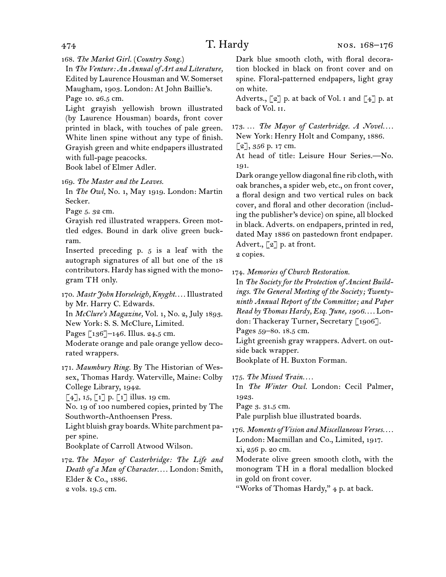168. *The Market Girl.* (*Country Song.*)

In *The Venture: An Annual of Art and Literature,*  Edited by Laurence Housman and W. Somerset Maugham, 1903. London: At John Baillie's. Page 10. 26.5 cm.

Light grayish yellowish brown illustrated (by Laurence Housman) boards, front cover printed in black, with touches of pale green. White linen spine without any type of finish. Grayish green and white endpapers illustrated with full-page peacocks.

Book label of Elmer Adler.

169. *The Master and the Leaves.*

In *The Owl,* No. 1, May 1919. London: Martin Secker.

Page 5. 32 cm.

Grayish red illustrated wrappers. Green mottled edges. Bound in dark olive green buckram.

Inserted preceding p. 5 is a leaf with the autograph signatures of all but one of the 18 contributors. Hardy has signed with the monogram TH only.

170. *Mastr John Horseleigh, Knyght. . . .*Illustrated by Mr. Harry C. Edwards.

In *McClure's Magazine,* Vol. 1, No. 2, July 1893. New York: S. S. McClure, Limited.

Pages [136]-146. Illus. 24.5 cm.

Moderate orange and pale orange yellow decorated wrappers.

171. *Maumbury Ring.* By The Historian of Wessex, Thomas Hardy. Waterville, Maine: Colby College Library, 1942.

 $[4]$ , 15,  $[1]$  p.  $[1]$  illus. 19 cm.

No. 19 of 100 numbered copies, printed by The Southworth-Anthoensen Press.

Light bluish gray boards. White parchment paper spine.

Bookplate of Carroll Atwood Wilson.

172. *The Mayor of Casterbridge: The Life and Death of a Man of Character. . . .* London: Smith, Elder & Co., 1886. 2 vols. 19.5 cm.

Dark blue smooth cloth, with floral decoration blocked in black on front cover and on spine. Floral-patterned endpapers, light gray on white.

Adverts.,  $\lbrack 2 \rbrack$  p. at back of Vol.  $\lbrack 1 \rbrack$  and  $\lbrack 4 \rbrack$  p. at back of Vol. ii.

173. ... The Mayor of Casterbridge. A Novel.... New York: Henry Holt and Company, 1886.

 $[2]$ , 356 p. 17 cm.

At head of title: Leisure Hour Series.—No. 191.

Dark orange yellow diagonal fine rib cloth, with oak branches, a spider web, etc., on front cover, a floral design and two vertical rules on back cover, and floral and other decoration (including the publisher's device) on spine, all blocked in black. Adverts. on endpapers, printed in red, dated May 1886 on pastedown front endpaper. Advert., [2] p. at front. 2 copies.

174. *Memories of Church Restoration.*

In *The Society for the Protection of Ancient Buildings. The General Meeting of the Society; Twentyninth Annual Report of the Committee; and Paper Read by Thomas Hardy, Esq. June, 1906. . . .* London: Thackeray Turner, Secretary [1906].

Pages 59–80. 18.5 cm.

Light greenish gray wrappers. Advert. on outside back wrapper.

Bookplate of H. Buxton Forman.

175. *The Missed Train. . . .*

In *The Winter Owl.* London: Cecil Palmer, 1923.

Page 3. 31.5 cm.

Pale purplish blue illustrated boards.

176. *Moments of Vision and Miscellaneous Verses. . . .* London: Macmillan and Co., Limited, 1917. xi, 256 p. 20 cm.

Moderate olive green smooth cloth, with the monogram TH in a floral medallion blocked in gold on front cover.

"Works of Thomas Hardy," 4 p. at back.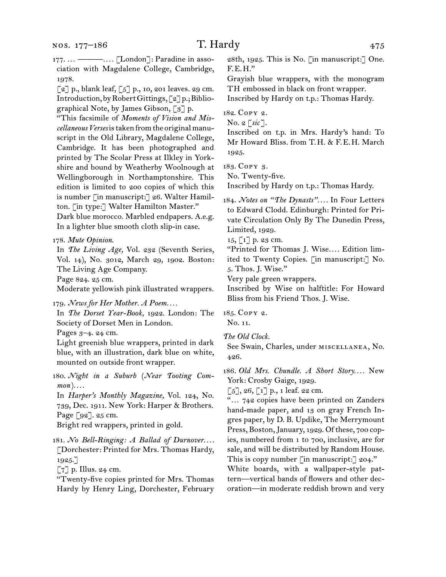177. … ———*. . . .* [London]: Paradine in association with Magdalene College, Cambridge, 1978.

 $\lceil 2 \rceil$  p., blank leaf,  $\lceil 5 \rceil$  p., 10, 201 leaves. 29 cm. Introduction, by Robert Gittings, [2] p.; Bibliographical Note, by James Gibson, [3] p.

"This facsimile of *Moments of Vision and Miscellaneous Verses* is taken from the original manuscript in the Old Library, Magdalene College, Cambridge. It has been photographed and printed by The Scolar Press at Ilkley in Yorkshire and bound by Weatherby Woolnough at Wellingborough in Northamptonshire. This edition is limited to 200 copies of which this is number [in manuscript:] 26. Walter Hamilton. [in type:] Walter Hamilton Master." Dark blue morocco. Marbled endpapers. A.e.g. In a lighter blue smooth cloth slip-in case.

178. *Mute Opinion*.

In *The Living Age,* Vol. 232 (Seventh Series, Vol. 14), No. 3012, March 29, 1902. Boston: The Living Age Company.

Page 824. 25 cm.

Moderate yellowish pink illustrated wrappers.

179. *News for Her Mother. A Poem. . . .*

In *The Dorset Year-Book,* 1922. London: The Society of Dorset Men in London.

Pages 3–4. 24 cm.

Light greenish blue wrappers, printed in dark blue, with an illustration, dark blue on white, mounted on outside front wrapper.

180. *Night in a Suburb* (*Near Tooting Common* )*. . . .*

In *Harper's Monthly Magazine,* Vol. 124, No. 739, Dec. 1911. New York: Harper & Brothers. Page [92]. 25 cm.

Bright red wrappers, printed in gold.

181. *No Bell-Ringing: A Ballad of Durnover. . . .* [Dorchester: Printed for Mrs. Thomas Hardy, 1925.]

 $\lceil 7 \rceil$  p. Illus. 24 cm.

"Twenty-five copies printed for Mrs. Thomas Hardy by Henry Ling, Dorchester, February 28th, 1925. This is No. [in manuscript:] One. F.E.H."

Grayish blue wrappers, with the monogram TH embossed in black on front wrapper.

Inscribed by Hardy on t.p.: Thomas Hardy.

182. Copy 2.

No. 2 [*sic* ].

Inscribed on t.p. in Mrs. Hardy's hand: To Mr Howard Bliss. from T.H. & F.E.H. March 1925.

183. Copy 3.

No. Twenty-five.

Inscribed by Hardy on t.p.: Thomas Hardy.

184. *Notes on "The Dynasts". . . .* In Four Letters to Edward Clodd. Edinburgh: Printed for Private Circulation Only By The Dunedin Press, Limited, 1929.

 $15, 1$ ] p. 23 cm.

"Printed for Thomas J. Wise*. . . .* Edition limited to Twenty Copies. [in manuscript:] No. 5. Thos. J. Wise."

Very pale green wrappers.

Inscribed by Wise on halftitle: For Howard Bliss from his Friend Thos. J. Wise.

185. Copy 2. No. 11.

*The Old Clock.*

See Swain, Charles, under miscellanea, No. 426.

186. *Old Mrs. Chundle. A Short Story. . . .* New York: Crosby Gaige, 1929.

 $[5]$ , 26,  $[1]$  p., 1 leaf. 22 cm.

"… 742 copies have been printed on Zanders hand-made paper, and 13 on gray French Ingres paper, by D. B. Updike, The Merrymount Press, Boston, January, 1929. Of these, 700 copies, numbered from 1 to 700, inclusive, are for sale, and will be distributed by Random House. This is copy number [in manuscript:] 204."

White boards, with a wallpaper-style pattern—vertical bands of flowers and other decoration—in moderate reddish brown and very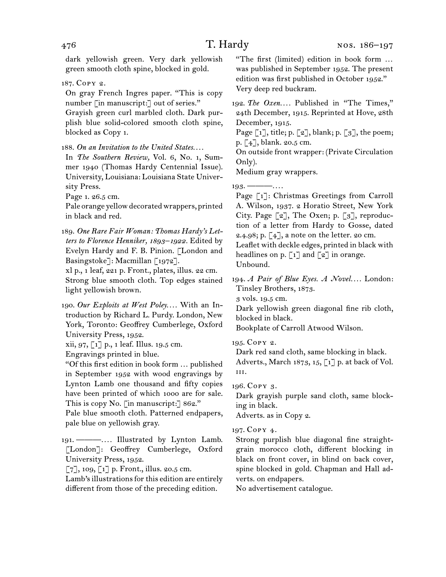dark yellowish green. Very dark yellowish green smooth cloth spine, blocked in gold.

187. Copy 2.

On gray French Ingres paper. "This is copy number [in manuscript:] out of series."

Grayish green curl marbled cloth. Dark purplish blue solid-colored smooth cloth spine, blocked as Copy 1.

188. *On an Invitation to the United States. . . .*

In *The Southern Review,* Vol. 6, No. 1, Summer 1940 (Thomas Hardy Centennial Issue). University, Louisiana: Louisiana State University Press.

Page 1. 26.5 cm.

Pale orange yellow decorated wrappers, printed in black and red.

189. *One Rare Fair Woman: Thomas Hardy's Letters to Florence Henniker, 1893–1922.* Edited by Evelyn Hardy and F. B. Pinion. [London and Basingstoke]: Macmillan [1972].

xl p., 1 leaf, 221 p. Front., plates, illus. 22 cm. Strong blue smooth cloth. Top edges stained light yellowish brown.

190. *Our Exploits at West Poley. . . .* With an Introduction by Richard L. Purdy. London, New York, Toronto: Geoffrey Cumberlege, Oxford University Press, 1952.

xii, 97, [1] p., 1 leaf. Illus. 19.5 cm.

Engravings printed in blue.

"Of this first edition in book form … published in September 1952 with wood engravings by Lynton Lamb one thousand and fifty copies have been printed of which 1000 are for sale. This is copy No. [in manuscript:] 862."

Pale blue smooth cloth. Patterned endpapers, pale blue on yellowish gray.

191. ———*. . . .* Illustrated by Lynton Lamb. [London]: Geoffrey Cumberlege, Oxford University Press, 1952.

 $[7]$ , 109,  $[1]$  p. Front., illus. 20.5 cm.

Lamb's illustrations for this edition are entirely different from those of the preceding edition.

"The first (limited) edition in book form … was published in September 1952. The present edition was first published in October 1952." Very deep red buckram.

192. The Oxen.... Published in "The Times," 24th December, 1915. Reprinted at Hove, 28th December, 1915.

Page  $\lceil 1 \rceil$ , title; p.  $\lceil 2 \rceil$ , blank; p.  $\lceil 3 \rceil$ , the poem; p. [4], blank. 20.5 cm.

On outside front wrapper: (Private Circulation Only).

Medium gray wrappers.

193. ———*. . . .*

Page [1]: Christmas Greetings from Carroll A. Wilson, 1937. 2 Horatio Street, New York City. Page [2], The Oxen; p. [3], reproduction of a letter from Hardy to Gosse, dated 2.4.98; p. [4], a note on the letter. 20 cm.

Leaflet with deckle edges, printed in black with headlines on p.  $\lceil 1 \rceil$  and  $\lceil 2 \rceil$  in orange. Unbound.

194. *A Pair of Blue Eyes. A Novel....* London: Tinsley Brothers, 1873.

3 vols. 19.5 cm.

Dark yellowish green diagonal fine rib cloth, blocked in black.

Bookplate of Carroll Atwood Wilson.

195. Copy 2.

Dark red sand cloth, same blocking in black. Adverts., March 1873, 15,  $\lceil 1 \rceil$  p. at back of Vol. iii.

196. Copy 3.

Dark grayish purple sand cloth, same blocking in black.

Adverts. as in Copy 2.

## 197. Copy 4.

Strong purplish blue diagonal fine straightgrain morocco cloth, different blocking in black on front cover, in blind on back cover, spine blocked in gold. Chapman and Hall adverts. on endpapers.

No advertisement catalogue.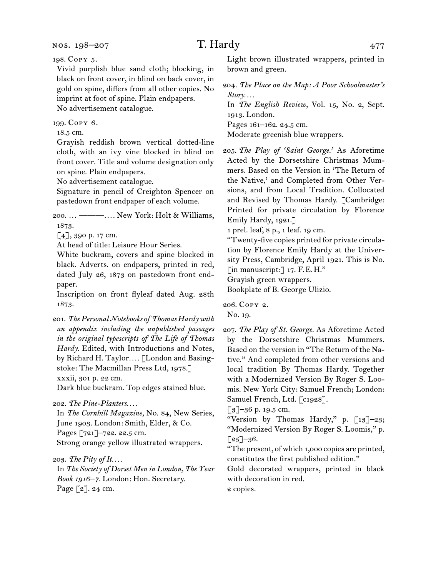198. Copy 5.

Vivid purplish blue sand cloth; blocking, in black on front cover, in blind on back cover, in gold on spine, differs from all other copies. No imprint at foot of spine. Plain endpapers. No advertisement catalogue.

199. Copy 6.

18.5 cm.

Grayish reddish brown vertical dotted-line cloth, with an ivy vine blocked in blind on front cover. Title and volume designation only on spine. Plain endpapers.

No advertisement catalogue.

Signature in pencil of Creighton Spencer on pastedown front endpaper of each volume.

200. … ———*. . . .* New York: Holt & Williams, 1873.

[4], 390 p. 17 cm.

At head of title: Leisure Hour Series.

White buckram, covers and spine blocked in black. Adverts. on endpapers, printed in red, dated July 26, 1873 on pastedown front endpaper.

Inscription on front flyleaf dated Aug. 28th 1873.

201. *The Personal Notebooks of Thomas Hardy with an appendix including the unpublished passages in the original typescripts of The Life of Thomas Hardy.* Edited, with Introductions and Notes, by Richard H. Taylor*. . . .* [London and Basingstoke: The Macmillan Press Ltd, 1978.] xxxii, 301 p. 22 cm.

Dark blue buckram. Top edges stained blue.

202. *The Pine-Planters. . . .*

In *The Cornhill Magazine,* No. 84, New Series, June 1903. London: Smith, Elder, & Co. Pages [721]-722. 22.5 cm. Strong orange yellow illustrated wrappers.

In *The Society of Dorset Men in London, The Year Book 1916–7.* London: Hon. Secretary. Page [2]. 24 cm.

Light brown illustrated wrappers, printed in brown and green.

204. *The Place on the Map: A Poor Schoolmaster's Story. . . .*

In *The English Review,* Vol. 15, No. 2, Sept. 1913. London.

Pages 161–162. 24.5 cm.

Moderate greenish blue wrappers.

205. *The Play of 'Saint George.'* As Aforetime Acted by the Dorsetshire Christmas Mummers. Based on the Version in 'The Return of the Native,' and Completed from Other Versions, and from Local Tradition. Collocated and Revised by Thomas Hardy. [Cambridge: Printed for private circulation by Florence Emily Hardy, 1921.]

1 prel. leaf, 8 p., 1 leaf. 19 cm.

"Twenty-five copies printed for private circulation by Florence Emily Hardy at the University Press, Cambridge, April 1921. This is No. [in manuscript:] 17. F.E.H."

Grayish green wrappers.

Bookplate of B. George Ulizio.

206. Copy 2. No. 19.

207. *The Play of St. George.* As Aforetime Acted by the Dorsetshire Christmas Mummers. Based on the version in "The Return of the Native." And completed from other versions and local tradition By Thomas Hardy. Together with a Modernized Version By Roger S. Loomis. New York City: Samuel French; London: Samuel French, Ltd. [c1928].

 $\lceil 3 \rceil$ –36 p. 19.5 cm.

"Version by Thomas Hardy," p. [13]–23; "Modernized Version By Roger S. Loomis," p.  $\lceil 25 \rceil - 36.$ 

"The present, of which 1,000 copies are printed, constitutes the first published edition."

Gold decorated wrappers, printed in black with decoration in red.

2 copies.

<sup>203.</sup> *The Pity of It. . . .*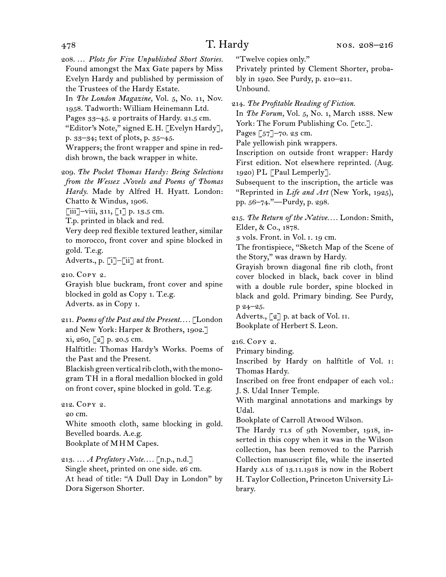208. … *Plots for Five Unpublished Short Stories.* Found amongst the Max Gate papers by Miss Evelyn Hardy and published by permission of the Trustees of the Hardy Estate.

In *The London Magazine,* Vol. 5, No. 11, Nov. 1958. Tadworth: William Heinemann Ltd. Pages  $33-45$ . 2 portraits of Hardy. 21.5 cm.

"Editor's Note," signed E.H. [Evelyn Hardy], p. 33–34; text of plots, p. 35–45.

Wrappers; the front wrapper and spine in reddish brown, the back wrapper in white.

209. *The Pocket Thomas Hardy: Being Selections from the Wessex Novels and Poems of Thomas Hardy.* Made by Alfred H. Hyatt. London: Chatto & Windus, 1906.

 $\left[\text{iii}\right]$ –viii, 311,  $\left[\text{1}\right]$  p. 13.5 cm.

T.p. printed in black and red.

Very deep red flexible textured leather, similar to morocco, front cover and spine blocked in gold. T.e.g.

Adverts., p. [i]–[ii] at front.

210. Copy 2.

Grayish blue buckram, front cover and spine blocked in gold as Copy 1. T.e.g. Adverts. as in Copy 1.

211. *Poems of the Past and the Present. . . .* [London and New York: Harper & Brothers, 1902.]

xi, 260, [2] p. 20.5 cm.

Halftitle: Thomas Hardy's Works. Poems of the Past and the Present.

Blackish green vertical rib cloth, with the monogram TH in a floral medallion blocked in gold on front cover, spine blocked in gold. T.e.g.

212. Copy 2.

20 cm.

White smooth cloth, same blocking in gold. Bevelled boards. A.e.g.

Bookplate of MHM Capes.

213. … *A Prefatory Note. . . .* [n.p., n.d.] Single sheet, printed on one side. 26 cm. At head of title: "A Dull Day in London" by Dora Sigerson Shorter.

"Twelve copies only."

Privately printed by Clement Shorter, probably in 1920. See Purdy, p. 210–211. Unbound.

214. *The Profitable Reading of Fiction.*

In *The Forum,* Vol. 5, No. 1, March 1888. New York: The Forum Publishing Co. [etc.]. Pages [57]–70. 23 cm.

Pale yellowish pink wrappers.

Inscription on outside front wrapper: Hardy First edition. Not elsewhere reprinted. (Aug. 1920) PL [Paul Lemperly].

Subsequent to the inscription, the article was "Reprinted in *Life and Art* (New York, 1925), pp. 56–74."—Purdy, p. 298.

215. *The Return of the Native. . . .* London: Smith, Elder, & Co., 1878.

3 vols. Front. in Vol. i. 19 cm.

The frontispiece, "Sketch Map of the Scene of the Story," was drawn by Hardy.

Grayish brown diagonal fine rib cloth, front cover blocked in black, back cover in blind with a double rule border, spine blocked in black and gold. Primary binding. See Purdy, p 24–25.

Adverts., [2] p. at back of Vol. II. Bookplate of Herbert S. Leon.

# 216. Copy 2.

Primary binding.

Inscribed by Hardy on halftitle of Vol. i: Thomas Hardy.

Inscribed on free front endpaper of each vol.: J. S. Udal Inner Temple.

With marginal annotations and markings by Udal.

Bookplate of Carroll Atwood Wilson.

The Hardy TLs of 9th November, 1918, inserted in this copy when it was in the Wilson collection, has been removed to the Parrish Collection manuscript file, while the inserted Hardy ALS of 13.11.1918 is now in the Robert H. Taylor Collection, Princeton University Library.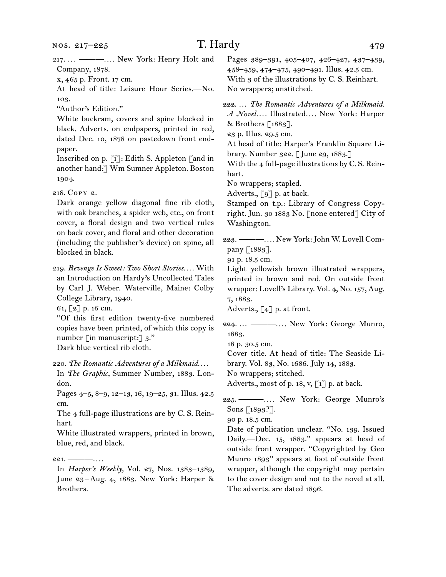| 217.  ———— New York: Henry Holt and<br>Company, 1878.<br>x, 465 p. Front. 17 cm.<br>At head of title: Leisure Hour Series.-No.<br>103.                                                                                                                                               | Pages 389-391, 405-407, 426-427, 437-439,<br>458–459, 474–475, 490–491. Illus. 42.5 cm.<br>With 3 of the illustrations by C. S. Reinhart.<br>No wrappers; unstitched.                                                                                                                                     |
|--------------------------------------------------------------------------------------------------------------------------------------------------------------------------------------------------------------------------------------------------------------------------------------|-----------------------------------------------------------------------------------------------------------------------------------------------------------------------------------------------------------------------------------------------------------------------------------------------------------|
| "Author's Edition."<br>White buckram, covers and spine blocked in<br>black. Adverts. on endpapers, printed in red,<br>dated Dec. 10, 1878 on pastedown front end-<br>paper.<br>Inscribed on p. [i]: Edith S. Appleton [and in<br>another hand: J Wm Sumner Appleton. Boston<br>1904. | 222.  The Romantic Adventures of a Milkmaid.<br>A Novel Illustrated New York: Harper<br>& Brothers $\lceil 1883 \rceil$ .<br>23 p. Illus. 29.5 cm.<br>At head of title: Harper's Franklin Square Li-<br>brary. Number 322. [June 29, 1883.]<br>With the 4 full-page illustrations by C. S. Rein-<br>hart. |
|                                                                                                                                                                                                                                                                                      | No wrappers; stapled.                                                                                                                                                                                                                                                                                     |
| 218. Copy 2.                                                                                                                                                                                                                                                                         | Adverts., [9] p. at back.                                                                                                                                                                                                                                                                                 |
| Dark orange yellow diagonal fine rib cloth,                                                                                                                                                                                                                                          | Stamped on t.p.: Library of Congress Copy-                                                                                                                                                                                                                                                                |
| with oak branches, a spider web, etc., on front                                                                                                                                                                                                                                      | right. Jun. 30 1883 No. [none entered] City of                                                                                                                                                                                                                                                            |
| cover, a floral design and two vertical rules                                                                                                                                                                                                                                        | Washington.                                                                                                                                                                                                                                                                                               |
| on back cover, and floral and other decoration                                                                                                                                                                                                                                       |                                                                                                                                                                                                                                                                                                           |
| (including the publisher's device) on spine, all                                                                                                                                                                                                                                     | 223. ——— New York: John W. Lovell Com-                                                                                                                                                                                                                                                                    |
| blocked in black.                                                                                                                                                                                                                                                                    | pany [1883].                                                                                                                                                                                                                                                                                              |
|                                                                                                                                                                                                                                                                                      | 91 p. 18.5 cm.                                                                                                                                                                                                                                                                                            |
| 219. Revenge Is Sweet: Two Short Stories With                                                                                                                                                                                                                                        | Light yellowish brown illustrated wrappers,                                                                                                                                                                                                                                                               |
| an Introduction on Hardy's Uncollected Tales                                                                                                                                                                                                                                         | printed in brown and red. On outside front                                                                                                                                                                                                                                                                |
| by Carl J. Weber. Waterville, Maine: Colby                                                                                                                                                                                                                                           | wrapper: Lovell's Library. Vol. 4, No. 157, Aug.                                                                                                                                                                                                                                                          |
| College Library, 1940.                                                                                                                                                                                                                                                               | 7, 1883.                                                                                                                                                                                                                                                                                                  |
| 61, [2] p. 16 cm.                                                                                                                                                                                                                                                                    | Adverts., $\left[\begin{smallmatrix} 4 \end{smallmatrix}\right]$ p. at front.                                                                                                                                                                                                                             |
| "Of this first edition twenty-five numbered                                                                                                                                                                                                                                          |                                                                                                                                                                                                                                                                                                           |
| copies have been printed, of which this copy is<br>number [in manuscript:] 3."                                                                                                                                                                                                       | 224.  ——— New York: George Munro,<br>1883.                                                                                                                                                                                                                                                                |
| Dark blue vertical rib cloth.                                                                                                                                                                                                                                                        | 18 p. 30.5 cm.                                                                                                                                                                                                                                                                                            |
|                                                                                                                                                                                                                                                                                      | Cover title. At head of title: The Seaside Li-                                                                                                                                                                                                                                                            |
| 220. The Romantic Adventures of a Milkmaid                                                                                                                                                                                                                                           | brary. Vol. 83, No. 1686. July 14, 1883.                                                                                                                                                                                                                                                                  |
| In The Graphic, Summer Number, 1883. Lon-                                                                                                                                                                                                                                            | No wrappers; stitched.                                                                                                                                                                                                                                                                                    |
| don.                                                                                                                                                                                                                                                                                 | Adverts., most of p. 18, v, [1] p. at back.                                                                                                                                                                                                                                                               |
| Pages 4-5, 8-9, 12-13, 16, 19-25, 31. Illus. 42.5                                                                                                                                                                                                                                    |                                                                                                                                                                                                                                                                                                           |
|                                                                                                                                                                                                                                                                                      | 225. — —  New York: George Munro's                                                                                                                                                                                                                                                                        |
| cm.                                                                                                                                                                                                                                                                                  | Sons [1893?].                                                                                                                                                                                                                                                                                             |
| The 4 full-page illustrations are by C. S. Rein-                                                                                                                                                                                                                                     | 90 p. 18.5 cm.                                                                                                                                                                                                                                                                                            |
| hart.                                                                                                                                                                                                                                                                                | Date of publication unclear. "No. 139. Issued                                                                                                                                                                                                                                                             |
| White illustrated wrappers, printed in brown,                                                                                                                                                                                                                                        | Daily.-Dec. 15, 1883." appears at head of                                                                                                                                                                                                                                                                 |
| blue, red, and black.                                                                                                                                                                                                                                                                | outside front wrapper. "Copyrighted by Geo                                                                                                                                                                                                                                                                |
|                                                                                                                                                                                                                                                                                      | Munro 1893" appears at foot of outside front                                                                                                                                                                                                                                                              |
| 221. — $ \dots$ .                                                                                                                                                                                                                                                                    | wrapper, although the copyright may pertain                                                                                                                                                                                                                                                               |
| In <i>Harper's Weekly</i> , Vol. 27, Nos. 1383–1389,                                                                                                                                                                                                                                 |                                                                                                                                                                                                                                                                                                           |
| June 23-Aug. 4, 1883. New York: Harper &                                                                                                                                                                                                                                             | to the cover design and not to the novel at all.                                                                                                                                                                                                                                                          |
| Brothers.                                                                                                                                                                                                                                                                            | The adverts. are dated 1896.                                                                                                                                                                                                                                                                              |
|                                                                                                                                                                                                                                                                                      |                                                                                                                                                                                                                                                                                                           |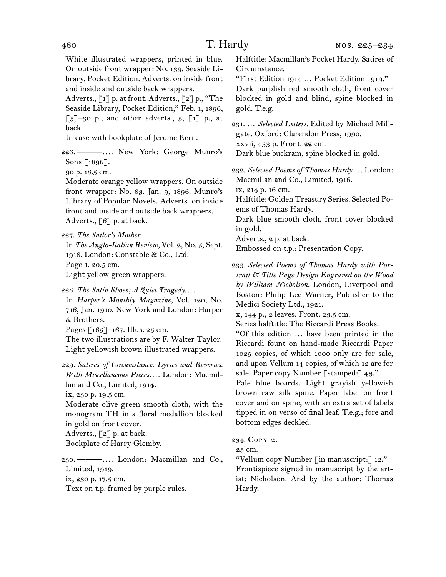White illustrated wrappers, printed in blue. On outside front wrapper: No. 139. Seaside Library. Pocket Edition. Adverts. on inside front and inside and outside back wrappers.

Adverts., [1] p. at front. Adverts., [2] p., "The Seaside Library, Pocket Edition," Feb. 1, 1896,  $\lceil 3 \rceil$ –30 p., and other adverts., 5,  $\lceil 1 \rceil$  p., at back.

In case with bookplate of Jerome Kern.

226. ———*. . . .* New York: George Munro's Sons [1896].

90 p. 18.5 cm.

Moderate orange yellow wrappers. On outside front wrapper: No. 83. Jan. 9, 1896. Munro's Library of Popular Novels. Adverts. on inside front and inside and outside back wrappers. Adverts., [6] p. at back.

227. *The Sailor's Mother.*

In *The Anglo-Italian Review,* Vol. 2, No. 5, Sept. 1918. London: Constable & Co., Ltd. Page 1. 20.5 cm. Light yellow green wrappers.

228. *The Satin Shoes; A Quiet Tragedy. . . .*

In *Harper's Monthly Magazine,* Vol. 120, No. 716, Jan. 1910. New York and London: Harper & Brothers.

Pages [165]–167. Illus. 25 cm.

The two illustrations are by F. Walter Taylor. Light yellowish brown illustrated wrappers.

229. *Satires of Circumstance. Lyrics and Reveries. With Miscellaneous Pieces. . . .* London: Macmillan and Co., Limited, 1914.

ix, 230 p. 19.5 cm.

Moderate olive green smooth cloth, with the monogram TH in a floral medallion blocked in gold on front cover.

Adverts., [2] p. at back.

Bookplate of Harry Glemby.

230. ———*. . . .* London: Macmillan and Co., Limited, 1919. ix, 230 p. 17.5 cm. Text on t.p. framed by purple rules.

Halftitle: Macmillan's Pocket Hardy. Satires of Circumstance.

"First Edition 1914 … Pocket Edition 1919." Dark purplish red smooth cloth, front cover blocked in gold and blind, spine blocked in gold. T.e.g.

231. … *Selected Letters.* Edited by Michael Millgate. Oxford: Clarendon Press, 1990. xxvii, 433 p. Front. 22 cm. Dark blue buckram, spine blocked in gold.

232. *Selected Poems of Thomas Hardy. . . .* London: Macmillan and Co., Limited, 1916. ix, 214 p. 16 cm. Halftitle: Golden Treasury Series. Selected Poems of Thomas Hardy.

Dark blue smooth cloth, front cover blocked in gold.

Adverts., 2 p. at back.

Embossed on t.p.: Presentation Copy.

233. *Selected Poems of Thomas Hardy with Portrait & Title Page Design Engraved on the Wood by William Nicholson.* London, Liverpool and Boston: Philip Lee Warner, Publisher to the Medici Society Ltd., 1921.

x, 144 p., 2 leaves. Front. 23.5 cm.

Series halftitle: The Riccardi Press Books.

"Of this edition … have been printed in the Riccardi fount on hand-made Riccardi Paper 1025 copies, of which 1000 only are for sale, and upon Vellum 14 copies, of which 12 are for sale. Paper copy Number [stamped:] 43."

Pale blue boards. Light grayish yellowish brown raw silk spine. Paper label on front cover and on spine, with an extra set of labels tipped in on verso of final leaf. T.e.g.; fore and bottom edges deckled.

234. Copy 2.

23 cm.

"Vellum copy Number [in manuscript:] 12." Frontispiece signed in manuscript by the artist: Nicholson. And by the author: Thomas Hardy.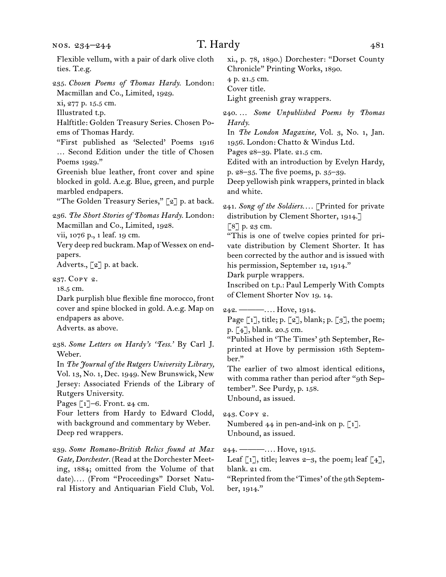| Flexible vellum, with a pair of dark olive cloth<br>ties. T.e.g.                | xi., p. 78, 1890.) Dorchester: "Dorset County<br>Chronicle" Printing Works, 1890.              |
|---------------------------------------------------------------------------------|------------------------------------------------------------------------------------------------|
| 235. Chosen Poems of Thomas Hardy. London:<br>Macmillan and Co., Limited, 1929. | 4 p. 21.5 cm.<br>Cover title.<br>Light greenish gray wrappers.                                 |
| xi, 277 p. 15.5 cm.                                                             |                                                                                                |
| Illustrated t.p.                                                                | 240 Some Unpublished Poems by Thomas                                                           |
| Halftitle: Golden Treasury Series. Chosen Po-                                   | Hardy.                                                                                         |
| ems of Thomas Hardy.<br>"First published as 'Selected' Poems 1916               | In The London Magazine, Vol. 3, No. 1, Jan.<br>1956. London: Chatto & Windus Ltd.              |
| Second Edition under the title of Chosen                                        | Pages 28-39. Plate. 21.5 cm.                                                                   |
| Poems 1929."                                                                    | Edited with an introduction by Evelyn Hardy,                                                   |
| Greenish blue leather, front cover and spine                                    | p. 28–35. The five poems, p. 35–39.                                                            |
| blocked in gold. A.e.g. Blue, green, and purple                                 | Deep yellowish pink wrappers, printed in black                                                 |
| marbled endpapers.                                                              | and white.                                                                                     |
| "The Golden Treasury Series," [2] p. at back.                                   |                                                                                                |
| 236. The Short Stories of Thomas Hardy. London:                                 | 241. Song of the Soldiers [Printed for private<br>distribution by Clement Shorter, 1914.]      |
| Macmillan and Co., Limited, 1928.                                               | $[8]$ p. 23 cm.                                                                                |
| vii, 1076 p., 1 leaf. 19 cm.                                                    | "This is one of twelve copies printed for pri-                                                 |
| Very deep red buckram. Map of Wessex on end-                                    | vate distribution by Clement Shorter. It has                                                   |
| papers.                                                                         | been corrected by the author and is issued with                                                |
| Adverts., [2] p. at back.                                                       | his permission, September 12, 1914."                                                           |
| 237. Copy 2.                                                                    | Dark purple wrappers.                                                                          |
| 18.5 cm.                                                                        | Inscribed on t.p.: Paul Lemperly With Compts                                                   |
| Dark purplish blue flexible fine morocco, front                                 | of Clement Shorter Nov 19. 14.                                                                 |
| cover and spine blocked in gold. A.e.g. Map on                                  | $242.$ ——— Hove, 1914.                                                                         |
| endpapers as above.                                                             | Page $\lceil 1 \rceil$ , title; p. $\lceil 2 \rceil$ , blank; p. $\lceil 3 \rceil$ , the poem; |
| Adverts. as above.                                                              | p. [4], blank. 20.5 cm.                                                                        |
| 238. Some Letters on Hardy's 'Tess.' By Carl J.                                 | "Published in 'The Times' 9th September, Re-                                                   |
| Weber.                                                                          | printed at Hove by permission 16th Septem-                                                     |
| In The Journal of the Rutgers University Library,                               | ber."                                                                                          |
| Vol. 13, No. 1, Dec. 1949. New Brunswick, New                                   | The earlier of two almost identical editions,                                                  |
| Jersey: Associated Friends of the Library of                                    | with comma rather than period after "9th Sep-                                                  |
| Rutgers University.                                                             | tember". See Purdy, p. 158.<br>Unbound, as issued.                                             |
| Pages $\lceil 1 \rceil$ -6. Front. 24 cm.                                       |                                                                                                |
| Four letters from Hardy to Edward Clodd,                                        | 243. COPY 2.                                                                                   |
| with background and commentary by Weber.                                        | Numbered $44$ in pen-and-ink on p. $\lceil 1 \rceil$ .                                         |
| Deep red wrappers.                                                              | Unbound, as issued.                                                                            |
| 239. Some Romano-British Relics found at Max                                    | $244.$ ——— Hove, 1915.                                                                         |
| Gate, Dorchester. (Read at the Dorchester Meet-                                 | Leaf [1], title; leaves $2-3$ , the poem; leaf [4],                                            |
| ing, 1884; omitted from the Volume of that                                      | blank. 21 cm.                                                                                  |

date)*. . . .* (From "Proceedings" Dorset Natural History and Antiquarian Field Club, Vol. "Reprinted from the 'Times' of the 9th September, 1914."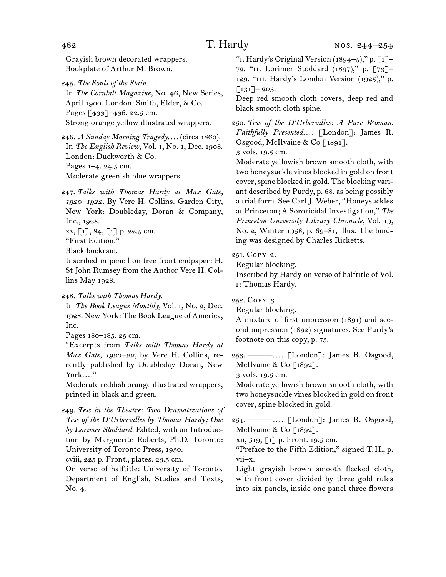Grayish brown decorated wrappers. Bookplate of Arthur M. Brown.

245. *The Souls of the Slain. . . .*

In *The Cornhill Magazine,* No. 46, New Series, April 1900. London: Smith, Elder, & Co. Pages [433]–436. 22.5 cm. Strong orange yellow illustrated wrappers.

246. *A Sunday Morning Tragedy. . . .* (circa 1860). In *The English Review,* Vol. 1, No. 1, Dec. 1908. London: Duckworth & Co. Pages 1–4. 24.5 cm. Moderate greenish blue wrappers.

247. *Talks with Thomas Hardy at Max Gate, 1920–1922.* By Vere H. Collins. Garden City, New York: Doubleday, Doran & Company, Inc., 1928.

 $xy, [1], 84, [1]$  p. 22.5 cm.

"First Edition."

Black buckram.

Inscribed in pencil on free front endpaper: H. St John Rumsey from the Author Vere H. Collins May 1928.

248. *Talks with Thomas Hardy.*

In *The Book League Monthly,* Vol. 1, No. 2, Dec. 1928. New York: The Book League of America, Inc.

Pages 180–185. 25 cm.

"Excerpts from *Talks with Thomas Hardy at Max Gate, 1920–22,* by Vere H. Collins, recently published by Doubleday Doran, New York*. . . .*"

Moderate reddish orange illustrated wrappers, printed in black and green.

249. *Tess in the Theatre: Two Dramatizations of Tess of the D'Urbervilles by Thomas Hardy; One by Lorimer Stoddard.* Edited, with an Introduction by Marguerite Roberts, Ph.D. Toronto: University of Toronto Press, 1950.

cviii, 225 p. Front., plates. 23.5 cm.

On verso of halftitle: University of Toronto. Department of English. Studies and Texts, No. 4.

"I. Hardy's Original Version  $(1894-5)$ ," p.  $\lceil 1 \rceil$ -72. "ii. Lorimer Stoddard (1897)," p. [73]– 129. "iii. Hardy's London Version (1925)," p.  $\lceil 131 \rceil$  – 203.

Deep red smooth cloth covers, deep red and black smooth cloth spine.

250. *Tess of the D'Urbervilles: A Pure Woman. Faithfully Presented. . . .* [London]: James R. Osgood, McIlvaine & Co<sup>[1891]</sup>.

3 vols. 19.5 cm.

Moderate yellowish brown smooth cloth, with two honeysuckle vines blocked in gold on front cover, spine blocked in gold. The blocking variant described by Purdy, p. 68, as being possibly a trial form. See Carl J. Weber, "Honeysuckles at Princeton; A Sororicidal Investigation," *The Princeton University Library Chronicle,* Vol. 19, No. 2, Winter 1958, p. 69–81, illus. The binding was designed by Charles Ricketts.

251. Copy 2.

Regular blocking.

Inscribed by Hardy on verso of halftitle of Vol. i: Thomas Hardy.

252. Copy 3.

Regular blocking.

A mixture of first impression (1891) and second impression (1892) signatures. See Purdy's footnote on this copy, p. 75.

253. ———*. . . .* [London]: James R. Osgood, McIlvaine & Co<sup>[1892]</sup>.

3 vols. 19.5 cm.

Moderate yellowish brown smooth cloth, with two honeysuckle vines blocked in gold on front cover, spine blocked in gold.

254. ———*. . . .* [London]: James R. Osgood, McIlvaine & Co [1892].

xii, 519, [1] p. Front. 19.5 cm.

"Preface to the Fifth Edition," signed T.H., p. vii–x.

Light grayish brown smooth flecked cloth, with front cover divided by three gold rules into six panels, inside one panel three flowers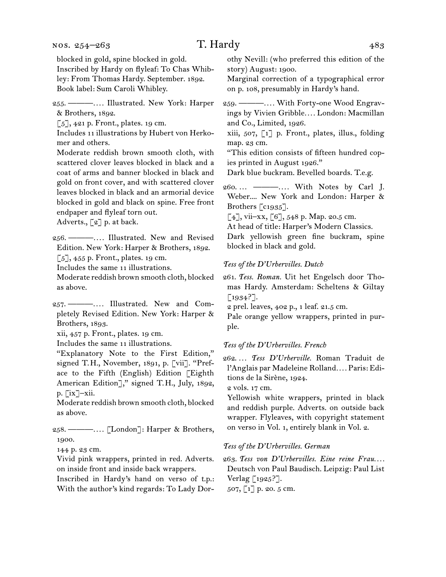### nos. 254–263

# T. Hardy 483

blocked in gold, spine blocked in gold. Inscribed by Hardy on flyleaf: To Chas Whibley: From Thomas Hardy. September. 1892. Book label: Sum Caroli Whibley.

255. ———*. . . .* Illustrated. New York: Harper & Brothers, 1892.

 $\lbrack 5 \rbrack, 421$  p. Front., plates. 19 cm.

Includes 11 illustrations by Hubert von Herkomer and others.

Moderate reddish brown smooth cloth, with scattered clover leaves blocked in black and a coat of arms and banner blocked in black and gold on front cover, and with scattered clover leaves blocked in black and an armorial device blocked in gold and black on spine. Free front endpaper and flyleaf torn out.

Adverts., [2] p. at back.

256. ———*. . . .* Illustrated. New and Revised Edition. New York: Harper & Brothers, 1892.

[5], 455 p. Front., plates. 19 cm.

Includes the same 11 illustrations.

Moderate reddish brown smooth cloth, blocked as above.

257. ———*. . . .* Illustrated. New and Completely Revised Edition. New York: Harper & Brothers, 1893.

xii, 457 p. Front., plates. 19 cm.

Includes the same 11 illustrations.

"Explanatory Note to the First Edition," signed T.H., November, 1891, p. [vii]. "Preface to the Fifth (English) Edition [Eighth American Edition]," signed T.H., July, 1892, p. [ix]–xii.

Moderate reddish brown smooth cloth, blocked as above.

258. ———*. . . .* [London]: Harper & Brothers, 1900.

144 p. 23 cm.

Vivid pink wrappers, printed in red. Adverts. on inside front and inside back wrappers.

Inscribed in Hardy's hand on verso of t.p.: With the author's kind regards: To Lady Dorothy Nevill: (who preferred this edition of the story) August: 1900.

Marginal correction of a typographical error on p. 108, presumably in Hardy's hand.

259. ———*. . . .* With Forty-one Wood Engravings by Vivien Gribble*. . . .* London: Macmillan and Co., Limited, 1926.

xiii, 507, [1] p. Front., plates, illus., folding map. 23 cm.

"This edition consists of fifteen hundred copies printed in August 1926."

Dark blue buckram. Bevelled boards. T.e.g.

260. … ———*. . . .* With Notes by Carl J. Weber.... New York and London: Harper & Brothers [c1935].

[4], vii–xx, [6], 548 p. Map. 20.5 cm.

At head of title: Harper's Modern Classics. Dark yellowish green fine buckram, spine blocked in black and gold.

## *Tess of the D'Urbervilles. Dutch*

261. *Tess. Roman.* Uit het Engelsch door Thomas Hardy. Amsterdam: Scheltens & Giltay  $[1934?].$ 

2 prel. leaves, 402 p., 1 leaf. 21.5 cm.

Pale orange yellow wrappers, printed in purple.

#### *Tess of the D'Urbervilles. French*

262. *. . . Tess D'Urberville.* Roman Traduit de l'Anglais par Madeleine Rolland*. . . .* Paris: Editions de la Sirène, 1924.

2 vols. 17 cm.

Yellowish white wrappers, printed in black and reddish purple. Adverts. on outside back wrapper. Flyleaves, with copyright statement on verso in Vol. 1, entirely blank in Vol. 2.

#### *Tess of the D'Urbervilles. German*

263. Tess von D'Urbervilles. Eine reine Frau.... Deutsch von Paul Baudisch. Leipzig: Paul List Verlag [1925?].

507, [1] p. 20. 5 cm.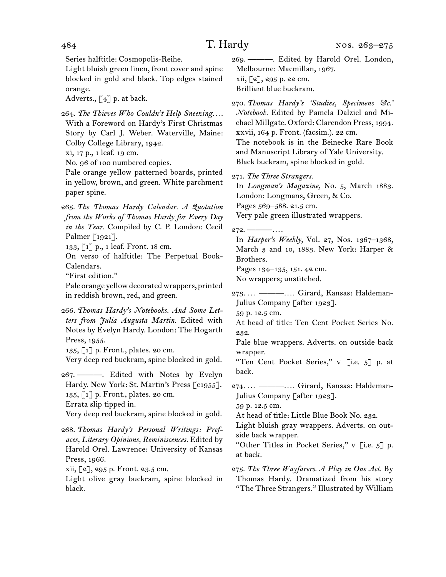Series halftitle: Cosmopolis-Reihe.

Light bluish green linen, front cover and spine blocked in gold and black. Top edges stained orange.

Adverts.,  $\begin{bmatrix} 4 \end{bmatrix}$  p. at back.

264. *The Thieves Who Couldn't Help Sneezing. . . .* With a Foreword on Hardy's First Christmas Story by Carl J. Weber. Waterville, Maine: Colby College Library, 1942.

xi, 17 p., 1 leaf. 19 cm.

No. 96 of 100 numbered copies.

Pale orange yellow patterned boards, printed in yellow, brown, and green. White parchment paper spine.

265. *The Thomas Hardy Calendar. A Quotation from the Works of Thomas Hardy for Every Day in the Year.* Compiled by C. P. London: Cecil Palmer [1921].

133, [1] p., 1 leaf. Front. 18 cm.

On verso of halftitle: The Perpetual Book-Calendars.

"First edition."

Pale orange yellow decorated wrappers, printed in reddish brown, red, and green.

266. *Thomas Hardy's Notebooks. And Some Letters from Julia Augusta Martin.* Edited with Notes by Evelyn Hardy. London: The Hogarth Press, 1955.

135, [1] p. Front., plates. 20 cm.

Very deep red buckram, spine blocked in gold.

267. ———. Edited with Notes by Evelyn Hardy. New York: St. Martin's Press [c1955]. 135, [1] p. Front., plates. 20 cm. Errata slip tipped in.

Very deep red buckram, spine blocked in gold.

268. *Thomas Hardy's Personal Writings: Prefaces, Literary Opinions, Reminiscences.* Edited by Harold Orel. Lawrence: University of Kansas Press, 1966.

xii, [2], 295 p. Front. 23.5 cm.

Light olive gray buckram, spine blocked in black.

269. ———. Edited by Harold Orel. London, Melbourne: Macmillan, 1967.  $xii, [2], 295$  p. 22 cm. Brilliant blue buckram.

270. *Thomas Hardy's 'Studies, Specimens &c.' Notebook.* Edited by Pamela Dalziel and Michael Millgate. Oxford: Clarendon Press, 1994. xxvii, 164 p. Front. (facsim.). 22 cm. The notebook is in the Beinecke Rare Book and Manuscript Library of Yale University. Black buckram, spine blocked in gold.

271. *The Three Strangers.*

In *Longman's Magazine,* No. 5, March 1883. London: Longmans, Green, & Co.

Pages 569–588. 21.5 cm.

Very pale green illustrated wrappers.

## $272. -$

In *Harper's Weekly,* Vol. 27, Nos. 1367–1368, March 3 and 10, 1883. New York: Harper & Brothers.

Pages 134–135, 151. 42 cm.

No wrappers; unstitched.

273. … ———*. . . .* Girard, Kansas: Haldeman-Julius Company [after 1923].

59 p. 12.5 cm.

At head of title: Ten Cent Pocket Series No. 232.

Pale blue wrappers. Adverts. on outside back wrapper.

"Ten Cent Pocket Series," v [i.e. 5] p. at back.

274. … ———*. . . .* Girard, Kansas: Haldeman-Julius Company [after 1923].

59 p. 12.5 cm.

At head of title: Little Blue Book No. 232.

Light bluish gray wrappers. Adverts. on outside back wrapper.

"Other Titles in Pocket Series," v [i.e. 5] p. at back.

275. *The Three Wayfarers. A Play in One Act.* By Thomas Hardy. Dramatized from his story "The Three Strangers." Illustrated by William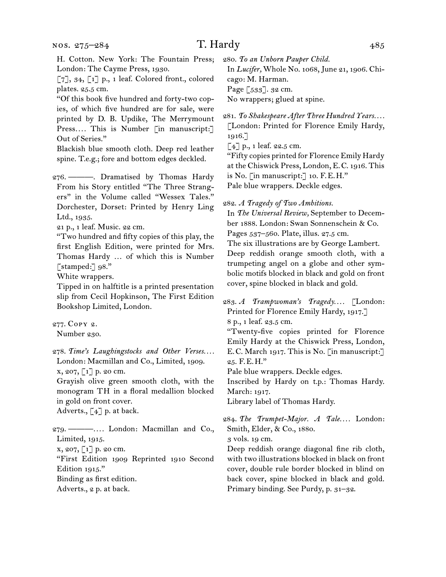#### nos. 275–284

# T. Hardy 485

H. Cotton. New York: The Fountain Press; London: The Cayme Press, 1930.

 $\lbrack 7 \rbrack, 34, \lbrack 1 \rbrack$  p., 1 leaf. Colored front., colored plates. 25.5 cm.

"Of this book five hundred and forty-two copies, of which five hundred are for sale, were printed by D. B. Updike, The Merrymount Press.... This is Number [in manuscript:] Out of Series."

Blackish blue smooth cloth. Deep red leather spine. T.e.g.; fore and bottom edges deckled.

276. ———. Dramatised by Thomas Hardy From his Story entitled "The Three Strangers" in the Volume called "Wessex Tales." Dorchester, Dorset: Printed by Henry Ling Ltd., 1935.

21 p., 1 leaf. Music. 22 cm.

"Two hundred and fifty copies of this play, the first English Edition, were printed for Mrs. Thomas Hardy … of which this is Number [stamped:] 98."

White wrappers.

Tipped in on halftitle is a printed presentation slip from Cecil Hopkinson, The First Edition Bookshop Limited, London.

277. Copy 2. Number 230.

278. *Time's Laughingstocks and Other Verses. . . .* London: Macmillan and Co., Limited, 1909.

x, 207, [1] p. 20 cm.

Grayish olive green smooth cloth, with the monogram TH in a floral medallion blocked in gold on front cover. Adverts.,  $\lceil 4 \rceil$  p. at back.

279. ———*. . . .* London: Macmillan and Co., Limited, 1915.

x, 207, [1] p. 20 cm.

"First Edition 1909 Reprinted 1910 Second Edition 1915." Binding as first edition.

Adverts., 2 p. at back.

280. *To an Unborn Pauper Child.*

In *Lucifer,* Whole No. 1068, June 21, 1906. Chicago: M. Harman. Page [533]. 32 cm. No wrappers; glued at spine.

281. *To Shakespeare After Three Hundred Years. . . .* [London: Printed for Florence Emily Hardy, 1916.]

 $[4]$  p., 1 leaf. 22.5 cm.

"Fifty copies printed for Florence Emily Hardy at the Chiswick Press, London, E.C. 1916. This is No. [in manuscript:] 10. F.E.H." Pale blue wrappers. Deckle edges.

282. *A Tragedy of Two Ambitions.*

In *The Universal Review,* September to December 1888. London: Swan Sonnenschein & Co.

Pages 537–560. Plate, illus. 27.5 cm.

The six illustrations are by George Lambert. Deep reddish orange smooth cloth, with a trumpeting angel on a globe and other symbolic motifs blocked in black and gold on front cover, spine blocked in black and gold.

283. *A Trampwoman's Tragedy. . . .* [London: Printed for Florence Emily Hardy, 1917.] 8 p., 1 leaf. 23.5 cm.

"Twenty-five copies printed for Florence Emily Hardy at the Chiswick Press, London, E.C. March 1917. This is No. [in manuscript:] 25. F.E.H."

Pale blue wrappers. Deckle edges.

Inscribed by Hardy on t.p.: Thomas Hardy. March: 1917.

Library label of Thomas Hardy.

284. The Trumpet-Major. A Tale.... London: Smith, Elder, & Co., 1880.

3 vols. 19 cm.

Deep reddish orange diagonal fine rib cloth, with two illustrations blocked in black on front cover, double rule border blocked in blind on back cover, spine blocked in black and gold. Primary binding. See Purdy, p. 31–32.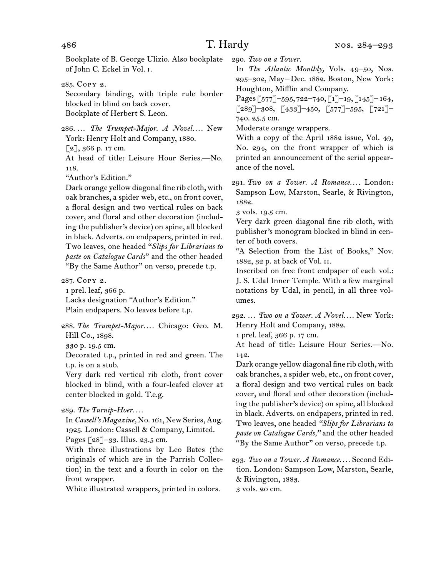Bookplate of B. George Ulizio. Also bookplate of John C. Eckel in Vol. i.

285. Copy 2.

Secondary binding, with triple rule border blocked in blind on back cover. Bookplate of Herbert S. Leon.

286. ... The Trumpet-Major. A Novel.... New York: Henry Holt and Company, 1880.

 $[2]$ , 366 p. 17 cm.

At head of title: Leisure Hour Series.—No. 118.

"Author's Edition."

Dark orange yellow diagonal fine rib cloth, with oak branches, a spider web, etc., on front cover, a floral design and two vertical rules on back cover, and floral and other decoration (including the publisher's device) on spine, all blocked in black. Adverts. on endpapers, printed in red. Two leaves, one headed "*Slips for Librarians to paste on Catalogue Cards*" and the other headed "By the Same Author" on verso, precede t.p.

287. Copy 2.

1 prel. leaf, 366 p. Lacks designation "Author's Edition." Plain endpapers. No leaves before t.p.

288. *The Trumpet-Major. . . .* Chicago: Geo. M. Hill Co., 1898.

330 p. 19.5 cm.

Decorated t.p., printed in red and green. The t.p. is on a stub.

Very dark red vertical rib cloth, front cover blocked in blind, with a four-leafed clover at center blocked in gold. T.e.g.

289. *The Turnip-Hoer. . . .*

In *Cassell's Magazine,* No. 161, New Series, Aug. 1925. London: Cassell & Company, Limited. Pages [28]-33. Illus. 23.5 cm.

With three illustrations by Leo Bates (the originals of which are in the Parrish Collection) in the text and a fourth in color on the front wrapper.

White illustrated wrappers, printed in colors.

290. *Two on a Tower.*

In *The Atlantic Monthly,* Vols. 49–50, Nos. 295–302, May–Dec. 1882. Boston, New York: Houghton, Mifflin and Company.

Pages [577]–595, 722–740, [1]–19, [145]– 164,  $\lceil 289\rceil$ –308,  $\lceil 433\rceil$ –450,  $\lceil 577\rceil$ –595,  $\lceil 721\rceil$ – 740. 25.5 cm.

Moderate orange wrappers.

With a copy of the April 1882 issue, Vol. 49, No. 294, on the front wrapper of which is printed an announcement of the serial appearance of the novel.

291. *Two on a Tower. A Romance. . . .* London: Sampson Low, Marston, Searle, & Rivington, 1882.

3 vols. 19.5 cm.

Very dark green diagonal fine rib cloth, with publisher's monogram blocked in blind in center of both covers.

"A Selection from the List of Books," Nov. 1882, 32 p. at back of Vol. ii.

Inscribed on free front endpaper of each vol.: J. S. Udal Inner Temple. With a few marginal notations by Udal, in pencil, in all three volumes.

292. … *Two on a Tower. A Novel. . . .* New York: Henry Holt and Company, 1882.

1 prel. leaf, 366 p. 17 cm.

At head of title: Leisure Hour Series.—No. 142.

Dark orange yellow diagonal fine rib cloth, with oak branches, a spider web, etc., on front cover, a floral design and two vertical rules on back cover, and floral and other decoration (including the publisher's device) on spine, all blocked in black. Adverts. on endpapers, printed in red. Two leaves, one headed *"Slips for Librarians to paste on Catalogue Cards,"* and the other headed "By the Same Author" on verso, precede t.p.

293. *Two on a Tower. A Romance. . . .* Second Edition. London: Sampson Low, Marston, Searle, & Rivington, 1883. 3 vols. 20 cm.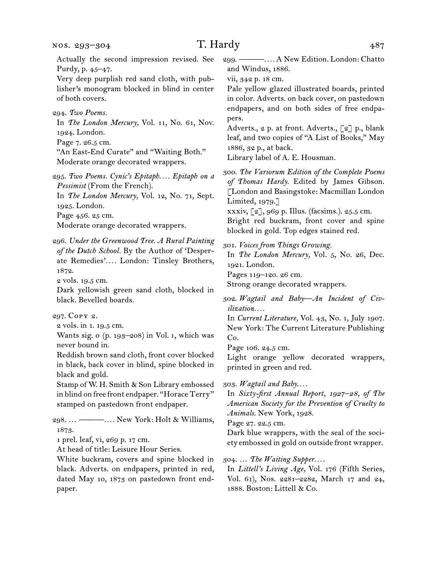Actually the second impression revised. See Purdy, p. 45–47.

Very deep purplish red sand cloth, with publisher's monogram blocked in blind in center of both covers.

294. *Two Poems.*

In *The London Mercury,* Vol. 11, No. 61, Nov. 1924. London.

Page 7. 26.5 cm.

"An East-End Curate" and "Waiting Both." Moderate orange decorated wrappers.

295. *Two Poems. Cynic's Epitaph. . . . Epitaph on a Pessimist* (From the French).

In *The London Mercury,* Vol. 12, No. 71, Sept. 1925. London.

Page 456. 25 cm.

Moderate orange decorated wrappers.

296. *Under the Greenwood Tree. A Rural Painting of the Dutch School.* By the Author of 'Desperate Remedies'*. . . .* London: Tinsley Brothers, 1872.

2 vols. 19.5 cm.

Dark yellowish green sand cloth, blocked in black. Bevelled boards.

297. Copy 2.

2 vols. in 1. 19.5 cm.

Wants sig. o (p. 193–208) in Vol. i, which was never bound in.

Reddish brown sand cloth, front cover blocked in black, back cover in blind, spine blocked in black and gold.

Stamp of W. H. Smith & Son Library embossed in blind on free front endpaper. "Horace Terry" stamped on pastedown front endpaper.

298. … ———*. . . .* New York: Holt & Williams, 1873.

1 prel. leaf, vi, 269 p. 17 cm.

At head of title: Leisure Hour Series.

White buckram, covers and spine blocked in black. Adverts. on endpapers, printed in red, dated May 10, 1873 on pastedown front endpaper.

299. ———*. . . .* A New Edition. London: Chatto and Windus, 1886.

vii, 342 p. 18 cm.

Pale yellow glazed illustrated boards, printed in color. Adverts. on back cover, on pastedown endpapers, and on both sides of free endpapers.

Adverts., 2 p. at front. Adverts., [2] p., blank leaf, and two copies of "A List of Books," May 1886, 32 p., at back.

Library label of A. E. Housman.

300. *The Variorum Edition of the Complete Poems of Thomas Hardy.* Edited by James Gibson. [London and Basingstoke: Macmillan London Limited, 1979.] xxxiv, [2], 969 p. Illus. (facsims.). 25.5 cm.

Bright red buckram, front cover and spine blocked in gold. Top edges stained red.

301. *Voices from Things Growing.*

In *The London Mercury,* Vol. 5, No. 26, Dec. 1921. London.

Pages 119–120. 26 cm.

Strong orange decorated wrappers.

302. *Wagtail and Baby—An Incident of Civilization. . . .*

In *Current Literature,* Vol. 43, No. 1, July 1907. New York: The Current Literature Publishing Co.

Page 106. 24.5 cm.

Light orange yellow decorated wrappers, printed in green and red.

303. *Wagtail and Baby. . . .*

In *Sixty-first Annual Report, 1927–28, of The American Society for the Prevention of Cruelty to Animals.* New York, 1928.

Page 27. 22.5 cm.

Dark blue wrappers, with the seal of the society embossed in gold on outside front wrapper.

304. … *The Waiting Supper. . . .*

In *Littell's Living Age,* Vol. 176 (Fifth Series, Vol. 61), Nos. 2281–2282, March 17 and 24, 1888. Boston: Littell & Co.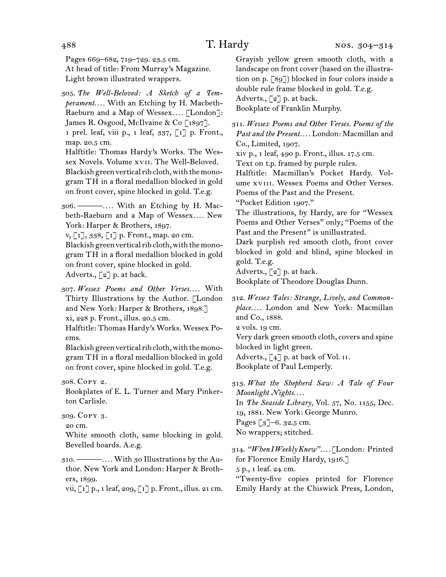Pages 669–682, 719–729. 23.5 cm. At head of title: From Murray's Magazine. Light brown illustrated wrappers.

305. *The Well-Beloved: A Sketch of a Temperament. . . .* With an Etching by H. Macbeth-Raeburn and a Map of Wessex*. . . .* [London]: James R. Osgood, McIlvaine & Co [1897]. 1 prel. leaf, viii p., 1 leaf, 337, [1] p. Front., map. 20.5 cm. Halftitle: Thomas Hardy's Works. The Wessex Novels. Volume xvii. The Well-Beloved. Blackish green vertical rib cloth, with the monogram TH in a floral medallion blocked in gold on front cover, spine blocked in gold. T.e.g.

306. ———*. . . .* With an Etching by H. Macbeth-Raeburn and a Map of Wessex*. . . .* New York: Harper & Brothers, 1897.

v, [1], 338, [1] p. Front., map. 20 cm. Blackish green vertical rib cloth, with the monogram TH in a floral medallion blocked in gold on front cover, spine blocked in gold. Adverts., [2] p. at back.

307. *Wessex Poems and Other Verses. . . .* With Thirty Illustrations by the Author. [London and New York: Harper & Brothers, 1898.] xi, 228 p. Front., illus. 20.5 cm.

Halftitle: Thomas Hardy's Works. Wessex Poems.

Blackish green vertical rib cloth, with the monogram TH in a floral medallion blocked in gold on front cover, spine blocked in gold. T.e.g.

Bookplates of E. L. Turner and Mary Pinkerton Carlisle.

20 cm.

White smooth cloth, same blocking in gold. Bevelled boards. A.e.g.

310. ———*. . . .* With 30 Illustrations by the Author. New York and London: Harper & Brothers, 1899.

vii, [1] p., 1 leaf, 209, [1] p. Front., illus. 21 cm.

Grayish yellow green smooth cloth, with a landscape on front cover (based on the illustration on p. [89]) blocked in four colors inside a double rule frame blocked in gold. T.e.g. Adverts.,  $\lceil 2 \rceil$  p. at back.

Bookplate of Franklin Murphy.

311. *Wessex Poems and Other Verses. Poems of the Past and the Present. . . .* London: Macmillan and Co., Limited, 1907.

xiv p., 1 leaf, 490 p. Front., illus. 17.5 cm.

Text on t.p. framed by purple rules.

Halftitle: Macmillan's Pocket Hardy. Volume xviii. Wessex Poems and Other Verses. Poems of the Past and the Present.

"Pocket Edition 1907."

The illustrations, by Hardy, are for "Wessex Poems and Other Verses" only; "Poems of the Past and the Present" is unillustrated.

Dark purplish red smooth cloth, front cover blocked in gold and blind, spine blocked in gold. T.e.g.

Adverts., [2] p. at back.

Bookplate of Theodore Douglas Dunn.

312. *Wessex Tales: Strange, Lively, and Commonplace. . . .* London and New York: Macmillan and Co., 1888.

2 vols. 19 cm.

Very dark green smooth cloth, covers and spine blocked in light green.

Adverts., [4] p. at back of Vol. II.

Bookplate of Paul Lemperly.

313. *What the Shepherd Saw: A Tale of Four Moonlight Nights. . . .* In *The Seaside Library,* Vol. 57, No. 1155, Dec. 19, 1881. New York: George Munro. Pages [3]–6. 32.5 cm.

No wrappers; stitched.

314. *"When I Weekly Knew". . . .* [London: Printed for Florence Emily Hardy, 1916.] 5 p., 1 leaf. 24 cm.

"Twenty-five copies printed for Florence Emily Hardy at the Chiswick Press, London,

<sup>308.</sup> Copy 2.

<sup>309.</sup> Copy 3.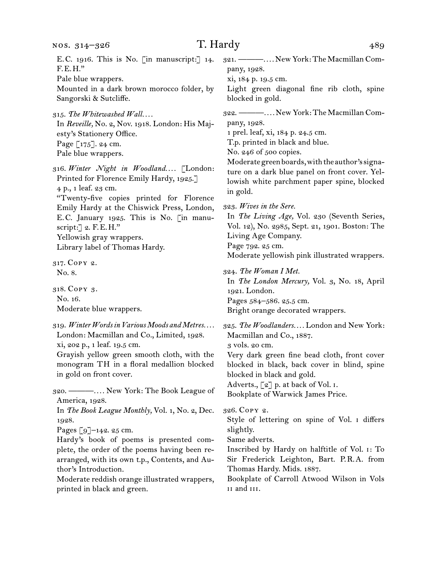E.C. 1916. This is No. [in manuscript:] 14. F.E.H."

Pale blue wrappers.

Mounted in a dark brown morocco folder, by Sangorski & Sutcliffe.

315. The Whitewashed Wall.... In *Reveille,* No. 2, Nov. 1918. London: His Majesty's Stationery Office. Page [175]. 24 cm. Pale blue wrappers.

316. *Winter Night in Woodland. . . .* [London: Printed for Florence Emily Hardy, 1925.] 4 p., 1 leaf. 23 cm. "Twenty-five copies printed for Florence Emily Hardy at the Chiswick Press, London,

E.C. January 1925. This is No. [in manuscript:] 2. F.E.H." Yellowish gray wrappers.

Library label of Thomas Hardy.

317. Copy 2. No. 8.

318. Copy 3. No. 16. Moderate blue wrappers.

319. *Winter Words in Various Moods and Metres. . . .* London: Macmillan and Co., Limited, 1928. xi, 202 p., 1 leaf. 19.5 cm. Grayish yellow green smooth cloth, with the

monogram TH in a floral medallion blocked in gold on front cover.

320. ———*. . . .* New York: The Book League of America, 1928. In *The Book League Monthly,* Vol. 1, No. 2, Dec. 1928.

Pages [9]–142. 25 cm.

Hardy's book of poems is presented complete, the order of the poems having been rearranged, with its own t.p., Contents, and Author's Introduction.

Moderate reddish orange illustrated wrappers, printed in black and green.

321. ———*. . . .* New York: The Macmillan Company, 1928.

xi, 184 p. 19.5 cm.

Light green diagonal fine rib cloth, spine blocked in gold.

322. ———*. . . .* New York: The Macmillan Company, 1928.

1 prel. leaf, xi, 184 p. 24.5 cm.

T.p. printed in black and blue.

No. 246 of 500 copies.

Moderate green boards, with the author's signature on a dark blue panel on front cover. Yellowish white parchment paper spine, blocked in gold.

323. *Wives in the Sere.*

In *The Living Age,* Vol. 230 (Seventh Series, Vol. 12), No. 2985, Sept. 21, 1901. Boston: The Living Age Company.

Page 792. 25 cm.

Moderate yellowish pink illustrated wrappers.

324. *The Woman I Met.*

In *The London Mercury,* Vol. 3, No. 18, April 1921. London. Pages 584–586. 25.5 cm. Bright orange decorated wrappers.

325. *The Woodlanders. . . .* London and New York: Macmillan and Co., 1887. 3 vols. 20 cm. Very dark green fine bead cloth, front cover blocked in black, back cover in blind, spine

blocked in black and gold. Adverts., [2] p. at back of Vol. I.

Bookplate of Warwick James Price.

326. Copy 2.

Style of lettering on spine of Vol. i differs slightly.

Same adverts.

Inscribed by Hardy on halftitle of Vol. i: To Sir Frederick Leighton, Bart. P.R.A. from Thomas Hardy. Mids. 1887.

Bookplate of Carroll Atwood Wilson in Vols ii and iii.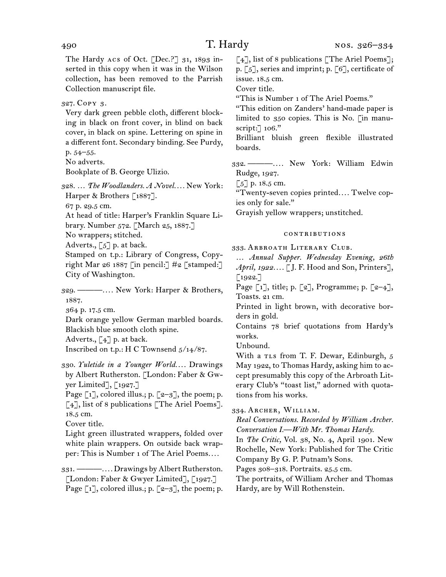The Hardy Acs of Oct. [Dec.?]  $31, 1893$  inserted in this copy when it was in the Wilson collection, has been removed to the Parrish Collection manuscript file.

327. Copy 3.

Very dark green pebble cloth, different blocking in black on front cover, in blind on back cover, in black on spine. Lettering on spine in a different font. Secondary binding. See Purdy,

p. 54–55.

No adverts. Bookplate of B. George Ulizio.

328. … *The Woodlanders. A Novel. . . .* New York: Harper & Brothers [1887].

67 p. 29.5 cm.

At head of title: Harper's Franklin Square Li-

brary. Number 572. [March 25, 1887.]

No wrappers; stitched.

Adverts.,  $\lceil 5 \rceil$  p. at back.

Stamped on t.p.: Library of Congress, Copyright Mar 26 1887 [in pencil:]  $\#2$  [stamped:] City of Washington.

329. ———*. . . .* New York: Harper & Brothers, 1887.

364 p. 17.5 cm.

Dark orange yellow German marbled boards. Blackish blue smooth cloth spine.

Adverts.,  $\begin{bmatrix} 4 \end{bmatrix}$  p. at back.

Inscribed on t.p.: H C Townsend 5/14/87.

330. *Yuletide in a Younger World. . . .* Drawings by Albert Rutherston. [London: Faber & Gwyer Limited], [1927.]

Page  $\lceil 1 \rceil$ , colored illus.; p.  $\lceil 2-3 \rceil$ , the poem; p. [4], list of 8 publications [The Ariel Poems]. 18.5 cm.

Cover title.

Light green illustrated wrappers, folded over white plain wrappers. On outside back wrapper: This is Number 1 of The Ariel Poems*. . . .*

331. ———*. . . .* Drawings by Albert Rutherston. [London: Faber & Gwyer Limited], [1927.] Page  $[i]$ , colored illus.; p.  $[z-3]$ , the poem; p. [4], list of 8 publications [The Ariel Poems]; p. [5], series and imprint; p. [6], certificate of issue. 18.5 cm.

Cover title.

"This is Number 1 of The Ariel Poems."

"This edition on Zanders' hand-made paper is limited to 350 copies. This is No. [in manuscript:] 106."

Brilliant bluish green flexible illustrated boards.

332. ———*. . . .* New York: William Edwin Rudge, 1927.

 $\lceil 5 \rceil$  p. 18.5 cm.

"Twenty-seven copies printed*. . . .* Twelve copies only for sale."

Grayish yellow wrappers; unstitched.

## contributions

333. Arbroath Literary Club.

… *Annual Supper. Wednesday Evening, 26th April, 1922. . . .* [J. F. Hood and Son, Printers],  $[1922.7]$ 

Page  $\lceil 1 \rceil$ , title; p.  $\lceil 2 \rceil$ , Programme; p.  $\lceil 2-4 \rceil$ , Toasts. 21 cm.

Printed in light brown, with decorative borders in gold.

Contains 78 brief quotations from Hardy's works.

Unbound.

With a TLs from T. F. Dewar, Edinburgh, 5 May 1922, to Thomas Hardy, asking him to accept presumably this copy of the Arbroath Literary Club's "toast list," adorned with quotations from his works.

334. Archer, William.

*Real Conversations. Recorded by William Archer. Conversation I.—With Mr. Thomas Hardy.*

In *The Critic,* Vol. 38, No. 4, April 1901. New Rochelle, New York: Published for The Critic Company By G. P. Putnam's Sons.

Pages 308–318. Portraits. 25.5 cm.

The portraits, of William Archer and Thomas Hardy, are by Will Rothenstein.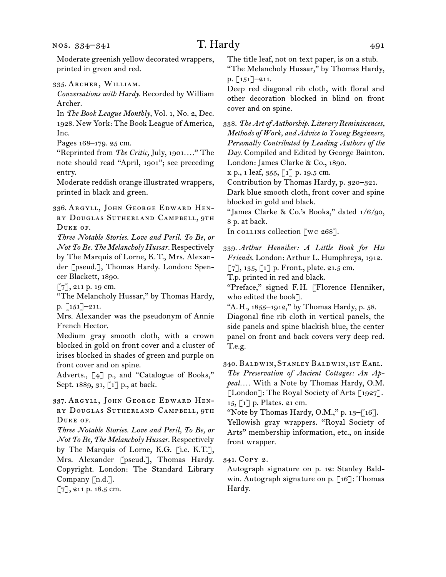nos. 334–341

Moderate greenish yellow decorated wrappers, printed in green and red.

335. Archer, William.

*Conversations with Hardy.* Recorded by William Archer.

In *The Book League Monthly,* Vol. 1, No. 2, Dec. 1928. New York: The Book League of America, Inc.

Pages 168–179. 25 cm.

"Reprinted from *The Critic,* July, 1901*. . . .*" The note should read "April, 1901"; see preceding entry.

Moderate reddish orange illustrated wrappers, printed in black and green.

336. Argyll, John George Edward Henry Douglas Sutherland Campbell, 9th Duke of.

*Three Notable Stories. Love and Peril. To Be, or Not To Be. The Melancholy Hussar.* Respectively by The Marquis of Lorne, K.T., Mrs. Alexander [pseud.], Thomas Hardy. London: Spencer Blackett, 1890.

[7], 211 p. 19 cm.

"The Melancholy Hussar," by Thomas Hardy, p. [151]–211.

Mrs. Alexander was the pseudonym of Annie French Hector.

Medium gray smooth cloth, with a crown blocked in gold on front cover and a cluster of irises blocked in shades of green and purple on front cover and on spine.

Adverts., [4] p., and "Catalogue of Books," Sept. 1889, 31, [1] p., at back.

337. Argyll, John George Edward Henry Douglas Sutherland Campbell, 9th DUKE OF.

*Three Notable Stories. Love and Peril, To Be, or Not To Be, The Melancholy Hussar.* Respectively by The Marquis of Lorne, K.G. [i.e. K.T.], Mrs. Alexander [pseud.], Thomas Hardy. Copyright. London: The Standard Library Company [n.d.].

[7], 211 p. 18.5 cm.

The title leaf, not on text paper, is on a stub. "The Melancholy Hussar," by Thomas Hardy, p. [151]–211.

Deep red diagonal rib cloth, with floral and other decoration blocked in blind on front cover and on spine.

338. *The Art of Authorship. Literary Reminiscences, Methods of Work, and Advice to Young Beginners, Personally Contributed by Leading Authors of the Day.* Compiled and Edited by George Bainton. London: James Clarke & Co., 1890.

 $x p., 1 leaf, 355, \lceil 1 \rceil p. 19.5 cm.$ 

Contribution by Thomas Hardy, p. 320–321.

Dark blue smooth cloth, front cover and spine blocked in gold and black.

"James Clarke & Co.'s Books," dated 1/6/90, 8 p. at back.

In collins collection [wc 268].

339. *Arthur Henniker: A Little Book for His Friends.* London: Arthur L. Humphreys, 1912.  $[7], 135, [1]$  p. Front., plate. 21.5 cm.

T.p. printed in red and black.

"Preface," signed F.H. [Florence Henniker, who edited the book].

"A.H., 1855–1912," by Thomas Hardy, p. 58. Diagonal fine rib cloth in vertical panels, the side panels and spine blackish blue, the center panel on front and back covers very deep red. T.e.g.

340. Baldwin, Stanley Baldwin, 1st Earl. *The Preservation of Ancient Cottages: An Appeal. . . .* With a Note by Thomas Hardy, O.M. [London]: The Royal Society of Arts [1927]. 15, [1] p. Plates. 21 cm.

"Note by Thomas Hardy, O.M.," p.  $13-[16]$ . Yellowish gray wrappers. "Royal Society of Arts" membership information, etc., on inside front wrapper.

341. Copy 2.

Autograph signature on p. 12: Stanley Baldwin. Autograph signature on p. [16]: Thomas Hardy.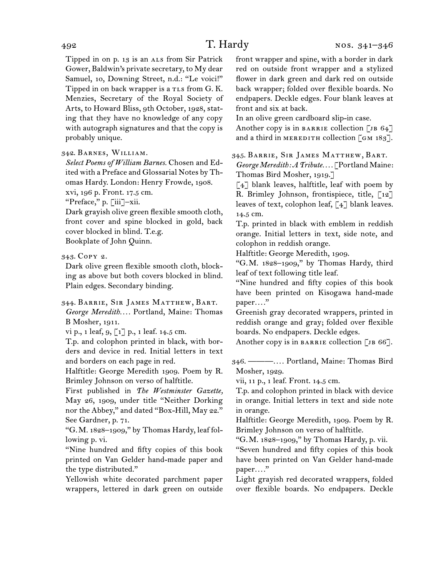Tipped in on p. 13 is an ALS from Sir Patrick Gower, Baldwin's private secretary, to My dear Samuel, 10, Downing Street, n.d.: "Le voici!" Tipped in on back wrapper is a TLs from G. K. Menzies, Secretary of the Royal Society of Arts, to Howard Bliss, 9th October, 1928, stating that they have no knowledge of any copy with autograph signatures and that the copy is probably unique.

## 342. Barnes, William.

*Select Poems of William Barnes.* Chosen and Edited with a Preface and Glossarial Notes by Thomas Hardy. London: Henry Frowde, 1908.

xvi, 196 p. Front. 17.5 cm.

"Preface," p. [iii]–xii.

Dark grayish olive green flexible smooth cloth, front cover and spine blocked in gold, back cover blocked in blind. T.e.g.

Bookplate of John Quinn.

343. Copy 2.

Dark olive green flexible smooth cloth, blocking as above but both covers blocked in blind. Plain edges. Secondary binding.

344. Barrie, Sir James Matthew, Bart. *George Meredith. . . .* Portland, Maine: Thomas B Mosher, 1911.

vi p., 1 leaf, 9, [1] p., 1 leaf. 14.5 cm.

T.p. and colophon printed in black, with borders and device in red. Initial letters in text and borders on each page in red.

Halftitle: George Meredith 1909. Poem by R. Brimley Johnson on verso of halftitle.

First published in *The Westminster Gazette,*  May 26, 1909, under title "Neither Dorking nor the Abbey," and dated "Box-Hill, May 22." See Gardner, p. 71.

"G.M. 1828–1909," by Thomas Hardy, leaf following p. vi.

"Nine hundred and fifty copies of this book printed on Van Gelder hand-made paper and the type distributed."

Yellowish white decorated parchment paper wrappers, lettered in dark green on outside front wrapper and spine, with a border in dark red on outside front wrapper and a stylized flower in dark green and dark red on outside back wrapper; folded over flexible boards. No endpapers. Deckle edges. Four blank leaves at front and six at back.

In an olive green cardboard slip-in case.

Another copy is in BARRIE collection [JB  $64$ ] and a third in MEREDITH collection  $\lceil$  GM 183].

345. Barrie, Sir James Matthew, Bart. *George Meredith: A Tribute. . . .* [Portland Maine:

Thomas Bird Mosher, 1919.]

 $\lceil 4 \rceil$  blank leaves, halftitle, leaf with poem by R. Brimley Johnson, frontispiece, title,  $\lceil 12 \rceil$ leaves of text, colophon leaf, [4] blank leaves. 14.5 cm.

T.p. printed in black with emblem in reddish orange. Initial letters in text, side note, and colophon in reddish orange.

Halftitle: George Meredith, 1909.

"G.M. 1828–1909," by Thomas Hardy, third leaf of text following title leaf.

"Nine hundred and fifty copies of this book have been printed on Kisogawa hand-made paper*. . . .*"

Greenish gray decorated wrappers, printed in reddish orange and gray; folded over flexible boards. No endpapers. Deckle edges.

Another copy is in BARRIE collection  $\lceil$  JB 66].

346. ———*. . . .* Portland, Maine: Thomas Bird Mosher, 1929.

vii, 11 p., 1 leaf. Front. 14.5 cm.

T.p. and colophon printed in black with device in orange. Initial letters in text and side note in orange.

Halftitle: George Meredith, 1909. Poem by R. Brimley Johnson on verso of halftitle.

"G.M. 1828–1909," by Thomas Hardy, p. vii.

"Seven hundred and fifty copies of this book have been printed on Van Gelder hand-made paper*. . . .*"

Light grayish red decorated wrappers, folded over flexible boards. No endpapers. Deckle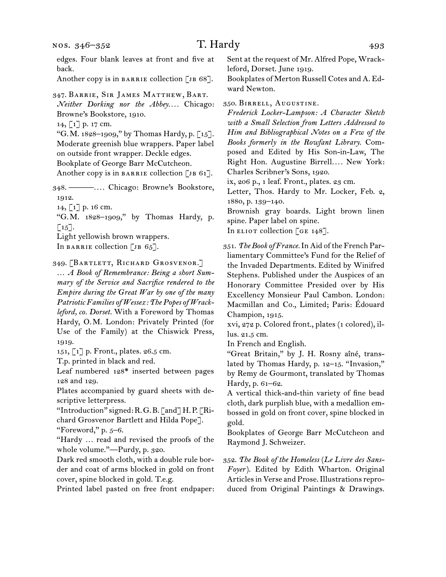Another copy is in BARRIE collection [JB 68].

347. Barrie, Sir James Matthew, Bart.

*Neither Dorking nor the Abbey. . . .* Chicago: Browne's Bookstore, 1910.

14, [1] p. 17 cm.

"G.M. 1828–1909," by Thomas Hardy, p. [15]. Moderate greenish blue wrappers. Paper label on outside front wrapper. Deckle edges.

Bookplate of George Barr McCutcheon.

Another copy is in BARRIE collection [JB 61].

348. ———*. . . .* Chicago: Browne's Bookstore, 1912.

14, [1] p. 16 cm.

"G.M. 1828–1909," by Thomas Hardy, p.  $\lceil 15 \rceil$ .

Light yellowish brown wrappers. In BARRIE collection [JB  $65$ ].

349. [Bartlett, Richard Grosvenor.]

… *A Book of Remembrance: Being a short Summary of the Service and Sacrifice rendered to the Empire during the Great War by one of the many Patriotic Families of Wessex: The Popes of Wrackleford, co. Dorset.* With a Foreword by Thomas Hardy, O.M. London: Privately Printed (for Use of the Family) at the Chiswick Press, 1919.

151, [1] p. Front., plates. 26.5 cm.

T.p. printed in black and red.

Leaf numbered 128\* inserted between pages 128 and 129.

Plates accompanied by guard sheets with descriptive letterpress.

"Introduction" signed: R.G.B. [and] H.P. [Richard Grosvenor Bartlett and Hilda Pope].

"Foreword," p. 5–6.

"Hardy … read and revised the proofs of the whole volume."—Purdy, p. 320.

Dark red smooth cloth, with a double rule border and coat of arms blocked in gold on front cover, spine blocked in gold. T.e.g.

Printed label pasted on free front endpaper:

Sent at the request of Mr. Alfred Pope, Wrackleford, Dorset. June 1919.

Bookplates of Merton Russell Cotes and A. Edward Newton.

350. Birrell, Augustine.

*Frederick Locker-Lampson: A Character Sketch with a Small Selection from Letters Addressed to Him and Bibliographical Notes on a Few of the Books formerly in the Rowfant Library.* Composed and Edited by His Son-in-Law, The Right Hon. Augustine Birrell*. . . .* New York: Charles Scribner's Sons, 1920.

ix, 206 p., 1 leaf. Front., plates. 23 cm.

Letter, Thos. Hardy to Mr. Locker, Feb. 2, 1880, p. 139–140.

Brownish gray boards. Light brown linen spine. Paper label on spine.

In ELIOT collection [GE 148].

351. *The Book of France.*In Aid of the French Parliamentary Committee's Fund for the Relief of the Invaded Departments. Edited by Winifred Stephens. Published under the Auspices of an Honorary Committee Presided over by His Excellency Monsieur Paul Cambon. London: Macmillan and Co., Limited; Paris: Édouard Champion, 1915.

xvi, 272 p. Colored front., plates (1 colored), illus. 21.5 cm.

In French and English.

"Great Britain," by J. H. Rosny aîné, translated by Thomas Hardy, p. 12–15. "Invasion," by Remy de Gourmont, translated by Thomas Hardy, p. 61–62.

A vertical thick-and-thin variety of fine bead cloth, dark purplish blue, with a medallion embossed in gold on front cover, spine blocked in gold.

Bookplates of George Barr McCutcheon and Raymond J. Schweizer.

352. *The Book of the Homeless* (*Le Livre des Sans-Foyer*). Edited by Edith Wharton. Original Articles in Verse and Prose. Illustrations reproduced from Original Paintings & Drawings.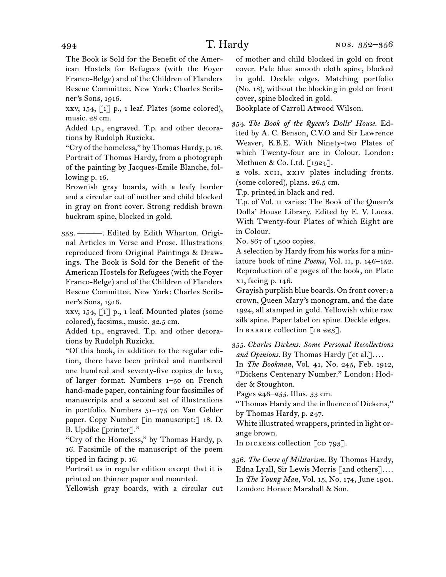The Book is Sold for the Benefit of the American Hostels for Refugees (with the Foyer Franco-Belge) and of the Children of Flanders Rescue Committee. New York: Charles Scribner's Sons, 1916.

xxv,  $154$ , [1] p., 1 leaf. Plates (some colored), music. 28 cm.

Added t.p., engraved. T.p. and other decorations by Rudolph Ruzicka.

"Cry of the homeless," by Thomas Hardy, p. 16. Portrait of Thomas Hardy, from a photograph of the painting by Jacques-Emile Blanche, following p. 16.

Brownish gray boards, with a leafy border and a circular cut of mother and child blocked in gray on front cover. Strong reddish brown buckram spine, blocked in gold.

353. ———. Edited by Edith Wharton. Original Articles in Verse and Prose. Illustrations reproduced from Original Paintings & Drawings. The Book is Sold for the Benefit of the American Hostels for Refugees (with the Foyer Franco-Belge) and of the Children of Flanders Rescue Committee. New York: Charles Scribner's Sons, 1916.

xxv, 154, [1] p., 1 leaf. Mounted plates (some colored), facsims., music. 32.5 cm.

Added t.p., engraved. T.p. and other decorations by Rudolph Ruzicka.

"Of this book, in addition to the regular edition, there have been printed and numbered one hundred and seventy-five copies de luxe, of larger format. Numbers 1–50 on French hand-made paper, containing four facsimiles of manuscripts and a second set of illustrations in portfolio. Numbers 51–175 on Van Gelder paper. Copy Number [in manuscript:] 18. D. B. Updike [printer]."

"Cry of the Homeless," by Thomas Hardy, p. 16. Facsimile of the manuscript of the poem tipped in facing p. 16.

Portrait as in regular edition except that it is printed on thinner paper and mounted.

Yellowish gray boards, with a circular cut

of mother and child blocked in gold on front cover. Pale blue smooth cloth spine, blocked in gold. Deckle edges. Matching portfolio (No. 18), without the blocking in gold on front cover, spine blocked in gold.

Bookplate of Carroll Atwood Wilson.

354. *The Book of the Queen's Dolls' House.* Edited by A. C. Benson, C.V.O and Sir Lawrence Weaver, K.B.E. With Ninety-two Plates of which Twenty-four are in Colour. London: Methuen & Co. Ltd. [1924].

2 vols. XCII, XXIV plates including fronts. (some colored), plans. 26.5 cm.

T.p. printed in black and red.

T.p. of Vol. ii varies: The Book of the Queen's Dolls' House Library. Edited by E. V. Lucas. With Twenty-four Plates of which Eight are in Colour.

No. 867 of 1,500 copies.

A selection by Hardy from his works for a miniature book of nine *Poems,* Vol. ii, p. 146–152. Reproduction of 2 pages of the book, on Plate xi, facing p. 146.

Grayish purplish blue boards. On front cover: a crown, Queen Mary's monogram, and the date 1924, all stamped in gold. Yellowish white raw silk spine. Paper label on spine. Deckle edges. In BARRIE collection  $\lceil$  JB 223].

355. *Charles Dickens. Some Personal Recollections and Opinions.* By Thomas Hardy [et al.]*. . . .*

In *The Bookman,* Vol. 41, No. 245, Feb. 1912, "Dickens Centenary Number." London: Hodder & Stoughton.

Pages 246–255. Illus. 33 cm.

"Thomas Hardy and the influence of Dickens," by Thomas Hardy, p. 247.

White illustrated wrappers, printed in light orange brown.

In DICKENS collection  $[CD 793]$ .

356. *The Curse of Militarism.* By Thomas Hardy, Edna Lyall, Sir Lewis Morris [and others]*. . . .* In *The Young Man,* Vol. 15, No. 174, June 1901. London: Horace Marshall & Son.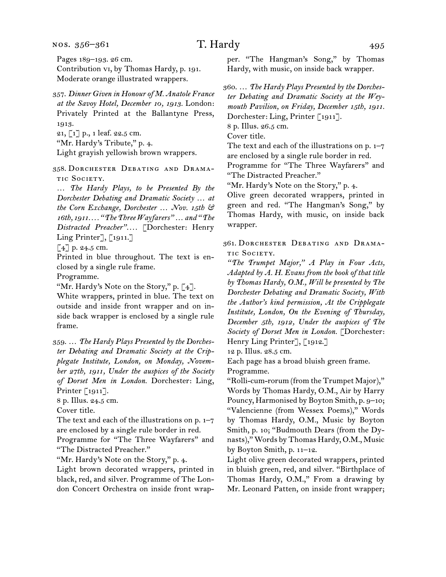nos. 356–361

Pages 189–193. 26 cm. Contribution vi, by Thomas Hardy, p. 191. Moderate orange illustrated wrappers.

357. *Dinner Given in Honour of M. Anatole France at the Savoy Hotel, December 10, 1913.* London: Privately Printed at the Ballantyne Press, 1913. 21, [1] p., 1 leaf. 22.5 cm.

"Mr. Hardy's Tribute," p. 4.

Light grayish yellowish brown wrappers.

358. Dorchester Debating and Drama-TIC SOCIETY.

… *The Hardy Plays, to be Presented By the Dorchester Debating and Dramatic Society … at the Corn Exchange, Dorchester … Nov. 15th & 16th, 1911. . . . "The Three Wayfarers" … and "The Distracted Preacher". . . .* [Dorchester: Henry Ling Printer], [1911.]

 $[4]$  p. 24.5 cm.

Printed in blue throughout. The text is enclosed by a single rule frame.

Programme.

"Mr. Hardy's Note on the Story," p. [4].

White wrappers, printed in blue. The text on outside and inside front wrapper and on inside back wrapper is enclosed by a single rule frame.

359. … *The Hardy Plays Presented by the Dorchester Debating and Dramatic Society at the Cripplegate Institute, London, on Monday, November 27th, 1911, Under the auspices of the Society of Dorset Men in London.* Dorchester: Ling, Printer [1911].

8 p. Illus. 24.5 cm.

Cover title.

The text and each of the illustrations on p. 1–7 are enclosed by a single rule border in red.

Programme for "The Three Wayfarers" and "The Distracted Preacher."

"Mr. Hardy's Note on the Story," p. 4.

Light brown decorated wrappers, printed in black, red, and silver. Programme of The London Concert Orchestra on inside front wrapper. "The Hangman's Song," by Thomas Hardy, with music, on inside back wrapper.

360. … *The Hardy Plays Presented by the Dorchester Debating and Dramatic Society at the Weymouth Pavilion, on Friday, December 15th, 1911.* Dorchester: Ling, Printer [1911].

8 p. Illus. 26.5 cm.

Cover title.

The text and each of the illustrations on p. 1–7 are enclosed by a single rule border in red.

Programme for "The Three Wayfarers" and "The Distracted Preacher."

"Mr. Hardy's Note on the Story," p. 4.

Olive green decorated wrappers, printed in green and red. "The Hangman's Song," by Thomas Hardy, with music, on inside back wrapper.

361. Dorchester Debating and Drama-TIC SOCIETY.

*"The Trumpet Major," A Play in Four Acts, Adapted by A. H. Evans from the book of that title by Thomas Hardy, O.M., Will be presented by The Dorchester Debating and Dramatic Society, With the Author's kind permission, At the Cripplegate Institute, London, On the Evening of Thursday, December 5th, 1912, Under the auspices of The Society of Dorset Men in London.* [Dorchester: Henry Ling Printer], [1912.]

12 p. Illus. 28.5 cm.

Each page has a broad bluish green frame. Programme.

"Rolli-cum-rorum (from the Trumpet Major)," Words by Thomas Hardy, O.M., Air by Harry Pouncy, Harmonised by Boyton Smith, p. 9–10; "Valencienne (from Wessex Poems)," Words by Thomas Hardy, O.M., Music by Boyton Smith, p. 10; "Budmouth Dears (from the Dynasts)," Words by Thomas Hardy, O.M., Music by Boyton Smith, p. 11–12.

Light olive green decorated wrappers, printed in bluish green, red, and silver. "Birthplace of Thomas Hardy, O.M.," From a drawing by Mr. Leonard Patten, on inside front wrapper;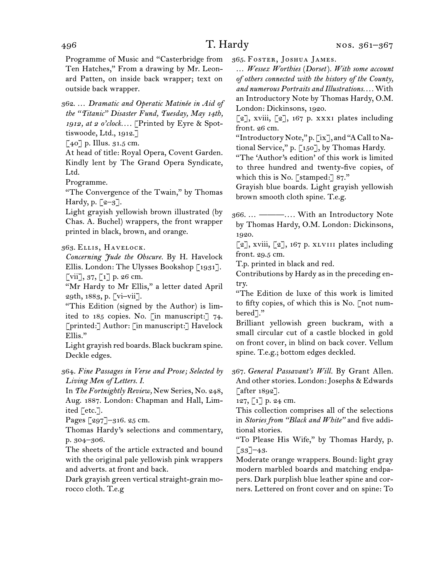Programme of Music and "Casterbridge from Ten Hatches," From a drawing by Mr. Leonard Patten, on inside back wrapper; text on outside back wrapper.

362. … *Dramatic and Operatic Matinée in Aid of the "Titanic" Disaster Fund, Tuesday, May 14th, 1912, at 2 o'clock. . . .* [Printed by Eyre & Spottiswoode, Ltd., 1912.]

 $\lceil 40 \rceil$  p. Illus. 31.5 cm.

At head of title: Royal Opera, Covent Garden. Kindly lent by The Grand Opera Syndicate, Ltd.

Programme.

"The Convergence of the Twain," by Thomas Hardy, p.  $\lceil 2-3 \rceil$ .

Light grayish yellowish brown illustrated (by Chas. A. Buchel) wrappers, the front wrapper printed in black, brown, and orange.

363. Ellis, Havelock.

*Concerning Jude the Obscure.* By H. Havelock Ellis. London: The Ulysses Bookshop [1931].  $\lceil \nabla \text{iii} \rceil$ , 37,  $\lceil 1 \rceil$  p. 26 cm.

"Mr Hardy to Mr Ellis," a letter dated April 29th, 1883, p. [vi–vii].

"This Edition (signed by the Author) is limited to 185 copies. No. [in manuscript:] 74. [printed:] Author: [in manuscript:] Havelock Ellis."

Light grayish red boards. Black buckram spine. Deckle edges.

364. *Fine Passages in Verse and Prose; Selected by Living Men of Letters. I.*

In *The Fortnightly Review,* New Series, No. 248, Aug. 1887. London: Chapman and Hall, Limited [etc.].

Pages [297]–316. 25 cm.

Thomas Hardy's selections and commentary, p. 304–306.

The sheets of the article extracted and bound with the original pale yellowish pink wrappers and adverts. at front and back.

Dark grayish green vertical straight-grain morocco cloth. T.e.g

365. Foster, Joshua James.

… *Wessex Worthies* (*Dorset*)*. With some account of others connected with the history of the County, and numerous Portraits and Illustrations. . . .* With an Introductory Note by Thomas Hardy, O.M. London: Dickinsons, 1920.

[2], xviii, [2], 167 p. xxxi plates including front. 26 cm.

"Introductory Note," p.  $\lceil ix \rceil$ , and "A Call to National Service," p. [150], by Thomas Hardy.

"The 'Author's edition' of this work is limited to three hundred and twenty-five copies, of which this is No. [stamped:] 87."

Grayish blue boards. Light grayish yellowish brown smooth cloth spine. T.e.g.

366. … ———*. . . .* With an Introductory Note by Thomas Hardy, O.M. London: Dickinsons, 1920.

 $[2]$ , xviii,  $[2]$ , 167 p. xlvIII plates including front. 29.5 cm.

T.p. printed in black and red.

Contributions by Hardy as in the preceding entry.

"The Edition de luxe of this work is limited to fifty copies, of which this is No. [not numbered<sup>"</sup>]."

Brilliant yellowish green buckram, with a small circular cut of a castle blocked in gold on front cover, in blind on back cover. Vellum spine. T.e.g.; bottom edges deckled.

367. *General Passavant's Will.* By Grant Allen. And other stories. London: Josephs & Edwards [after 1892].

127, [1] p. 24 cm.

This collection comprises all of the selections in *Stories from "Black and White"* and five additional stories.

"To Please His Wife," by Thomas Hardy, p.  $[33]$ –43.

Moderate orange wrappers. Bound: light gray modern marbled boards and matching endpapers. Dark purplish blue leather spine and corners. Lettered on front cover and on spine: To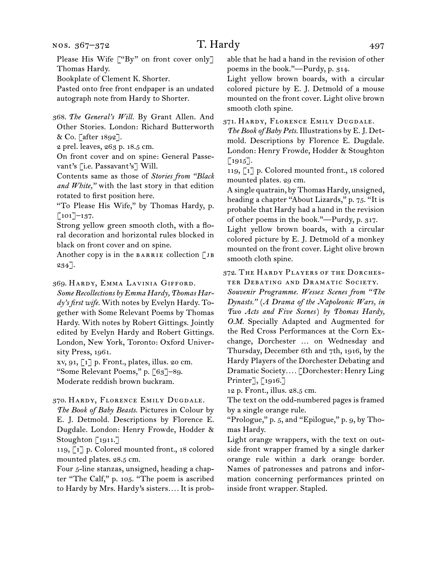Please His Wife ["By" on front cover only] Thomas Hardy.

Bookplate of Clement K. Shorter.

Pasted onto free front endpaper is an undated autograph note from Hardy to Shorter.

368. *The General's Will.* By Grant Allen. And Other Stories. London: Richard Butterworth & Co. [after 1892].

2 prel. leaves, 263 p. 18.5 cm.

On front cover and on spine: General Passevant's [i.e. Passavant's] Will.

Contents same as those of *Stories from "Black and White,"* with the last story in that edition rotated to first position here.

"To Please His Wife," by Thomas Hardy, p.  $[101]$ –137.

Strong yellow green smooth cloth, with a floral decoration and horizontal rules blocked in black on front cover and on spine.

Another copy is in the BARRIE collection  $\Box$  JB 234].

369. Hardy, Emma Lavinia Gifford.

*Some Recollections by Emma Hardy, Thomas Hardy's first wife.* With notes by Evelyn Hardy. Together with Some Relevant Poems by Thomas Hardy. With notes by Robert Gittings. Jointly edited by Evelyn Hardy and Robert Gittings. London, New York, Toronto: Oxford University Press, 1961.

xv, 91, [1] p. Front., plates, illus. 20 cm.

"Some Relevant Poems," p. [63]–89.

Moderate reddish brown buckram.

## 370. Hardy, Florence Emily Dugdale.

*The Book of Baby Beasts.* Pictures in Colour by E. J. Detmold. Descriptions by Florence E. Dugdale. London: Henry Frowde, Hodder & Stoughton [1911.]

119, [1] p. Colored mounted front., 18 colored mounted plates. 28.5 cm.

Four 5-line stanzas, unsigned, heading a chapter "The Calf," p. 105. "The poem is ascribed to Hardy by Mrs. Hardy's sisters*. . . .* It is probable that he had a hand in the revision of other poems in the book."—Purdy, p. 314.

Light yellow brown boards, with a circular colored picture by E. J. Detmold of a mouse mounted on the front cover. Light olive brown smooth cloth spine.

371. Hardy, Florence Emily Dugdale.

*The Book of Baby Pets.* Illustrations by E. J. Detmold. Descriptions by Florence E. Dugdale. London: Henry Frowde, Hodder & Stoughton  $[1915]$ .

119, [1] p. Colored mounted front., 18 colored mounted plates. 29 cm.

A single quatrain, by Thomas Hardy, unsigned, heading a chapter "About Lizards," p. 75. "It is probable that Hardy had a hand in the revision of other poems in the book."—Purdy, p. 317.

Light yellow brown boards, with a circular colored picture by E. J. Detmold of a monkey mounted on the front cover. Light olive brown smooth cloth spine.

372. The Hardy Players of the Dorchester Debating and Dramatic Society.

*Souvenir Programme. Wessex Scenes from "The Dynasts."* (*A Drama of the Napoleonic Wars, in Two Acts and Five Scenes*) *by Thomas Hardy, O.M.* Specially Adapted and Augmented for the Red Cross Performances at the Corn Exchange, Dorchester … on Wednesday and Thursday, December 6th and 7th, 1916, by the Hardy Players of the Dorchester Debating and Dramatic Society*. . . .* [Dorchester: Henry Ling Printer], [1916.]

12 p. Front., illus. 28.5 cm.

The text on the odd-numbered pages is framed by a single orange rule.

"Prologue," p. 5, and "Epilogue," p. 9, by Thomas Hardy.

Light orange wrappers, with the text on outside front wrapper framed by a single darker orange rule within a dark orange border. Names of patronesses and patrons and information concerning performances printed on inside front wrapper. Stapled.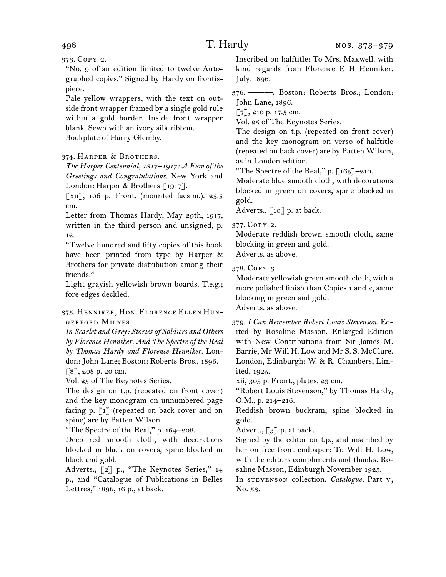373. Copy 2.

"No. 9 of an edition limited to twelve Autographed copies." Signed by Hardy on frontispiece.

Pale yellow wrappers, with the text on outside front wrapper framed by a single gold rule within a gold border. Inside front wrapper blank. Sewn with an ivory silk ribbon.

Bookplate of Harry Glemby.

## 374. Harper & Brothers.

*The Harper Centennial, 1817–1917: A Few of the Greetings and Congratulations.* New York and London: Harper & Brothers [1917].

[xii], 106 p. Front. (mounted facsim.). 23.5 cm.

Letter from Thomas Hardy, May 29th, 1917, written in the third person and unsigned, p. 12.

"Twelve hundred and fifty copies of this book have been printed from type by Harper & Brothers for private distribution among their friends."

Light grayish yellowish brown boards. T.e.g.; fore edges deckled.

## 375. Henniker, Hon. Florence Ellen Hungerford Milnes.

*In Scarlet and Grey: Stories of Soldiers and Others by Florence Henniker. And The Spectre of the Real by Thomas Hardy and Florence Henniker.* London: John Lane; Boston: Roberts Bros., 1896. [8], 208 p. 20 cm.

Vol. 25 of The Keynotes Series.

The design on t.p. (repeated on front cover) and the key monogram on unnumbered page facing p. [1] (repeated on back cover and on spine) are by Patten Wilson.

"The Spectre of the Real," p. 164–208.

Deep red smooth cloth, with decorations blocked in black on covers, spine blocked in black and gold.

Adverts., [2] p., "The Keynotes Series," 14 p., and "Catalogue of Publications in Belles Lettres," 1896, 16 p., at back.

Inscribed on halftitle: To Mrs. Maxwell. with kind regards from Florence E H Henniker. July. 1896.

376. ———. Boston: Roberts Bros.; London: John Lane, 1896.

[7], 210 p. 17.5 cm.

Vol. 25 of The Keynotes Series.

The design on t.p. (repeated on front cover) and the key monogram on verso of halftitle (repeated on back cover) are by Patten Wilson, as in London edition.

"The Spectre of the Real," p.  $\lceil 165 \rceil$ -210.

Moderate blue smooth cloth, with decorations blocked in green on covers, spine blocked in gold.

Adverts., [10] p. at back.

377. Copy 2.

Moderate reddish brown smooth cloth, same blocking in green and gold. Adverts. as above.

378. Copy 3.

Moderate yellowish green smooth cloth, with a more polished finish than Copies 1 and 2, same blocking in green and gold. Adverts. as above.

379. *I Can Remember Robert Louis Stevenson.* Edited by Rosaline Masson. Enlarged Edition with New Contributions from Sir James M. Barrie, Mr Will H. Low and Mr S. S. McClure. London, Edinburgh: W. & R. Chambers, Limited, 1925.

xii, 305 p. Front., plates. 23 cm.

"Robert Louis Stevenson," by Thomas Hardy, O.M., p. 214–216.

Reddish brown buckram, spine blocked in gold.

Advert.,  $\lceil 3 \rceil$  p. at back.

Signed by the editor on t.p., and inscribed by her on free front endpaper: To Will H. Low, with the editors compliments and thanks. Rosaline Masson, Edinburgh November 1925.

In stevenson collection. *Catalogue,* Part v, No. 53.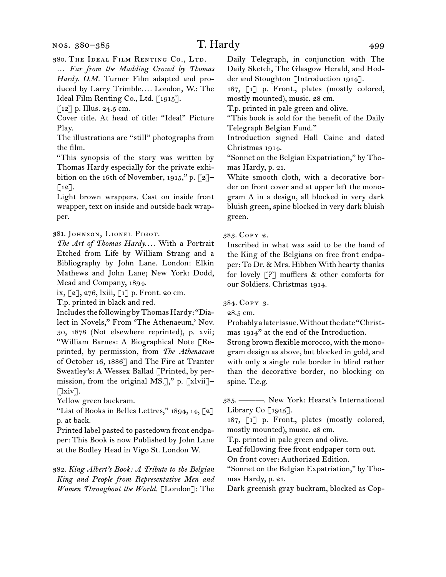380. The Ideal Film Renting Co., Ltd.

… *Far from the Madding Crowd by Thomas Hardy. O.M.* Turner Film adapted and produced by Larry Trimble*. . . .* London, W.: The Ideal Film Renting Co., Ltd. [1915].

 $\lceil 12 \rceil$  p. Illus. 24.5 cm.

Cover title. At head of title: "Ideal" Picture Play.

The illustrations are "still" photographs from the film.

"This synopsis of the story was written by Thomas Hardy especially for the private exhibition on the 16th of November, 1915," p.  $\lceil 2 \rceil$ - $\lceil 12 \rceil$ .

Light brown wrappers. Cast on inside front wrapper, text on inside and outside back wrapper.

381. Johnson, Lionel Pigot.

*The Art of Thomas Hardy. . . .* With a Portrait Etched from Life by William Strang and a Bibliography by John Lane. London: Elkin Mathews and John Lane; New York: Dodd, Mead and Company, 1894.

ix, [2], 276, lxiii, [1] p. Front. 20 cm.

T.p. printed in black and red.

Includes the following by Thomas Hardy: "Dialect in Novels," From 'The Athenaeum,' Nov. 30, 1878 (Not elsewhere reprinted), p. xvii; "William Barnes: A Biographical Note [Reprinted, by permission, from *The Athenaeum*  of October 16, 1886] and The Fire at Tranter Sweatley's: A Wessex Ballad [Printed, by permission, from the original MS.]," p.  $\lceil x \cdot \text{lvii} \rceil$ - $\lceil$ lxiv].

Yellow green buckram.

"List of Books in Belles Lettres,"  $1894, 14, \lceil 2 \rceil$ p. at back.

Printed label pasted to pastedown front endpaper: This Book is now Published by John Lane at the Bodley Head in Vigo St. London W.

382. *King Albert's Book: A Tribute to the Belgian King and People from Representative Men and Women Throughout the World.* [London]: The

Daily Telegraph, in conjunction with The Daily Sketch, The Glasgow Herald, and Hodder and Stoughton [Introduction 1914].

187, [1] p. Front., plates (mostly colored, mostly mounted), music. 28 cm.

T.p. printed in pale green and olive.

"This book is sold for the benefit of the Daily Telegraph Belgian Fund."

Introduction signed Hall Caine and dated Christmas 1914.

"Sonnet on the Belgian Expatriation," by Thomas Hardy, p. 21.

White smooth cloth, with a decorative border on front cover and at upper left the monogram A in a design, all blocked in very dark bluish green, spine blocked in very dark bluish green.

383. Copy 2.

Inscribed in what was said to be the hand of the King of the Belgians on free front endpaper: To Dr. & Mrs. Hibben With hearty thanks for lovely  $[$ ?] mufflers & other comforts for our Soldiers. Christmas 1914.

384. Copy 3.

28.5 cm.

Probably a later issue. Without the date "Christmas 1914" at the end of the Introduction.

Strong brown flexible morocco, with the monogram design as above, but blocked in gold, and with only a single rule border in blind rather than the decorative border, no blocking on spine. T.e.g.

385. ———. New York: Hearst's International Library Co  $\lceil 1915 \rceil$ .

187, [1] p. Front., plates (mostly colored, mostly mounted), music. 28 cm.

T.p. printed in pale green and olive.

Leaf following free front endpaper torn out.

On front cover: Authorized Edition.

"Sonnet on the Belgian Expatriation," by Thomas Hardy, p. 21.

Dark greenish gray buckram, blocked as Cop-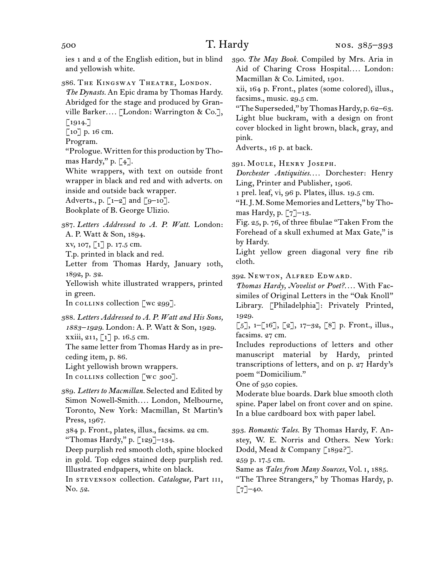ies 1 and 2 of the English edition, but in blind and yellowish white.

386. The Kingsway Theatre, London.

*The Dynasts.* An Epic drama by Thomas Hardy. Abridged for the stage and produced by Granville Barker*. . . .* [London: Warrington & Co.],  $\lceil 1914. \rceil$ 

[10] p. 16 cm.

Program.

"Prologue. Written for this production by Thomas Hardy," p. [4].

White wrappers, with text on outside front wrapper in black and red and with adverts. on inside and outside back wrapper.

Adverts., p.  $\lceil 1-2 \rceil$  and  $\lceil 9-10 \rceil$ .

Bookplate of B. George Ulizio.

387. *Letters Addressed to A. P. Watt.* London: A. P. Watt & Son, 1894.

xv, 107, [1] p. 17.5 cm.

T.p. printed in black and red.

Letter from Thomas Hardy, January 10th, 1892, p. 32.

Yellowish white illustrated wrappers, printed in green.

In collins collection  $\lbrack \text{wc } 299 \rbrack$ .

388. *Letters Addressed to A. P. Watt and His Sons, 1883–1929.* London: A. P. Watt & Son, 1929. xxiii, 211, [1] p. 16.5 cm.

The same letter from Thomas Hardy as in preceding item, p. 86.

Light yellowish brown wrappers.

In collins collection [wc 300].

389. *Letters to Macmillan.* Selected and Edited by Simon Nowell-Smith*. . . .* London, Melbourne, Toronto, New York: Macmillan, St Martin's Press, 1967.

384 p. Front., plates, illus., facsims. 22 cm. "Thomas Hardy," p. [129]–134.

Deep purplish red smooth cloth, spine blocked in gold. Top edges stained deep purplish red. Illustrated endpapers, white on black.

In stevenson collection. *Catalogue,* Part iii, No. 52.

390. *The May Book.* Compiled by Mrs. Aria in Aid of Charing Cross Hospital.... London: Macmillan & Co. Limited, 1901.

xii, 164 p. Front., plates (some colored), illus., facsims., music. 29.5 cm.

"The Superseded," by Thomas Hardy, p. 62–63. Light blue buckram, with a design on front cover blocked in light brown, black, gray, and pink.

Adverts., 16 p. at back.

391. Moule, Henry Joseph.

*Dorchester Antiquities. . . .* Dorchester: Henry Ling, Printer and Publisher, 1906.

1 prel. leaf, vi, 96 p. Plates, illus. 19.5 cm.

"H.J.M. Some Memories and Letters," by Thomas Hardy, p. [7]–13.

Fig. 25, p. 76, of three fibulae "Taken From the Forehead of a skull exhumed at Max Gate," is by Hardy.

Light yellow green diagonal very fine rib cloth.

392. Newton, Alfred Edward.

*Thomas Hardy, Novelist or Poet?. . . .* With Facsimiles of Original Letters in the "Oak Knoll" Library. [Philadelphia]: Privately Printed, 1929.

 $\lbrack 5 \rbrack$ , 1– $\lbrack 16 \rbrack$ ,  $\lbrack 2 \rbrack$ , 17–32,  $\lbrack 8 \rbrack$  p. Front., illus., facsims. 27 cm.

Includes reproductions of letters and other manuscript material by Hardy, printed transcriptions of letters, and on p. 27 Hardy's poem "Domicilium."

One of 950 copies.

Moderate blue boards. Dark blue smooth cloth spine. Paper label on front cover and on spine. In a blue cardboard box with paper label.

393. *Romantic Tales.* By Thomas Hardy, F. Anstey, W. E. Norris and Others. New York: Dodd, Mead & Company [1892?].

259 p. 17.5 cm.

Same as *Tales from Many Sources,* Vol. i, 1885.

"The Three Strangers," by Thomas Hardy, p.  $\lceil 7 \rceil$ –40.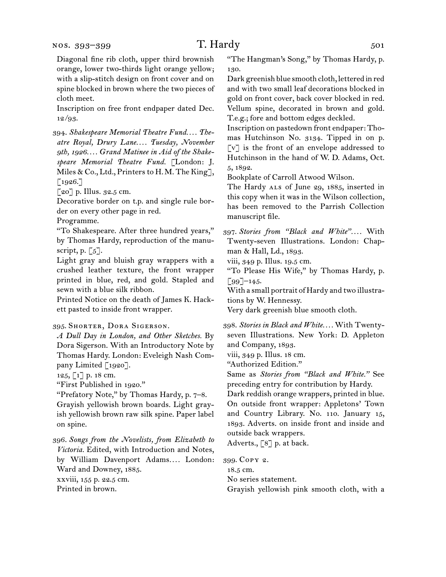#### nos. 393–399

Diagonal fine rib cloth, upper third brownish orange, lower two-thirds light orange yellow; with a slip-stitch design on front cover and on spine blocked in brown where the two pieces of cloth meet.

Inscription on free front endpaper dated Dec.  $12/93.$ 

394. *Shakespeare Memorial Theatre Fund. . . . Theatre Royal, Drury Lane. . . . Tuesday, November 9th, 1926. . . . Grand Matinee in Aid of the Shakespeare Memorial Theatre Fund.* [London: J. Miles & Co., Ltd., Printers to H.M. The King],  $\lceil 1926. \rceil$ 

[20] p. Illus. 32.5 cm.

Decorative border on t.p. and single rule border on every other page in red.

Programme.

"To Shakespeare. After three hundred years," by Thomas Hardy, reproduction of the manuscript, p.  $\lceil 5 \rceil$ .

Light gray and bluish gray wrappers with a crushed leather texture, the front wrapper printed in blue, red, and gold. Stapled and sewn with a blue silk ribbon.

Printed Notice on the death of James K. Hackett pasted to inside front wrapper.

#### 395. Shorter, Dora Sigerson.

*A Dull Day in London, and Other Sketches.* By Dora Sigerson. With an Introductory Note by Thomas Hardy. London: Eveleigh Nash Company Limited [1920].

 $125, 1$ ] p. 18 cm.

"First Published in 1920."

"Prefatory Note," by Thomas Hardy, p. 7–8. Grayish yellowish brown boards. Light grayish yellowish brown raw silk spine. Paper label on spine.

396. *Songs from the Novelists, from Elizabeth to Victoria.* Edited, with Introduction and Notes, by William Davenport Adams*. . . .* London: Ward and Downey, 1885.

xxviii, 155 p. 22.5 cm. Printed in brown.

"The Hangman's Song," by Thomas Hardy, p. 130.

Dark greenish blue smooth cloth, lettered in red and with two small leaf decorations blocked in gold on front cover, back cover blocked in red. Vellum spine, decorated in brown and gold. T.e.g.; fore and bottom edges deckled.

Inscription on pastedown front endpaper: Thomas Hutchinson No. 3134. Tipped in on p. [v] is the front of an envelope addressed to Hutchinson in the hand of W. D. Adams, Oct. 5, 1892.

Bookplate of Carroll Atwood Wilson.

The Hardy ALS of June 29, 1885, inserted in this copy when it was in the Wilson collection, has been removed to the Parrish Collection manuscript file.

397. *Stories from "Black and White". . . .* With Twenty-seven Illustrations. London: Chapman & Hall, Ld., 1893.

viii, 349 p. Illus. 19.5 cm.

"To Please His Wife," by Thomas Hardy, p.  $\lceil 99 \rceil$ –145.

With a small portrait of Hardy and two illustrations by W. Hennessy.

Very dark greenish blue smooth cloth.

398. *Stories in Black and White. . . .* With Twentyseven Illustrations. New York: D. Appleton and Company, 1893.

viii, 349 p. Illus. 18 cm.

"Authorized Edition."

Same as *Stories from "Black and White."* See preceding entry for contribution by Hardy.

Dark reddish orange wrappers, printed in blue. On outside front wrapper: Appletons' Town and Country Library. No. 110. January 15, 1893. Adverts. on inside front and inside and outside back wrappers.

Adverts., [8] p. at back.

399. Copy 2.

18.5 cm.

No series statement.

Grayish yellowish pink smooth cloth, with a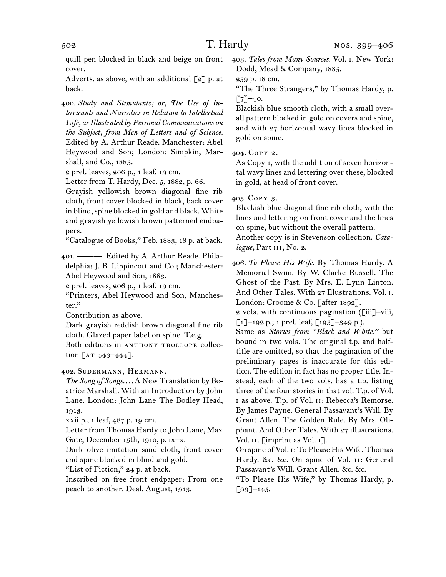quill pen blocked in black and beige on front cover.

Adverts. as above, with an additional  $\lceil 2 \rceil$  p. at back.

400. *Study and Stimulants; or, The Use of Intoxicants and Narcotics in Relation to Intellectual Life, as Illustrated by Personal Communications on the Subject, from Men of Letters and of Science.* Edited by A. Arthur Reade. Manchester: Abel Heywood and Son; London: Simpkin, Marshall, and Co., 1883.

2 prel. leaves, 206 p., 1 leaf. 19 cm.

Letter from T. Hardy, Dec. 5, 1882, p. 66.

Grayish yellowish brown diagonal fine rib cloth, front cover blocked in black, back cover in blind, spine blocked in gold and black. White and grayish yellowish brown patterned endpapers.

"Catalogue of Books," Feb. 1883, 18 p. at back.

401. ———. Edited by A. Arthur Reade. Philadelphia: J. B. Lippincott and Co.; Manchester: Abel Heywood and Son, 1883.

2 prel. leaves, 206 p., 1 leaf. 19 cm.

"Printers, Abel Heywood and Son, Manchester."

Contribution as above.

Dark grayish reddish brown diagonal fine rib cloth. Glazed paper label on spine. T.e.g.

Both editions in ANTHONY TROLLOPE collection  $[AT 443 - 444].$ 

402. Sudermann, Hermann.

*The Song of Songs. . . .* A New Translation by Beatrice Marshall. With an Introduction by John Lane. London: John Lane The Bodley Head, 1913.

xxii p., 1 leaf, 487 p. 19 cm.

Letter from Thomas Hardy to John Lane, Max Gate, December 15th, 1910, p. ix–x.

Dark olive imitation sand cloth, front cover and spine blocked in blind and gold.

"List of Fiction," 24 p. at back.

Inscribed on free front endpaper: From one peach to another. Deal. August, 1913.

403. *Tales from Many Sources.* Vol. i. New York: Dodd, Mead & Company, 1885.

259 p. 18 cm.

"The Three Strangers," by Thomas Hardy, p.  $[7]$ –40.

Blackish blue smooth cloth, with a small overall pattern blocked in gold on covers and spine, and with 27 horizontal wavy lines blocked in gold on spine.

404. Copy 2.

As Copy 1, with the addition of seven horizontal wavy lines and lettering over these, blocked in gold, at head of front cover.

405. Copy 3.

Blackish blue diagonal fine rib cloth, with the lines and lettering on front cover and the lines on spine, but without the overall pattern. Another copy is in Stevenson collection. *Cata-*

*logue,* Part iii, No. 2.

406. *To Please His Wife.* By Thomas Hardy. A Memorial Swim. By W. Clarke Russell. The Ghost of the Past. By Mrs. E. Lynn Linton. And Other Tales. With 27 Illustrations. Vol. i. London: Croome & Co. [after 1892].

2 vols. with continuous pagination ([iii]–viii,  $\lceil 1 \rceil$ –192 p.; 1 prel. leaf,  $\lceil 193 \rceil$ –349 p.).

Same as *Stories from "Black and White,"* but bound in two vols. The original t.p. and halftitle are omitted, so that the pagination of the preliminary pages is inaccurate for this edition. The edition in fact has no proper title. Instead, each of the two vols. has a t.p. listing three of the four stories in that vol. T.p. of Vol. i as above. T.p. of Vol. ii: Rebecca's Remorse. By James Payne. General Passavant's Will. By Grant Allen. The Golden Rule. By Mrs. Oliphant. And Other Tales. With 27 illustrations. Vol. II. [imprint as Vol. I].

On spine of Vol. i: To Please His Wife. Thomas Hardy. &c. &c. On spine of Vol. ii: General Passavant's Will. Grant Allen. &c. &c.

"To Please His Wife," by Thomas Hardy, p.  $[99]$ –145.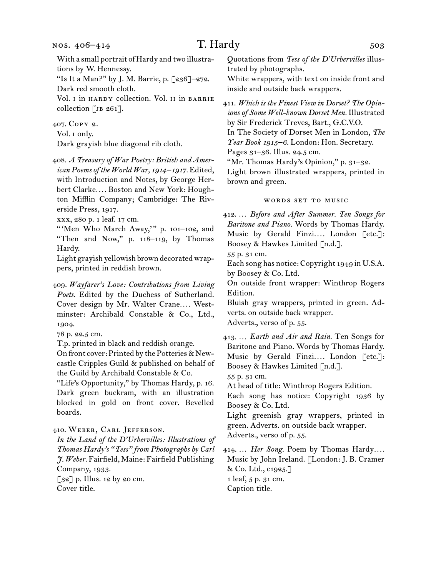### nos. 406–414

# $T.$  Hardy  $503$

With a small portrait of Hardy and two illustrations by W. Hennessy.

"Is It a Man?" by J. M. Barrie, p. [236]–272. Dark red smooth cloth.

Vol. I in HARDY collection. Vol. II in BARRIE collection [ $JB 261$ ].

407. Copy 2.

Vol. i only.

Dark grayish blue diagonal rib cloth.

408. *A Treasury of War Poetry: British and American Poems of the World War, 1914 –1917.* Edited, with Introduction and Notes, by George Herbert Clarke*. . . .* Boston and New York: Houghton Mifflin Company; Cambridge: The Riverside Press, 1917.

xxx, 280 p. 1 leaf. 17 cm.

"'Men Who March Away," p. 101-102, and "Then and Now," p. 118–119, by Thomas Hardy.

Light grayish yellowish brown decorated wrappers, printed in reddish brown.

409. *Wayfarer's Love: Contributions from Living Poets.* Edited by the Duchess of Sutherland. Cover design by Mr. Walter Crane*. . . .* Westminster: Archibald Constable & Co., Ltd., 1904.

78 p. 22.5 cm.

T.p. printed in black and reddish orange.

On front cover: Printed by the Potteries & Newcastle Cripples Guild & published on behalf of the Guild by Archibald Constable & Co.

"Life's Opportunity," by Thomas Hardy, p. 16. Dark green buckram, with an illustration blocked in gold on front cover. Bevelled boards.

410. Weber, Carl Jefferson.

*In the Land of the D'Urbervilles: Illustrations of Thomas Hardy's "Tess" from Photographs by Carl J. Weber.* Fairfield, Maine: Fairfield Publishing Company, 1933. [32] p. Illus. 12 by 20 cm. Cover title.

Quotations from *Tess of the D'Urbervilles* illustrated by photographs.

White wrappers, with text on inside front and inside and outside back wrappers.

411. *Which is the Finest View in Dorset? The Opinions of Some Well-known Dorset Men.* Illustrated by Sir Frederick Treves, Bart., G.C.V.O. In The Society of Dorset Men in London, *The Year Book 1915–6.* London: Hon. Secretary. Pages 31–36. Illus. 24.5 cm.

"Mr. Thomas Hardy's Opinion," p. 31-32. Light brown illustrated wrappers, printed in brown and green.

#### WORDS SET TO MUSIC

412. … *Before and After Summer. Ten Songs for Baritone and Piano.* Words by Thomas Hardy. Music by Gerald Finzi.... London [etc.]: Boosey & Hawkes Limited [n.d.].

55 p. 31 cm.

Each song has notice: Copyright 1949 in U.S.A. by Boosey & Co. Ltd.

On outside front wrapper: Winthrop Rogers Edition.

Bluish gray wrappers, printed in green. Adverts. on outside back wrapper. Adverts., verso of p. 55.

413. … *Earth and Air and Rain.* Ten Songs for Baritone and Piano. Words by Thomas Hardy. Music by Gerald Finzi*. . . .* London [etc.]: Boosey & Hawkes Limited [n.d.]. 55 p. 31 cm.

At head of title: Winthrop Rogers Edition. Each song has notice: Copyright 1936 by Boosey & Co. Ltd.

Light greenish gray wrappers, printed in green. Adverts. on outside back wrapper. Adverts., verso of p. 55.

414. … *Her Song.* Poem by Thomas Hardy*. . . .* Music by John Ireland. [London: J. B. Cramer & Co. Ltd., c1925.] 1 leaf, 5 p. 31 cm. Caption title.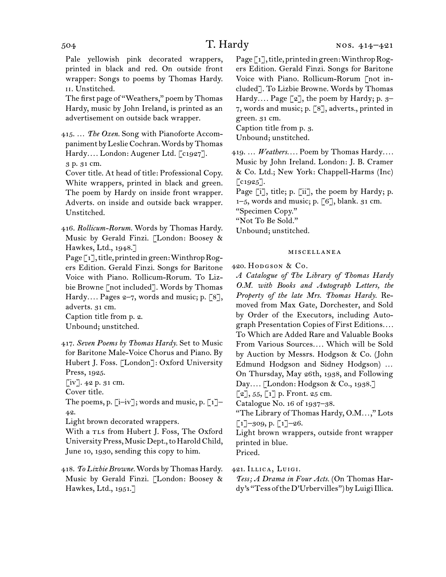Pale yellowish pink decorated wrappers, printed in black and red. On outside front wrapper: Songs to poems by Thomas Hardy. ii. Unstitched.

The first page of "Weathers," poem by Thomas Hardy, music by John Ireland, is printed as an advertisement on outside back wrapper.

415. … *The Oxen.* Song with Pianoforte Accompaniment by Leslie Cochran. Words by Thomas Hardy*. . . .* London: Augener Ltd. [c1927]. 3 p. 31 cm.

Cover title. At head of title: Professional Copy. White wrappers, printed in black and green. The poem by Hardy on inside front wrapper. Adverts. on inside and outside back wrapper. Unstitched.

416. *Rollicum-Rorum.* Words by Thomas Hardy. Music by Gerald Finzi. [London: Boosey & Hawkes, Ltd., 1948.]

Page [1], title, printed in green: Winthrop Rogers Edition. Gerald Finzi. Songs for Baritone Voice with Piano. Rollicum-Rorum. To Lizbie Browne [not included]. Words by Thomas Hardy.... Pages  $2-7$ , words and music; p. [8], adverts. 31 cm.

Caption title from p. 2. Unbound; unstitched.

417. *Seven Poems by Thomas Hardy.* Set to Music for Baritone Male-Voice Chorus and Piano. By Hubert J. Foss. [London]: Oxford University Press, 1925.

[iv]. 42 p. 31 cm.

Cover title.

The poems, p.  $[i-iv]$ ; words and music, p.  $[i]-$ 42.

Light brown decorated wrappers.

With a rLs from Hubert J. Foss, The Oxford University Press, Music Dept., to Harold Child, June 10, 1930, sending this copy to him.

418. *To Lizbie Browne.* Words by Thomas Hardy. Music by Gerald Finzi. [London: Boosey & Hawkes, Ltd., 1951.]

Page [1], title, printed in green: Winthrop Rogers Edition. Gerald Finzi. Songs for Baritone Voice with Piano. Rollicum-Rorum [not included]. To Lizbie Browne. Words by Thomas Hardy.... Page [2], the poem by Hardy; p. 3-7, words and music; p. [8], adverts., printed in green. 31 cm.

Caption title from p. 3. Unbound; unstitched.

419. … *Weathers. . . .* Poem by Thomas Hardy*. . . .*  Music by John Ireland. London: J. B. Cramer & Co. Ltd.; New York: Chappell-Harms (Inc)  $\lceil c_{1925} \rceil$ .

Page [i], title; p. [ii], the poem by Hardy; p.  $1-5$ , words and music; p. [6], blank. 31 cm.

"Specimen Copy."

"Not To Be Sold."

Unbound; unstitched.

### miscellanea

420. Hodgson & Co.

*A Catalogue of The Library of Thomas Hardy O.M. with Books and Autograph Letters, the Property of the late Mrs. Thomas Hardy.* Removed from Max Gate, Dorchester, and Sold by Order of the Executors, including Autograph Presentation Copies of First Editions*. . . .* To Which are Added Rare and Valuable Books From Various Sources*. . . .* Which will be Sold by Auction by Messrs. Hodgson & Co. (John Edmund Hodgson and Sidney Hodgson) … On Thursday, May 26th, 1938, and Following Day*. . . .* [London: Hodgson & Co., 1938.]  $\lceil 2 \rceil$ , 55,  $\lceil 1 \rceil$  p. Front. 25 cm.

Catalogue No. 16 of 1937–38.

"The Library of Thomas Hardy, O.M*. . .* ," Lots  $\lbrack 1 \rbrack$ –309, p.  $\lbrack 1 \rbrack$ –26.

Light brown wrappers, outside front wrapper printed in blue.

Priced.

421. Illica, Luigi.

*Tess; A Drama in Four Acts.* (On Thomas Hardy's "Tess of the D'Urbervilles") by Luigi Illica.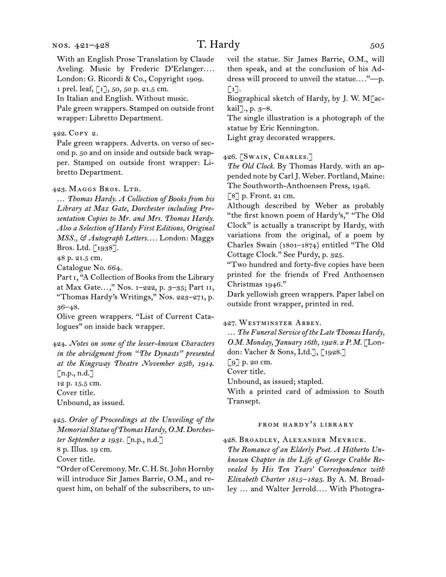With an English Prose Translation by Claude Aveling. Music by Frederic D'Erlanger.... London: G. Ricordi & Co., Copyright 1909.

1 prel. leaf, [1], 50, 50 p. 21.5 cm.

In Italian and English. Without music.

Pale green wrappers. Stamped on outside front wrapper: Libretto Department.

422. Copy 2.

Pale green wrappers. Adverts. on verso of second p. 50 and on inside and outside back wrapper. Stamped on outside front wrapper: Libretto Department.

423. MAGGS BROS. LTD.

… *Thomas Hardy. A Collection of Books from his Library at Max Gate, Dorchester including Presentation Copies to Mr. and Mrs. Thomas Hardy. Also a Selection of Hardy First Editions, Original MSS., & Autograph Letters. . . .* London: Maggs Bros. Ltd. [1938].

48 p. 21.5 cm.

Catalogue No. 664.

Part i, "A Collection of Books from the Library at Max Gate...," Nos. 1-222, p. 3-35; Part II, "Thomas Hardy's Writings," Nos. 223–271, p. 36–48.

Olive green wrappers. "List of Current Catalogues" on inside back wrapper.

424. *Notes on some of the lesser-known Characters in the abridgment from "The Dynasts" presented at the Kingsway Theatre November 25th, 1914.*  $[n.p., n.d.]$ 12 p. 15.5 cm. Cover title. Unbound, as issued.

425. *Order of Proceedings at the Unveiling of the Memorial Statue of Thomas Hardy, O.M. Dorchester September 2 1931.* [n.p., n.d.]

8 p. Illus. 19 cm.

Cover title.

"Order of Ceremony. Mr. C. H. St. John Hornby will introduce Sir James Barrie, O.M., and request him, on behalf of the subscribers, to unveil the statue. Sir James Barrie, O.M., will then speak, and at the conclusion of his Address will proceed to unveil the statue*. . . .*"—p.  $\lceil 1 \rceil$ .

Biographical sketch of Hardy, by J. W. M[ackail]., p. 3–8.

The single illustration is a photograph of the statue by Eric Kennington.

Light gray decorated wrappers.

426. [Swain, Charles.]

*The Old Clock.* By Thomas Hardy. with an appended note by Carl J. Weber. Portland, Maine: The Southworth-Anthoensen Press, 1946.

[8] p. Front. 21 cm.

Although described by Weber as probably "the first known poem of Hardy's," "The Old Clock" is actually a transcript by Hardy, with variations from the original, of a poem by Charles Swain (1801–1874) entitled "The Old Cottage Clock." See Purdy, p. 325.

"Two hundred and forty-five copies have been printed for the friends of Fred Anthoensen Christmas 1946."

Dark yellowish green wrappers. Paper label on outside front wrapper, printed in red.

427. Westminster Abbey.

… *The Funeral Service of the Late Thomas Hardy, O.M. Monday, January 16th, 1928. 2 P.M.* [London: Vacher & Sons, Ltd.], [1928.]

[9] p. 20 cm.

Cover title.

Unbound, as issued; stapled.

With a printed card of admission to South Transept.

## from hardy's library

428. Broadley, Alexander Meyrick.

*The Romance of an Elderly Poet. A Hitherto Unknown Chapter in the Life of George Crabbe Revealed by His Ten Years' Correspondence with Elizabeth Charter 1815–1825.* By A. M. Broadley … and Walter Jerrold*. . . .* With Photogra-